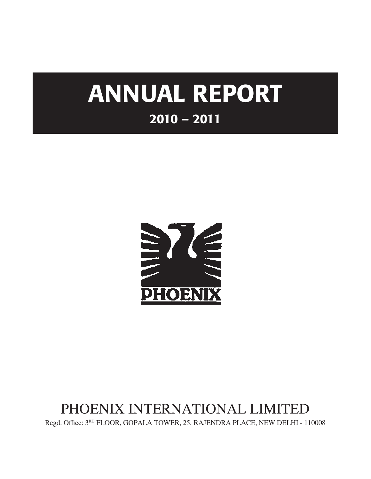# ANNUAL REPORT 2010 – 2011



# PHOENIX INTERNATIONAL LIMITED

Regd. Office:  $3^{RD}$  FLOOR, GOPALA TOWER, 25, RAJENDRA PLACE, NEW DELHI - 110008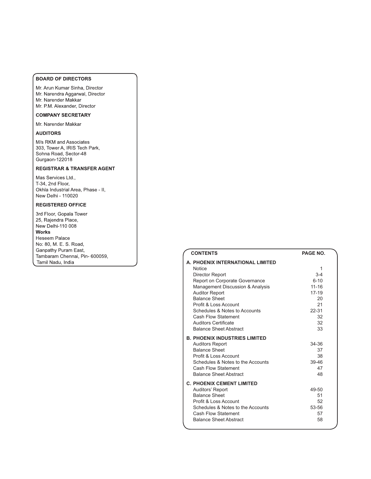#### **BOARD OF DIRECTORS**

Mr. Arun Kumar Sinha, Director Mr. Narendra Aggarwal, Director Mr. Narender Makkar

Mr. P.M. Alexander, Director

# **COMPANY SECRETARY**

Mr. Narender Makkar

### **AUDITORS**

M/s RKM and Associates 303, Tower A, IRIS Tech Park, Sohna Road, Sector-48 Gurgaon-122018

### **REGISTRAR & TRANSFER AGENT**

Mas Services Ltd., T-34, 2nd Floor, Okhla Industrial Area, Phase - II, New Delhi - 110020

#### **REGISTERED OFFICE**

3rd Floor, Gopala Tower 25, Rajendra Place, New Delhi-110 008 **Works** Heseem Palace No: 80, M. E. S. Road, Ganpathy Puram East, Tambaram Chennai, Pin- 600059, Tamil Nadu, India

| <b>CONTENTS</b>                                                                                                                                                                                              | PAGE NO.                               |
|--------------------------------------------------------------------------------------------------------------------------------------------------------------------------------------------------------------|----------------------------------------|
| A. PHOENIX INTERNATIONAL LIMITED<br><b>Notice</b><br>Director Report<br>Report on Corporate Governance                                                                                                       | 1<br>$3-4$<br>$6 - 10$                 |
| Management Discussion & Analysis<br><b>Auditor Report</b><br><b>Balance Sheet</b>                                                                                                                            | $11 - 16$<br>$17 - 19$<br>20           |
| Profit & Loss Account<br>Schedules & Notes to Accounts<br>Cash Flow Statement<br><b>Auditors Certificate</b><br><b>Balance Sheet Abstract</b>                                                                | 21<br>22-31<br>32<br>32<br>33          |
| <b>B. PHOENIX INDUSTRIES LIMITED</b><br><b>Auditors Report</b><br><b>Balance Sheet</b><br>Profit & Loss Account<br>Schedules & Notes to the Accounts<br>Cash Flow Statement<br><b>Balance Sheet Abstract</b> | 34-36<br>37<br>38<br>39-46<br>47<br>48 |
| <b>C. PHOENIX CEMENT LIMITED</b><br>Auditors' Report<br><b>Balance Sheet</b><br>Profit & Loss Account<br>Schedules & Notes to the Accounts<br>Cash Flow Statement<br><b>Balance Sheet Abstract</b>           | 49-50<br>51<br>52<br>53-56<br>57<br>58 |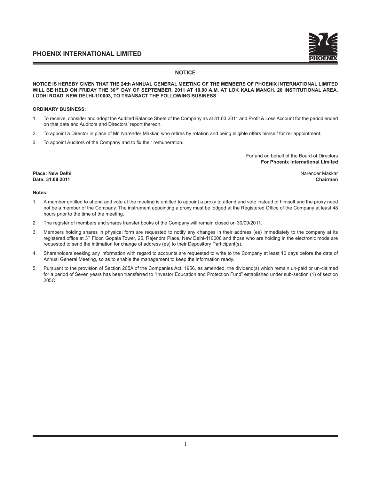#### **NOTICE**

**NOTICE IS HEREBY GIVEN THAT THE 24th ANNUAL GENERAL MEETING OF THE MEMBERS OF PHOENIX INTERNATIONAL LIMITED WILL BE HELD ON FRIDAY THE 30TH DAY OF SEPTEMBER, 2011 AT 10.00 A.M. AT LOK KALA MANCH, 20 INSTITUTIONAL AREA, LODHI ROAD, NEW DELHI-110003, TO TRANSACT THE FOLLOWING BUSINESS**

#### **ORDINARY BUSINESS:**

- 1. To receive, consider and adopt the Audited Balance Sheet of the Company as at 31.03.2011 and Profit & Loss Account for the period ended on that date and Auditors and Directors' report thereon.
- 2. To appoint a Director in place of Mr. Narender Makkar, who retires by rotation and being eligible offers himself for re- appointment.
- 3. To appoint Auditors of the Company and to fix their remuneration.

For and on behalf of the Board of Directors **For Phoenix International Limited** 

**Place: New Delhi** Narender Makkar

**Date: 31.08.2011 Chairman**

#### **Notes:**

- 1. A member entitled to attend and vote at the meeting is entitled to appoint a proxy to attend and vote instead of himself and the proxy need not be a member of the Company. The instrument appointing a proxy must be lodged at the Registered Office of the Company at least 48 hours prior to the time of the meeting.
- 2. The register of members and shares transfer books of the Company will remain closed on 30/09/2011.
- 3. Members holding shares in physical form are requested to notify any changes in their address (es) immediately to the company at its registered office at 3rd Floor, Gopala Tower, 25, Rajendra Place, New Delhi-110008 and those who are holding in the electronic mode are requested to send the intimation for change of address (es) to their Depository Participant(s).
- 4. Shareholders seeking any information with regard to accounts are requested to write to the Company at least 10 days before the date of Annual General Meeting, so as to enable the management to keep the information ready.
- 5. Pursuant to the provision of Section 205A of the Companies Act, 1956, as amended, the dividend(s) which remain un-paid or un-claimed for a period of Seven years has been transferred to "Investor Education and Protection Fund" established under sub-section (1) of section 205C.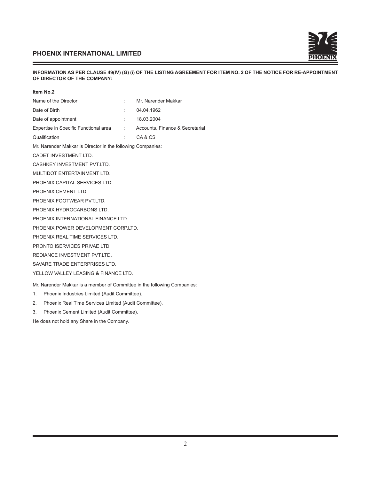

#### **INFORMATION AS PER CLAUSE 49(IV) (G) (i) OF THE LISTING AGREEMENT FOR ITEM NO. 2 OF THE NOTICE FOR RE-APPOINTMENT OF DIRECTOR OF THE COMPANY:**

| Item No.2                                                                |                   |                                 |  |  |
|--------------------------------------------------------------------------|-------------------|---------------------------------|--|--|
| Name of the Director                                                     | ÷                 | Mr. Narender Makkar             |  |  |
| Date of Birth                                                            |                   | 04.04.1962                      |  |  |
| Date of appointment                                                      |                   | 18.03.2004                      |  |  |
| Expertise in Specific Functional area                                    | <b>Controller</b> | Accounts, Finance & Secretarial |  |  |
| Qualification                                                            |                   | CA&CS                           |  |  |
| Mr. Narender Makkar is Director in the following Companies:              |                   |                                 |  |  |
| CADET INVESTMENT LTD.                                                    |                   |                                 |  |  |
| CASHKEY INVESTMENT PVT.LTD.                                              |                   |                                 |  |  |
| MULTIDOT ENTERTAINMENT LTD.                                              |                   |                                 |  |  |
| PHOENIX CAPITAL SERVICES LTD.                                            |                   |                                 |  |  |
| PHOENIX CEMENT LTD.                                                      |                   |                                 |  |  |
| PHOENIX FOOTWEAR PVT.LTD.                                                |                   |                                 |  |  |
| PHOENIX HYDROCARBONS LTD.                                                |                   |                                 |  |  |
| PHOENIX INTERNATIONAL FINANCE LTD.                                       |                   |                                 |  |  |
| PHOENIX POWER DEVELOPMENT CORP.LTD.                                      |                   |                                 |  |  |
| PHOENIX REAL TIME SERVICES LTD.                                          |                   |                                 |  |  |
| PRONTO ISERVICES PRIVAE LTD.                                             |                   |                                 |  |  |
| REDIANCE INVESTMENT PVT.LTD.                                             |                   |                                 |  |  |
| SAVARE TRADE ENTERPRISES LTD.                                            |                   |                                 |  |  |
| YELLOW VALLEY LEASING & FINANCE LTD.                                     |                   |                                 |  |  |
| Mr. Narender Makkar is a member of Committee in the following Companies: |                   |                                 |  |  |
| Phoenix Industries Limited (Audit Committee).<br>1.                      |                   |                                 |  |  |

- 2. Phoenix Real Time Services Limited (Audit Committee).
- 3. Phoenix Cement Limited (Audit Committee).

He does not hold any Share in the Company.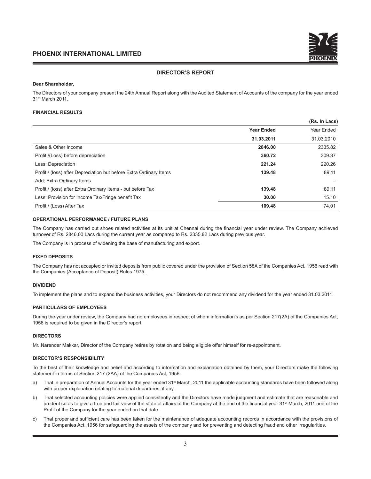#### **DIRECTOR'S REPORT**

#### **Dear Shareholder,**

The Directors of your company present the 24th Annual Report along with the Audited Statement of Accounts of the company for the year ended 31st March 2011.

#### **FINANCIAL RESULTS**

|                                                                    |                   | (Rs. In Lacs) |
|--------------------------------------------------------------------|-------------------|---------------|
|                                                                    | <b>Year Ended</b> | Year Ended    |
|                                                                    | 31.03.2011        | 31.03.2010    |
| Sales & Other Income                                               | 2846.00           | 2335.82       |
| Profit /(Loss) before depreciation                                 | 360.72            | 309.37        |
| Less: Depreciation                                                 | 221.24            | 220.26        |
| Profit / (loss) after Depreciation but before Extra Ordinary Items | 139.48            | 89.11         |
| Add: Extra Ordinary Items                                          |                   |               |
| Profit / (loss) after Extra Ordinary Items - but before Tax        | 139.48            | 89.11         |
| Less: Provision for Income Tax/Fringe benefit Tax                  | 30.00             | 15.10         |
| Profit / (Loss) After Tax                                          | 109.48            | 74.01         |

#### **OPERATIONAL PERFORMANCE / FUTURE PLANS**

The Company has carried out shoes related activities at its unit at Chennai during the financial year under review. The Company achieved turnover of Rs. 2846.00 Lacs during the current year as compared to Rs. 2335.82 Lacs during previous year.

The Company is in process of widening the base of manufacturing and export.

#### **FIXED DEPOSITS**

The Company has not accepted or invited deposits from public covered under the provision of Section 58A of the Companies Act, 1956 read with the Companies (Acceptance of Deposit) Rules 1975.

#### **DIVIDEND**

To implement the plans and to expand the business activities, your Directors do not recommend any dividend for the year ended 31.03.2011.

#### **PARTICULARS OF EMPLOYEES**

During the year under review, the Company had no employees in respect of whom information's as per Section 217(2A) of the Companies Act, 1956 is required to be given in the Director's report.

#### **DIRECTORS**

Mr. Narender Makkar, Director of the Company retires by rotation and being eligible offer himself for re-appointment.

#### **DIRECTOR'S RESPONSIBILITY**

To the best of their knowledge and belief and according to information and explanation obtained by them, your Directors make the following statement in terms of Section 217 (2AA) of the Companies Act, 1956.

- a) That in preparation of Annual Accounts for the year ended 31<sup>st</sup> March, 2011 the applicable accounting standards have been followed along with proper explanation relating to material departures, if any.
- b) That selected accounting policies were applied consistently and the Directors have made judgment and estimate that are reasonable and prudent so as to give a true and fair view of the state of affairs of the Company at the end of the financial year 31<sup>st</sup> March, 2011 and of the Profit of the Company for the year ended on that date.
- c) That proper and sufficient care has been taken for the maintenance of adequate accounting records in accordance with the provisions of the Companies Act, 1956 for safeguarding the assets of the company and for preventing and detecting fraud and other irregularities.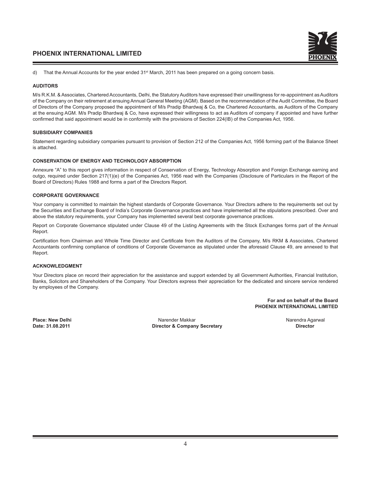

d) That the Annual Accounts for the year ended 31<sup>st</sup> March, 2011 has been prepared on a going concern basis.

#### **AUDITORS**

M/s R.K.M. & Associates, Chartered Accountants, Delhi, the Statutory Auditors have expressed their unwillingness for re-appointment as Auditors of the Company on their retirement at ensuing Annual General Meeting (AGM). Based on the recommendation of the Audit Committee, the Board of Directors of the Company proposed the appointment of M/s Pradip Bhardwaj & Co, the Chartered Accountants, as Auditors of the Company at the ensuing AGM. M/s Pradip Bhardwaj & Co, have expressed their willingness to act as Auditors of company if appointed and have further confirmed that said appointment would be in conformity with the provisions of Section 224(IB) of the Companies Act, 1956.

#### **SUBSIDIARY COMPANIES**

Statement regarding subsidiary companies pursuant to provision of Section 212 of the Companies Act, 1956 forming part of the Balance Sheet is attached.

#### **CONSERVATION OF ENERGY AND TECHNOLOGY ABSORPTION**

Annexure "A" to this report gives information in respect of Conservation of Energy, Technology Absorption and Foreign Exchange earning and outgo, required under Section 217(1)(e) of the Companies Act, 1956 read with the Companies (Disclosure of Particulars in the Report of the Board of Directors) Rules 1988 and forms a part of the Directors Report.

#### **CORPORATE GOVERNANCE**

Your company is committed to maintain the highest standards of Corporate Governance. Your Directors adhere to the requirements set out by the Securities and Exchange Board of India's Corporate Governance practices and have implemented all the stipulations prescribed. Over and above the statutory requirements, your Company has implemented several best corporate governance practices.

Report on Corporate Governance stipulated under Clause 49 of the Listing Agreements with the Stock Exchanges forms part of the Annual Report.

Certification from Chairman and Whole Time Director and Certificate from the Auditors of the Company, M/s RKM & Associates, Chartered Accountants confirming compliance of conditions of Corporate Governance as stipulated under the aforesaid Clause 49, are annexed to that Report.

#### **ACKNOWLEDGMENT**

Your Directors place on record their appreciation for the assistance and support extended by all Government Authorities, Financial Institution, Banks, Solicitors and Shareholders of the Company. Your Directors express their appreciation for the dedicated and sincere service rendered by employees of the Company.

> **For and on behalf of the Board PHOENIX INTERNATIONAL LIMITED**

**Place: New Delhi** Narender Makkar Narendra Agarwal **Director & Company Secretary**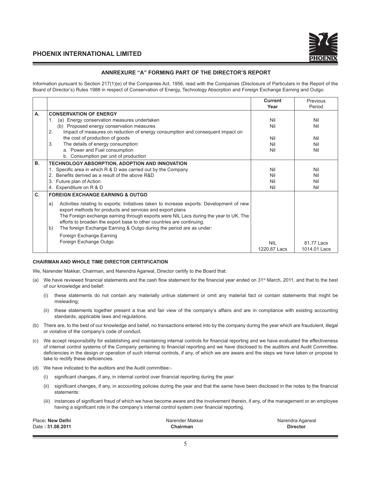

### **ANNREXURE "A" FORMING PART OF THE DIRECTOR'S REPORT**

Information pursuant to Section 217(1)(e) of the Companies Act, 1956, read with the Companies (Disclosure of Particulars in the Report of the Board of Director's) Rules 1988 in respect of Conservation of Energy, Technology Absorption and Foreign Exchange Earning and Outgo.

|           |                                                                                                                                                                                                                                                                                                                                                                                                              | <b>Current</b>             | Previous                   |
|-----------|--------------------------------------------------------------------------------------------------------------------------------------------------------------------------------------------------------------------------------------------------------------------------------------------------------------------------------------------------------------------------------------------------------------|----------------------------|----------------------------|
|           |                                                                                                                                                                                                                                                                                                                                                                                                              | Year                       | Period                     |
| А.        | <b>CONSERVATION OF ENERGY</b>                                                                                                                                                                                                                                                                                                                                                                                |                            |                            |
|           | (a) Energy conservation measures undertaken<br>1.                                                                                                                                                                                                                                                                                                                                                            | Nil                        | Nil                        |
|           | (b) Proposed energy conservation measures                                                                                                                                                                                                                                                                                                                                                                    | Nil                        | Nil                        |
|           | 2.<br>Impact of measures on reduction of energy consumption and consequent impact on                                                                                                                                                                                                                                                                                                                         |                            |                            |
|           | the cost of production of goods                                                                                                                                                                                                                                                                                                                                                                              | Nil                        | Nil                        |
|           | 3.<br>The details of energy consumption:                                                                                                                                                                                                                                                                                                                                                                     | Nil                        | Nil                        |
|           | a. Power and Fuel consumption                                                                                                                                                                                                                                                                                                                                                                                | Nil                        | Nil                        |
|           | b. Consumption per unit of production                                                                                                                                                                                                                                                                                                                                                                        |                            |                            |
| <b>B.</b> | TECHNOLOGY ABSORPTION, ADOPTION AND INNOVATION                                                                                                                                                                                                                                                                                                                                                               |                            |                            |
|           | 1. Specific area in which R & D was carried out by the Company                                                                                                                                                                                                                                                                                                                                               | Nil                        | Nil                        |
|           | Benefits derived as a result of the above R&D<br>2.                                                                                                                                                                                                                                                                                                                                                          | Nil                        | Nil                        |
|           | Future plan of Action<br>3.                                                                                                                                                                                                                                                                                                                                                                                  | Nil                        | Nil                        |
|           | 4. Expenditure on R & D                                                                                                                                                                                                                                                                                                                                                                                      | Nil                        | Nil                        |
| C.        | <b>FOREIGN EXCHANGE EARNING &amp; OUTGO</b>                                                                                                                                                                                                                                                                                                                                                                  |                            |                            |
|           | Activities relating to exports: Initiatives taken to increase exports: Development of new<br>a)<br>export methods for products and services and export plans<br>The Foreign exchange earning through exports were NIL Lacs during the year to UK. The<br>efforts to broaden the export base to other countries are continuing.<br>The foreign Exchange Earning & Outgo during the period are as under:<br>b) |                            |                            |
|           | Foreign Exchange Earning<br>Foreign Exchange Outgo                                                                                                                                                                                                                                                                                                                                                           | <b>NIL</b><br>1220.87 Lacs | 81.77 Lacs<br>1014.01 Lacs |

#### **CHAIRMAN AND WHOLE TIME DIRECTOR CERTIFICATION**

We, Narender Makkar, Chairman, and Narendra Agarwal, Director certify to the Board that:

- (a) We have reviewed financial statements and the cash flow statement for the financial year ended on 31<sup>st</sup> March, 2011, and that to the best of our knowledge and belief:
	- (i) these statements do not contain any materially untrue statement or omit any material fact or contain statements that might be misleading;
	- (ii) these statements together present a true and fair view of the company's affairs and are in compliance with existing accounting standards, applicable laws and regulations.
- (b) There are, to the best of our knowledge and belief, no transactions entered into by the company during the year which are fraudulent, illegal or violative of the company's code of conduct.
- (c) We accept responsibility for establishing and maintaining internal controls for financial reporting and we have evaluated the effectiveness of internal control systems of the Company pertaining to financial reporting and we have disclosed to the auditors and Audit Committee, deficiencies in the design or operation of such internal controls, if any, of which we are aware and the steps we have taken or propose to take to rectify these deficiencies.
- (d) We have indicated to the auditors and the Audit committee:-
	- (i) significant changes, if any, in internal control over financial reporting during the year:
	- (ii) significant changes, if any, in accounting policies during the year and that the same have been disclosed in the notes to the financial statements:
	- (iii) instances of significant fraud of which we have become aware and the involvement therein, if any, of the management or an employee having a significant role in the company's internal control system over financial reporting.

| Place: New Delhi | Narender Makkar | Narendra Agarwal |
|------------------|-----------------|------------------|
| Date: 31.08.2011 | Chairman        | <b>Director</b>  |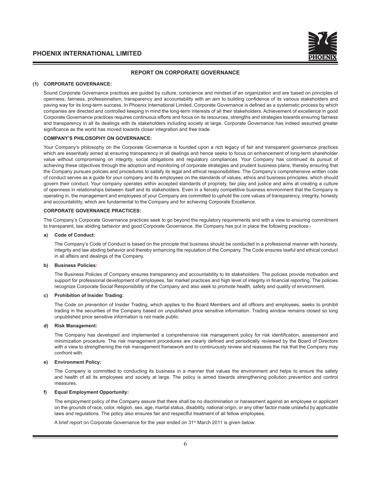

#### **REPORT ON CORPORATE GOVERNANCE**

#### **(1) CORPORATE GOVERNANCE:**

 Sound Corporate Governance practices are guided by culture, conscience and mindset of an organization and are based on principles of openness, fairness, professionalism, transparency and accountability with an aim to building confidence of its various stakeholders and paving way for its long-term success. In Phoenix International Limited, Corporate Governance is defined as a systematic process by which companies are directed and controlled keeping in mind the long-term interests of all their stakeholders. Achievement of excellence in good Corporate Governance practices requires continuous efforts and focus on its resources, strengths and strategies towards ensuring fairness and transparency in all its dealings with its stakeholders including society at large. Corporate Governance has indeed assumed greater significance as the world has moved towards closer integration and free trade.

#### **COMPANY'S PHILOSOPHY ON GOVERNANCE:**

 Your Company's philosophy on the Corporate Governance is founded upon a rich legacy of fair and transparent governance practices which are essentially aimed at ensuring transparency in all dealings and hence seeks to focus on enhancement of long-term shareholder value without compromising on integrity, social obligations and regulatory compliances. Your Company has continued its pursuit of achieving these objectives through the adoption and monitoring of corporate strategies and prudent business plans, thereby ensuring that the Company pursues policies and procedures to satisfy its legal and ethical responsibilities. The Company's comprehensive written code of conduct serves as a guide for your company and its employees on the standards of values, ethics and business principles, which should govern their conduct. Your company operates within accepted standards of propriety, fair play and justice and aims at creating a culture of openness in relationships between itself and its stakeholders. Even in a fiercely competitive business environment that the Company is operating in, the management and employees of your Company are committed to uphold the core values of transparency, integrity, honesty and accountability, which are fundamental to the Company and for achieving Corporate Excellence.

#### **CORPORATE GOVERNANCE PRACTICES:**

 The Company's Corporate Governance practices seek to go beyond the regulatory requirements and with a view to ensuring commitment to transparent, law abiding behavior and good Corporate Governance, the Company has put in place the following practices:-

#### **a) Code of Conduct:**

 The Company's Code of Conduct is based on the principle that business should be conducted in a professional manner with honesty, integrity and law abiding behavior and thereby enhancing the reputation of the Company. The Code ensures lawful and ethical conduct in all affairs and dealings of the Company.

#### **b) Business Policies:**

 The Business Policies of Company ensures transparency and accountability to its stakeholders. The policies provide motivation and support for professional development of employees, fair market practices and high level of integrity in financial reporting. The policies recognize Corporate Social Responsibility of the Company and also seek to promote health, safety and quality of environment.

#### **c) Prohibition of Insider Trading:**

The Code on prevention of Insider Trading, which applies to the Board Members and all officers and employees, seeks to prohibit trading in the securities of the Company based on unpublished price sensitive information. Trading window remains closed so long unpublished price sensitive information is not made public.

#### **d) Risk Management:**

 The Company has developed and implemented a comprehensive risk management policy for risk identification, assessment and minimization procedure. The risk management procedures are clearly defined and periodically reviewed by the Board of Directors with a view to strengthening the risk management framework and to continuously review and reassess the risk that the Company may confront with.

#### **Environment Policy:**

 The Company is committed to conducting its business in a manner that values the environment and helps to ensure the safety and health of all its employees and society at large. The policy is aimed towards strengthening pollution prevention and control measures.

#### **f) Equal Employment Opportunity:**

 The employment policy of the Company assure that there shall be no discrimination or harassment against an employee or applicant on the grounds of race, color, religion, sex, age, marital status, disability, national origin, or any other factor made unlawful by applicable laws and regulations. The policy also ensures fair and respectful treatment of all fellow employees.

A brief report on Corporate Governance for the year ended on 31<sup>st</sup> March 2011 is given below: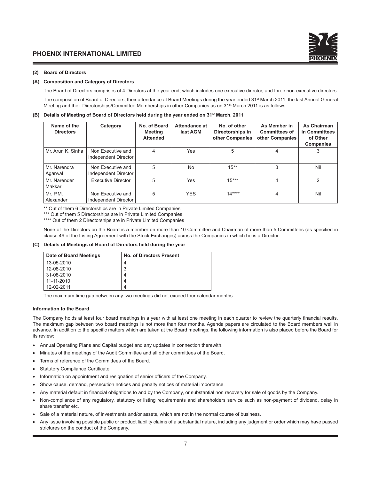#### **(2) Board of Directors**

#### **(A) Composition and Category of Directors**

The Board of Directors comprises of 4 Directors at the year end, which includes one executive director, and three non-executive directors.

The composition of Board of Directors, their attendance at Board Meetings during the year ended 31<sup>st</sup> March 2011, the last Annual General Meeting and their Directorships/Committee Memberships in other Companies as on 31<sup>st</sup> March 2011 is as follows:

#### **(B) Details of Meeting of Board of Directors held during the year ended on 31st March, 2011**

| Name of the<br><b>Directors</b> | Category                                  | No. of Board<br><b>Meeting</b><br><b>Attended</b> | Attendance at<br>last AGM | No. of other<br>Directorships in<br>other Companies | As Member in<br><b>Committees of</b><br>other Companies | <b>As Chairman</b><br>in Committees<br>of Other<br><b>Companies</b> |
|---------------------------------|-------------------------------------------|---------------------------------------------------|---------------------------|-----------------------------------------------------|---------------------------------------------------------|---------------------------------------------------------------------|
| Mr. Arun K. Sinha               | Non Executive and<br>Independent Director | 4                                                 | Yes                       | 5                                                   | 4                                                       | 3                                                                   |
| Mr. Narendra<br>Agarwal         | Non Executive and<br>Independent Director | 5                                                 | <b>No</b>                 | $15**$                                              | 3                                                       | Nil                                                                 |
| Mr. Narender<br>Makkar          | <b>Executive Director</b>                 | 5                                                 | Yes                       | $15***$                                             | 4                                                       | 2                                                                   |
| Mr. P.M.<br>Alexander           | Non Executive and<br>Independent Director | 5                                                 | <b>YES</b>                | $14***$                                             | 4                                                       | Nil                                                                 |

\*\* Out of them 6 Directorships are in Private Limited Companies

\*\*\* Out of them 5 Directorships are in Private Limited Companies

\*\*\*\* Out of them 2 Directorships are in Private Limited Companies

 None of the Directors on the Board is a member on more than 10 Committee and Chairman of more than 5 Committees (as specified in clause 49 of the Listing Agreement with the Stock Exchanges) across the Companies in which he is a Director.

#### **(C) Details of Meetings of Board of Directors held during the year**

| Date of Board Meetings | <b>No. of Directors Present</b> |
|------------------------|---------------------------------|
| 13-05-2010             |                                 |
| 12-08-2010             | 3                               |
| 31-08-2010             |                                 |
| 11-11-2010             | 4                               |
| 12-02-2011             |                                 |

The maximum time gap between any two meetings did not exceed four calendar months.

#### **Information to the Board**

The Company holds at least four board meetings in a year with at least one meeting in each quarter to review the quarterly financial results. The maximum gap between two board meetings is not more than four months. Agenda papers are circulated to the Board members well in advance. In addition to the specific matters which are taken at the Board meetings, the following information is also placed before the Board for its review:

- Annual Operating Plans and Capital budget and any updates in connection therewith.
- Minutes of the meetings of the Audit Committee and all other committees of the Board.
- Terms of reference of the Committees of the Board.
- Statutory Compliance Certificate.
- Information on appointment and resignation of senior officers of the Company.
- Show cause, demand, persecution notices and penalty notices of material importance.
- Any material default in financial obligations to and by the Company, or substantial non recovery for sale of goods by the Company.
- Non-compliance of any regulatory, statutory or listing requirements and shareholders service such as non-payment of dividend, delay in share transfer etc.
- Sale of a material nature, of investments and/or assets, which are not in the normal course of business.
- Any issue involving possible public or product liability claims of a substantial nature, including any judgment or order which may have passed strictures on the conduct of the Company.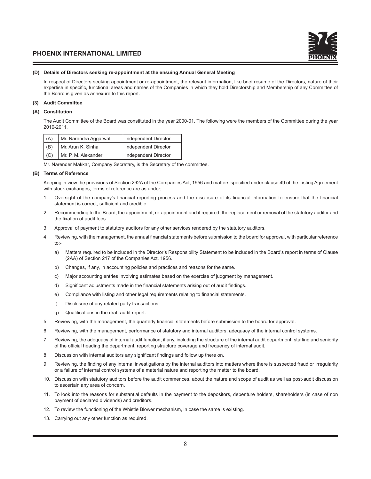#### **(D) Details of Directors seeking re-appointment at the ensuing Annual General Meeting**

In respect of Directors seeking appointment or re-appointment, the relevant information, like brief resume of the Directors, nature of their expertise in specific, functional areas and names of the Companies in which they hold Directorship and Membership of any Committee of the Board is given as annexure to this report.

#### **(3) Audit Committee**

#### **(A) Constitution**

 The Audit Committee of the Board was constituted in the year 2000-01. The following were the members of the Committee during the year 2010-2011.

| (A) | Mr. Narendra Aggarwal | Independent Director |
|-----|-----------------------|----------------------|
| (B) | Mr. Arun K. Sinha     | Independent Director |
| (C) | Mr. P. M. Alexander   | Independent Director |

Mr. Narender Makkar, Company Secretary, is the Secretary of the committee.

#### **(B) Terms of Reference**

 Keeping in view the provisions of Section 292A of the Companies Act, 1956 and matters specified under clause 49 of the Listing Agreement with stock exchanges, terms of reference are as under;

- 1. Oversight of the company's financial reporting process and the disclosure of its financial information to ensure that the financial statement is correct, sufficient and credible.
- 2. Recommending to the Board, the appointment, re-appointment and if required, the replacement or removal of the statutory auditor and the fixation of audit fees.
- 3. Approval of payment to statutory auditors for any other services rendered by the statutory auditors.
- 4. Reviewing, with the management, the annual financial statements before submission to the board for approval, with particular reference to:
	- a) Matters required to be included in the Director's Responsibility Statement to be included in the Board's report in terms of Clause (2AA) of Section 217 of the Companies Act, 1956.
	- b) Changes, if any, in accounting policies and practices and reasons for the same.
	- c) Major accounting entries involving estimates based on the exercise of judgment by management.
	- d) Significant adjustments made in the financial statements arising out of audit findings.
	- e) Compliance with listing and other legal requirements relating to financial statements.
	- f) Disclosure of any related party transactions.
	- g) Qualifications in the draft audit report.
- 5. Reviewing, with the management, the quarterly financial statements before submission to the board for approval.
- 6. Reviewing, with the management, performance of statutory and internal auditors, adequacy of the internal control systems.
- 7. Reviewing, the adequacy of internal audit function, if any, including the structure of the internal audit department, staffing and seniority of the official heading the department, reporting structure coverage and frequency of internal audit.
- 8. Discussion with internal auditors any significant findings and follow up there on.
- 9. Reviewing, the finding of any internal investigations by the internal auditors into matters where there is suspected fraud or irregularity or a failure of internal control systems of a material nature and reporting the matter to the board.
- 10. Discussion with statutory auditors before the audit commences, about the nature and scope of audit as well as post-audit discussion to ascertain any area of concern.
- 11. To look into the reasons for substantial defaults in the payment to the depositors, debenture holders, shareholders (in case of non payment of declared dividends) and creditors.
- 12. To review the functioning of the Whistle Blower mechanism, in case the same is existing.
- 13. Carrying out any other function as required.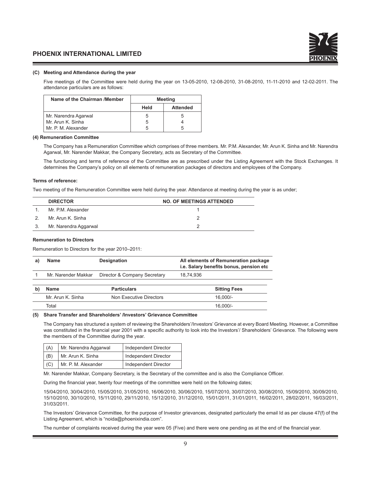#### **(C) Meeting and Attendance during the year**

 Five meetings of the Committee were held during the year on 13-05-2010, 12-08-2010, 31-08-2010, 11-11-2010 and 12-02-2011. The attendance particulars are as follows:

| Name of the Chairman /Member | <b>Meeting</b> |                 |
|------------------------------|----------------|-----------------|
|                              | Held           | <b>Attended</b> |
| Mr. Narendra Agarwal         | b              | 5               |
| Mr. Arun K. Sinha            | 5              |                 |
| Mr. P. M. Alexander          | 5              | 5               |

#### **(4) Remuneration Committee**

 The Company has a Remuneration Committee which comprises of three members. Mr. P.M. Alexander, Mr. Arun K. Sinha and Mr. Narendra Agarwal, Mr. Narender Makkar, the Company Secretary, acts as Secretary of the Committee.

 The functioning and terms of reference of the Committee are as prescribed under the Listing Agreement with the Stock Exchanges. It determines the Company's policy on all elements of remuneration packages of directors and employees of the Company.

#### **Terms of reference:**

Two meeting of the Remuneration Committee were held during the year. Attendance at meeting during the year is as under;

|               | <b>DIRECTOR</b>       | <b>NO. OF MEETINGS ATTENDED</b> |
|---------------|-----------------------|---------------------------------|
|               | Mr. P.M. Alexander    |                                 |
| $\mathcal{L}$ | Mr. Arun K. Sinha     |                                 |
| 3.            | Mr. Narendra Aggarwal |                                 |

#### **Remuneration to Directors**

Remuneration to Directors for the year 2010–2011:

| Name                | <b>Designation</b>           | All elements of Remuneration package<br>i.e. Salary benefits bonus, pension etc |
|---------------------|------------------------------|---------------------------------------------------------------------------------|
| Mr. Narender Makkar | Director & Company Secretary | 18.74.936                                                                       |
|                     |                              |                                                                                 |
| <b>Name</b>         | <b>Particulars</b>           | <b>Sitting Fees</b>                                                             |

| Mr. Arun K. Sinha | Non Executive Directors | 16.000/- |
|-------------------|-------------------------|----------|
| Total             |                         | 16.000/- |

#### **(5) Share Transfer and Shareholders' /Investors' Grievance Committee**

 The Company has structured a system of reviewing the Shareholders'/Investors' Grievance at every Board Meeting. However, a Committee was constituted in the financial year 2001 with a specific authority to look into the Investors'/ Shareholders' Grievance. The following were the members of the Committee during the year.

| (A) | Mr. Narendra Aggarwal | Independent Director |
|-----|-----------------------|----------------------|
| (B) | Mr. Arun K. Sinha     | Independent Director |
| (C) | Mr. P. M. Alexander   | Independent Director |

Mr. Narender Makkar, Company Secretary, is the Secretary of the committee and is also the Compliance Officer.

During the financial year, twenty four meetings of the committee were held on the following dates;

 15/04/2010, 30/04/2010, 15/05/2010, 31/05/2010, 16/06/2010, 30/06/2010, 15/07/2010, 30/07/2010, 30/08/2010, 15/09/2010, 30/09/2010, 15/10/2010, 30/10/2010, 15/11/2010, 29/11/2010, 15/12/2010, 31/12/2010, 15/01/2011, 31/01/2011, 16/02/2011, 28/02/2011, 16/03/2011, 31/03/2011.

 The Investors' Grievance Committee, for the purpose of Investor grievances, designated particularly the email Id as per clause 47(f) of the Listing Agreement, which is "noida@phoenixindia.com".

The number of complaints received during the year were 05 (Five) and there were one pending as at the end of the financial year.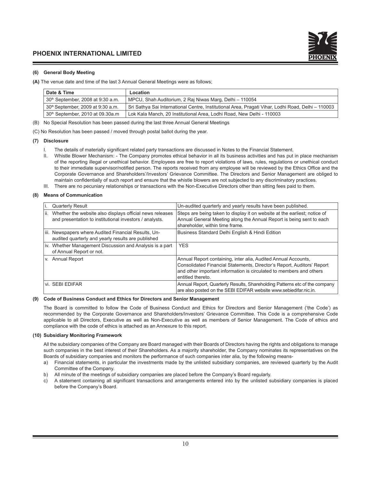

#### **(6) General Body Meeting**

**(A)** The venue date and time of the last 3 Annual General Meetings were as follows;

| Date & Time                                   | Location                                                                                           |
|-----------------------------------------------|----------------------------------------------------------------------------------------------------|
| 30 <sup>th</sup> September, 2008 at 9:30 a.m. | MPCU, Shah Auditorium, 2 Raj Niwas Marg, Delhi - 110054                                            |
| 30th September, 2009 at 9:30 a.m.             | Sri Sathya Sai International Centre, Institutional Area, Pragati Vihar, Lodhi Road, Delhi – 110003 |
| 30th September, 2010 at 09.30a.m              | Lok Kala Manch, 20 Institutional Area, Lodhi Road, New Delhi - 110003                              |

(B) No Special Resolution has been passed during the last three Annual General Meetings

(C) No Resolution has been passed / moved through postal ballot during the year.

#### **(7) Disclosure**

- The details of materially significant related party transactions are discussed in Notes to the Financial Statement.
- II. Whistle Blower Mechanism: The Company promotes ethical behavior in all its business activities and has put in place mechanism of the reporting illegal or unethical behavior. Employees are free to report violations of laws, rules, regulations or unethical conduct to their immediate supervisor/notified person. The reports received from any employee will be reviewed by the Ethics Office and the Corporate Governance and Shareholders'/Investors' Grievance Committee. The Directors and Senior Management are obliged to maintain confidentially of such report and ensure that the whistle blowers are not subjected to any discriminatory practices.
- III. There are no pecuniary relationships or transactions with the Non-Executive Directors other than sitting fees paid to them.

#### **(8) Means of Communication**

|      | <b>Quarterly Result</b>                                                                                             | Un-audited quarterly and yearly results have been published.                                                                                                                                                                         |
|------|---------------------------------------------------------------------------------------------------------------------|--------------------------------------------------------------------------------------------------------------------------------------------------------------------------------------------------------------------------------------|
| lii. | Whether the website also displays official news releases<br>and presentation to institutional investors / analysts. | Steps are being taken to display it on website at the earliest; notice of<br>Annual General Meeting along the Annual Report is being sent to each<br>shareholder, within time frame.                                                 |
|      | iii. Newspapers where Audited Financial Results, Un-<br>audited quarterly and yearly results are published          | Business Standard Delhi English & Hindi Edition                                                                                                                                                                                      |
|      | iv. Whether Management Discussion and Analysis is a part<br>of Annual Report or not.                                | <b>YFS</b>                                                                                                                                                                                                                           |
|      | v. Annual Report                                                                                                    | Annual Report containing, inter alia, Audited Annual Accounts,<br>Consolidated Financial Statements, Director's Report, Auditors' Report<br>and other important information is circulated to members and others<br>entitled thereto. |
|      | ∣vi. SEBI EDIFAR                                                                                                    | Annual Report, Quarterly Results, Shareholding Patterns etc of the company<br>are also posted on the SEBI EDIFAR website www.sebiedifar.nic.in.                                                                                      |

#### **(9) Code of Business Conduct and Ethics for Directors and Senior Management**

 The Board is committed to follow the Code of Business Conduct and Ethics for Directors and Senior Management ('the Code') as recommended by the Corporate Governance and Shareholders/Investors' Grievance Committee. This Code is a comprehensive Code applicable to all Directors, Executive as well as Non-Executive as well as members of Senior Management. The Code of ethics and compliance with the code of ethics is attached as an Annexure to this report.

#### **(10) Subsidiary Monitoring Framework**

 All the subsidiary companies of the Company are Board managed with their Boards of Directors having the rights and obligations to manage such companies in the best interest of their Shareholders. As a majority shareholder, the Company nominates its representatives on the Boards of subsidiary companies and monitors the performance of such companies inter alia, by the following means-

- a) Financial statements, in particular the investments made by the unlisted subsidiary companies, are reviewed quarterly by the Audit Committee of the Company.
- b) All minute of the meetings of subsidiary companies are placed before the Company's Board regularly.
- c) A statement containing all significant transactions and arrangements entered into by the unlisted subsidiary companies is placed before the Company's Board.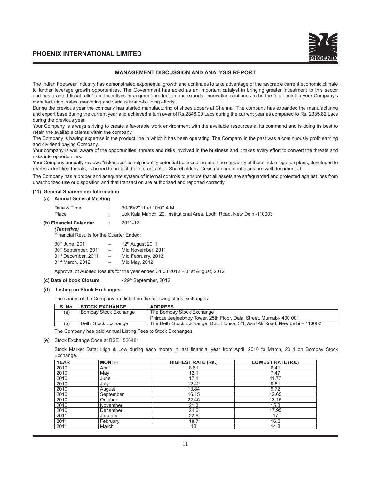#### **MANAGEMENT DISCUSSION AND ANALYSIS REPORT**

The Indian Footwear Industry has demonstrated exponential growth and continues to take advantage of the favorable current economic climate to further leverage growth opportunities. The Government has acted as an important catalyst in bringing greater investment to this sector and has granted fiscal relief and incentives to augment production and exports. Innovation continues to be the focal point in your Company's manufacturing, sales, marketing and various brand-building efforts.

During the previous year the company has started manufacturing of shoes uppers at Chennai. The company has expanded the manufacturing and export base during the current year and achieved a turn over of Rs.2846.00 Lacs during the current year as compared to Rs. 2335.82 Lacs during the previous year.

Your Company is always striving to create a favorable work environment with the available resources at its command and is doing its best to retain the available talents within the company.

The Company is having expertise in the product line in which it has been operating. The Company in the past was a continuously profit earning and dividend paying Company.

Your company is well aware of the opportunities, threats and risks involved in the business and it takes every effort to convert the threats and risks into opportunities.

Your Company annually reviews "risk maps" to help identify potential business threats. The capability of these risk mitigation plans, developed to redress identified threats, is honed to protect the interests of all Shareholders. Crisis management plans are well documented.

The Company has a proper and adequate system of internal controls to ensure that all assets are safeguarded and protected against loss from unauthorized use or disposition and that transaction are authorized and reported correctly.

#### **(11) General Shareholder Information**

#### **(a) Annual General Meeting**

| Date & Time<br>Place                  |    | 30/09/2011 at 10:00 A.M.<br>Lok Kala Manch, 20. Institutional Area, Lodhi Road, New Delhi-110003 |
|---------------------------------------|----|--------------------------------------------------------------------------------------------------|
| (b) Financial Calendar<br>(Tentative) | G. | 2011-12                                                                                          |

Financial Results for the Quarter Ended:

| 30th June, 2011                  | -                        | 12th August 2011   |
|----------------------------------|--------------------------|--------------------|
| 30 <sup>th</sup> September, 2011 | $\overline{\phantom{0}}$ | Mid November, 2011 |
| 31 <sup>st</sup> December, 2011  | $\overline{\phantom{0}}$ | Mid February, 2012 |
| 31 <sup>st</sup> March, 2012     | $-$                      | Mid May, 2012      |

Approval of Audited Results for the year ended 31.03.2012 – 31st August, 2012

**(c) Date of book Closure - 29th September, 2012** 

#### **(d) Listing on Stock Exchanges:**

The shares of the Company are listed on the following stock exchanges:

| <b>S. No.</b> | <b>STOCK EXCHANGE</b>        | <b>ADDRESS</b>                                                              |
|---------------|------------------------------|-----------------------------------------------------------------------------|
| (a)           | <b>Bombay Stock Exchange</b> | The Bombay Stock Exchange                                                   |
|               |                              | Phiroze Jeejeebhoy Tower, 25th Floor, Dalal Street, Mumabi- 400 001         |
| (b)           | Delhi Stock Exchange         | The Delhi Stock Exchange, DSE House, 3/1, Asaf Ali Road, New delhi – 110002 |

The Company has paid Annual Listing Fees to Stock Exchanges.

(e) Stock Exchange Code at BSE : 526481

 Stock Market Data: High & Low during each month in last financial year from April, 2010 to March, 2011 on Bombay Stock Exchange.

| <b>YEAR</b> | <b>MONTH</b> | <b>HIGHEST RATE (Rs.)</b> | <b>LOWEST RATE (Rs.)</b> |
|-------------|--------------|---------------------------|--------------------------|
| 2010        | April        | 8.61                      | 6.41                     |
| 2010        | May          | 12.1                      | 7.47                     |
| 2010        | June         | 17.1                      | 11.77                    |
| 2010        | July         | 12.42                     | 9.51                     |
| 2010        | August       | 13.84                     | 9.72                     |
| 2010        | September    | 16.15                     | 12.65                    |
| 2010        | October      | 22.45                     | 13.15                    |
| 2010        | November     | 21.3                      | 15.3                     |
| 2010        | December     | 24.6                      | 17.95                    |
| 2011        | January      | 22.6                      | 17                       |
| 2011        | February     | 18.7                      | 16.2                     |
| 2011        | March        | 18                        | 14.8                     |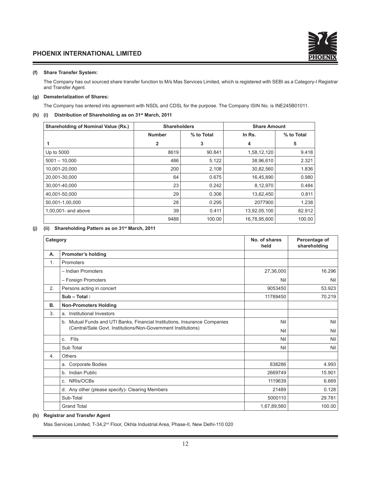#### **(f) Share Transfer System:**

 The Company has out sourced share transfer function to M/s Mas Services Limited, which is registered with SEBI as a Category-I Registrar and Transfer Agent.

#### **(g) Dematerialization of Shares:**

The Company has entered into agreement with NSDL and CDSL for the purpose. The Company ISIN No. is INE245B01011.

#### **(h) (i) Distribution of Shareholding as on 31st March, 2011**

| <b>Shareholding of Nominal Value (Rs.)</b> | <b>Shareholders</b> |            | <b>Share Amount</b> |            |
|--------------------------------------------|---------------------|------------|---------------------|------------|
|                                            | <b>Number</b>       | % to Total | In Rs.              | % to Total |
|                                            | $\overline{2}$      | 3          | 4                   | 5          |
| Up to 5000                                 | 8619                | 90.841     | 1,58,12,120         | 9.418      |
| $5001 - 10,000$                            | 486                 | 5.122      | 38,96,610           | 2.321      |
| 10,001-20,000                              | 200                 | 2.108      | 30,82,560           | 1.836      |
| 20,001-30,000                              | 64                  | 0.675      | 16,45,890           | 0.980      |
| 30,001-40,000                              | 23                  | 0.242      | 8,12,970            | 0.484      |
| 40,001-50,000                              | 29                  | 0.306      | 13,62,450           | 0.811      |
| 50,001-1,00,000                            | 28                  | 0.295      | 2077900             | 1.238      |
| 1,00,001- and above                        | 39                  | 0.411      | 13,92,05,100        | 82.912     |
|                                            | 9488                | 100.00     | 16,78,95,600        | 100.00     |

#### **(j) (ii) Shareholding Pattern as on 31st March, 2011**

| Category |                                                                            | No. of shares<br>held | Percentage of<br>shareholding |
|----------|----------------------------------------------------------------------------|-----------------------|-------------------------------|
| А.       | <b>Promoter's holding</b>                                                  |                       |                               |
| 1.       | Promoters                                                                  |                       |                               |
|          | - Indian Promoters                                                         | 27,36,000             | 16.296                        |
|          | - Foreign Promoters                                                        | Nil                   | Nil                           |
| 2.       | Persons acting in concert                                                  | 9053450               | 53.923                        |
|          | $Sub - Total:$                                                             | 11789450              | 70.219                        |
| В.       | <b>Non-Promoters Holding</b>                                               |                       |                               |
| 3.       | a. Institutional Investors                                                 |                       |                               |
|          | b. Mutual Funds and UTI Banks, Financial Institutions, Insurance Companies | Nil                   | Nil                           |
|          | (Central/Sale Govt. Institutions/Non-Government Institutions)              | Nil                   | Nil                           |
|          | Flls<br>C.                                                                 | Nil                   | Nil                           |
|          | Sub Total                                                                  | Nil                   | Nil                           |
| 4.       | <b>Others</b>                                                              |                       |                               |
|          | a. Corporate Bodies                                                        | 838286                | 4.993                         |
|          | b. Indian Public                                                           | 2669749               | 15.901                        |
|          | c. NRIs/OCBs                                                               | 1119639               | 6.669                         |
|          | d. Any other (please specify)- Clearing Members                            | 21489                 | 0.128                         |
|          | Sub-Total                                                                  | 5000110               | 29.781                        |
|          | <b>Grand Total</b>                                                         | 1,67,89,560           | 100.00                        |

#### **(h) Registrar and Transfer Agent**

Mas Services Limited, T-34,2<sup>nd</sup> Floor, Okhla Industrial Area, Phase-II, New Delhi-110 020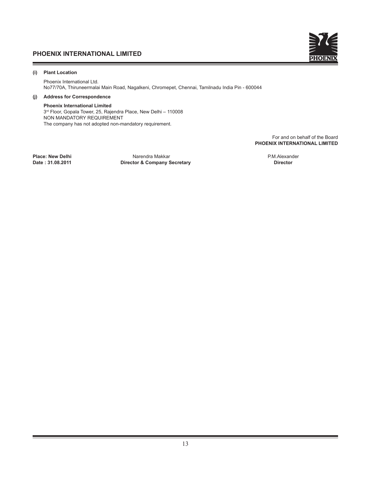

## **(i) Plant Location**

 Phoenix International Ltd. No77/70A, Thiruneermalai Main Road, Nagalkeni, Chromepet, Chennai, Tamilnadu India Pin - 600044

# **(j) Address for Correspondence**

#### **Phoenix International Limited**

 3rd Floor, Gopala Tower, 25, Rajendra Place, New Delhi – 110008 NON MANDATORY REQUIREMENT The company has not adopted non-mandatory requirement.

> For and on behalf of the Board **PHOENIX INTERNATIONAL LIMITED**

**Place: New Delhi** Narendra Makkar P.M.Alexander **Director & Company Secretary**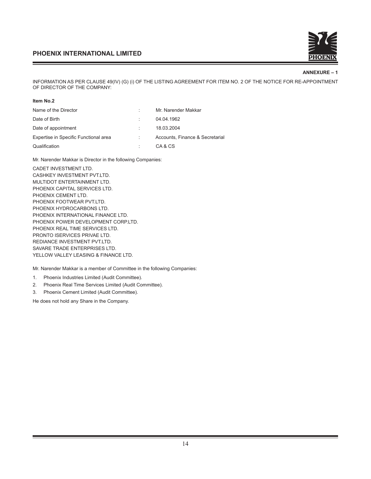

#### **ANNEXURE – 1**

INFORMATION AS PER CLAUSE 49(IV) (G) (i) OF THE LISTING AGREEMENT FOR ITEM NO. 2 OF THE NOTICE FOR RE-APPOINTMENT OF DIRECTOR OF THE COMPANY:

| Name of the Director                  | Mr. Narender Makkar             |
|---------------------------------------|---------------------------------|
| Date of Birth                         | 04.04.1962                      |
| Date of appointment                   | 18.03.2004                      |
| Expertise in Specific Functional area | Accounts, Finance & Secretarial |
| Qualification                         | CA & CS                         |

Mr. Narender Makkar is Director in the following Companies:

CADET INVESTMENT LTD. CASHKEY INVESTMENT PVT.LTD. MULTIDOT ENTERTAINMENT LTD. PHOENIX CAPITAL SERVICES LTD. PHOENIX CEMENT LTD. PHOENIX FOOTWEAR PVT.LTD. PHOENIX HYDROCARBONS LTD. PHOENIX INTERNATIONAL FINANCE LTD. PHOENIX POWER DEVELOPMENT CORP.LTD. PHOENIX REAL TIME SERVICES LTD. PRONTO ISERVICES PRIVAE LTD. REDIANCE INVESTMENT PVT.LTD. SAVARE TRADE ENTERPRISES LTD. YELLOW VALLEY LEASING & FINANCE LTD.

Mr. Narender Makkar is a member of Committee in the following Companies:

- 1. Phoenix Industries Limited (Audit Committee).
- 2. Phoenix Real Time Services Limited (Audit Committee).
- 3. Phoenix Cement Limited (Audit Committee).

He does not hold any Share in the Company.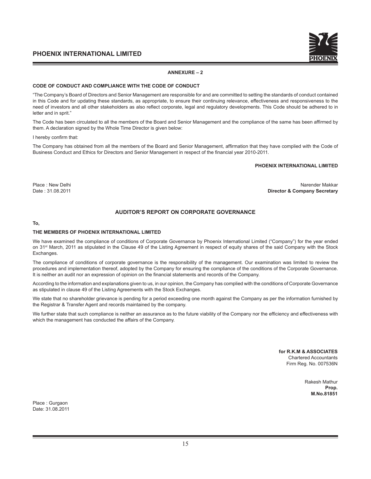

#### **ANNEXURE – 2**

#### **CODE OF CONDUCT AND COMPLIANCE WITH THE CODE OF CONDUCT**

"The Company's Board of Directors and Senior Management are responsible for and are committed to setting the standards of conduct contained in this Code and for updating these standards, as appropriate, to ensure their continuing relevance, effectiveness and responsiveness to the need of investors and all other stakeholders as also reflect corporate, legal and regulatory developments. This Code should be adhered to in letter and in sprit."

The Code has been circulated to all the members of the Board and Senior Management and the compliance of the same has been affirmed by them. A declaration signed by the Whole Time Director is given below:

I hereby confirm that:

The Company has obtained from all the members of the Board and Senior Management, affirmation that they have complied with the Code of Business Conduct and Ethics for Directors and Senior Management in respect of the financial year 2010-2011.

#### **PHOENIX INTERNATIONAL LIMITED**

Place : New Delhi Narender Makkar Narender Makkar Narender Makkar Narender Makkar Narender Makkar Narender Makkar Date : 31.08.2011 **Director & Company Secretary**

### **AUDITOR'S REPORT ON CORPORATE GOVERNANCE**

#### **To,**

#### **THE MEMBERS OF PHOENIX INTERNATIONAL LIMITED**

We have examined the compliance of conditions of Corporate Governance by Phoenix International Limited ("Company") for the year ended on 31<sup>st</sup> March, 2011 as stipulated in the Clause 49 of the Listing Agreement in respect of equity shares of the said Company with the Stock Exchanges.

The compliance of conditions of corporate governance is the responsibility of the management. Our examination was limited to review the procedures and implementation thereof, adopted by the Company for ensuring the compliance of the conditions of the Corporate Governance. It is neither an audit nor an expression of opinion on the financial statements and records of the Company.

According to the information and explanations given to us, in our opinion, the Company has complied with the conditions of Corporate Governance as stipulated in clause 49 of the Listing Agreements with the Stock Exchanges.

We state that no shareholder grievance is pending for a period exceeding one month against the Company as per the information furnished by the Registrar & Transfer Agent and records maintained by the company.

We further state that such compliance is neither an assurance as to the future viability of the Company nor the efficiency and effectiveness with which the management has conducted the affairs of the Company.

> **for R.K.M & ASSOCIATES** Chartered Accountants Firm Reg. No. 007536N

> > Rakesh Mathur **Prop. M.No.81851**

Place : Gurgaon Date: 31.08.2011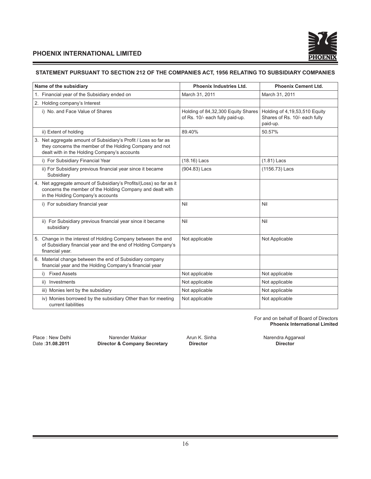

# **STATEMENT PURSUANT TO SECTION 212 OF THE COMPANIES ACT, 1956 RELATING TO SUBSIDIARY COMPANIES**

| Name of the subsidiary                                                                                                                                                     | <b>Phoenix Industries Ltd.</b>                                        | <b>Phoenix Cement Ltd.</b>                                                 |
|----------------------------------------------------------------------------------------------------------------------------------------------------------------------------|-----------------------------------------------------------------------|----------------------------------------------------------------------------|
| 1. Financial year of the Subsidiary ended on                                                                                                                               | March 31, 2011                                                        | March 31, 2011                                                             |
| 2. Holding company's Interest                                                                                                                                              |                                                                       |                                                                            |
| i) No. and Face Value of Shares                                                                                                                                            | Holding of 84,32,300 Equity Shares<br>of Rs. 10/- each fully paid-up. | Holding of 4,19,53,510 Equity<br>Shares of Rs. 10/- each fully<br>paid-up. |
| ii) Extent of holding                                                                                                                                                      | 89.40%                                                                | 50.57%                                                                     |
| 3. Net aggregate amount of Subsidiary's Profit / Loss so far as<br>they concerns the member of the Holding Company and not<br>dealt with in the Holding Company's accounts |                                                                       |                                                                            |
| i) For Subsidiary Financial Year                                                                                                                                           | (18.16) Lacs                                                          | $(1.81)$ Lacs                                                              |
| ii) For Subsidiary previous financial year since it became<br>Subsidiary                                                                                                   | (904.83) Lacs                                                         | (1156.73) Lacs                                                             |
| 4. Net aggregate amount of Subsidiary's Profits/(Loss) so far as it<br>concerns the member of the Holding Company and dealt with<br>in the Holding Company's accounts      |                                                                       |                                                                            |
| i) For subsidiary financial year                                                                                                                                           | Nil                                                                   | Nil                                                                        |
| ii) For Subsidiary previous financial year since it became<br>subsidiary                                                                                                   | Nil                                                                   | Nil                                                                        |
| 5. Change in the interest of Holding Company between the end<br>of Subsidiary financial year and the end of Holding Company's<br>financial year.                           | Not applicable                                                        | Not Applicable                                                             |
| Material change between the end of Subsidiary company<br>6.<br>financial year and the Holding Company's financial year                                                     |                                                                       |                                                                            |
| <b>Fixed Assets</b><br>i)                                                                                                                                                  | Not applicable                                                        | Not applicable                                                             |
| ii) Investments                                                                                                                                                            | Not applicable                                                        | Not applicable                                                             |
| iii) Monies lent by the subsidiary                                                                                                                                         | Not applicable                                                        | Not applicable                                                             |
| iv) Monies borrowed by the subsidiary Other than for meeting<br>current liabilities                                                                                        | Not applicable                                                        | Not applicable                                                             |

For and on behalf of Board of Directors **Phoenix International Limited**

Place : New Delhi **Narender Makkar** Arun K. Sinha Narendra Aggarwal Date : 31.08.2011 **Director & Company Secretary Director Director Director Director Director & Company Secretary**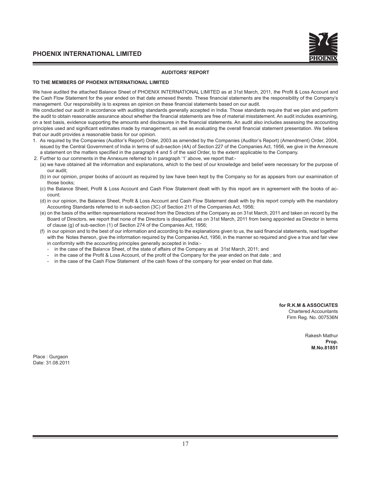#### **AUDITORS' REPORT**

#### **TO THE MEMBERS OF PHOENIX INTERNATIONAL LIMITED**

We have audited the attached Balance Sheet of PHOENIX INTERNATIONAL LIMITED as at 31st March, 2011, the Profit & Loss Account and the Cash Flow Statement for the year ended on that date annexed thereto. These financial statements are the responsibility of the Company's management. Our responsibility is to express an opinion on these financial statements based on our audit.

We conducted our audit in accordance with auditing standards generally accepted in India. Those standards require that we plan and perform the audit to obtain reasonable assurance about whether the financial statements are free of material misstatement. An audit includes examining, on a test basis, evidence supporting the amounts and disclosures in the financial statements. An audit also includes assessing the accounting principles used and significant estimates made by management, as well as evaluating the overall financial statement presentation. We believe that our audit provides a reasonable basis for our opinion.

- 1. As required by the Companies (Auditor's Report) Order, 2003 as amended by the Companies (Auditor's Report) (Amendment) Order, 2004, issued by the Central Government of India in terms of sub-section (4A) of Section 227 of the Companies Act, 1956, we give in the Annexure a statement on the matters specified in the paragraph 4 and 5 of the said Order, to the extent applicable to the Company.
- 2. Further to our comments in the Annexure referred to in paragraph '1' above, we report that:-
	- (a) we have obtained all the information and explanations, which to the best of our knowledge and belief were necessary for the purpose of our audit;
	- (b) in our opinion, proper books of account as required by law have been kept by the Company so for as appears from our examination of those books;
	- (c) the Balance Sheet, Profit & Loss Account and Cash Flow Statement dealt with by this report are in agreement with the books of account;
	- (d) in our opinion, the Balance Sheet, Profit & Loss Account and Cash Flow Statement dealt with by this report comply with the mandatory Accounting Standards referred to in sub-section (3C) of Section 211 of the Companies Act, 1956;
	- (e) on the basis of the written representations received from the Directors of the Company as on 31st March, 2011 and taken on record by the Board of Directors, we report that none of the Directors is disqualified as on 31st March, 2011 from being appointed as Director in terms of clause (g) of sub-section (1) of Section 274 of the Companies Act, 1956;
	- (f) in our opinion and to the best of our information and according to the explanations given to us, the said financial statements, read together with the Notes thereon, give the information required by the Companies Act, 1956, in the manner so required and give a true and fair view in conformity with the accounting principles generally accepted in India:-
		- in the case of the Balance Sheet, of the state of affairs of the Company as at 31st March, 2011; and
		- in the case of the Profit & Loss Account, of the profit of the Company for the year ended on that date; and
		- in the case of the Cash Flow Statement of the cash flows of the company for year ended on that date.

**for R.K.M & ASSOCIATES** Chartered Accountants Firm Reg. No. 007536N

> Rakesh Mathur **Prop. M.No.81851**

Place : Gurgaon Date: 31.08.2011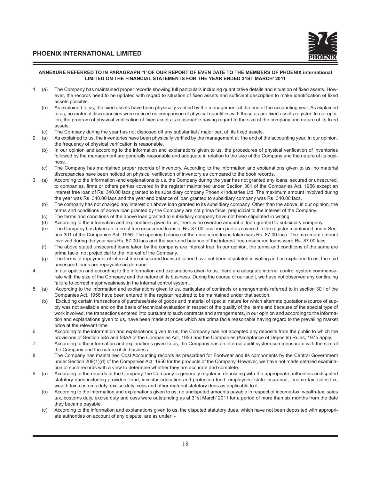

#### **ANNEXURE REFERRED TO IN PARAGRAPH '1' OF OUR REPORT OF EVEN DATE TO THE MEMBERS OF PHOENIX international LIMITED ON THE FINANCIAL STATEMENTS FOR THE YEAR ENDED 31ST MARCH' 2011**

- 1. (a) The Company has maintained proper records showing full particulars including quantitative details and situation of fixed assets. However, the records need to be updated with regard to situation of fixed assets and sufficient description to make identification of fixed assets possible.
	- (b) As explained to us, the fixed assets have been physically verified by the management at the end of the accounting year. As explained to us, no material discrepancies were noticed on comparison of physical quantities with those as per fixed assets register. In our opinion, the program of physical verification of fixed assets is reasonable having regard to the size of the company and nature of its fixed assets.
	- (c) The Company during the year has not disposed off any substantial / major part of its fixed assets.
- 2. (a) As explained to us, the inventories have been physically verified by the management at the end of the accounting year. In our opinion, the frequency of physical verification is reasonable.
	- (b) In our opinion and according to the information and explanations given to us, the procedures of physical verification of inventories followed by the management are generally reasonable and adequate in relation to the size of the Company and the nature of its business.
	- (c) The Company has maintained proper records of inventory. According to the information and explanations given to us, no material discrepancies have been noticed on physical verification of inventory as compared to the book records.
- 3. (a) According to the Information -and explanations to us, the Company during the year has not granted any loans, secured or unsecured, to companies, firms or others parties covered in the register maintained under Section 301 of the Companies Act, 1956 except an interest free loan of Rs. 340.00 lacs granted to its subsidiary company Phoenix Industries Ltd. The maximum amount involved during the year was Rs. 340.00 lacs and the year end balance of loan granted to subsidiary company was Rs. 340.00 lacs.
	- (b) The company has not charged any interest on above loan granted to its subsidiary company. Other than the above, in our opinion, the terms and conditions of above loan granted by the Company are not prima facie, prejudicial to the interest of the Company.
	- (c) The terms and conditions of the above loan granted to subsidiary company have not been stipulated in writing.
	- (d) According to the information and explanations given to us, there is no overdue amount of loan granted to subsidiary company.
	- (e) The Company has taken an interest free unsecured loans of Rs. 87.00 lacs from parties covered in the register maintained under Section 301 of the Companies Act, 1956. The opening balance of the unsecured loans taken was Rs. 87.00 lacs. The maximum amount involved during the year was Rs. 87.00 lacs and the year-end balance of the interest free unsecured loans were Rs. 87.00 lacs.
	- (f) The above stated unsecured loans taken by the company are interest free. In our opinion, the terms and conditions of the same are prima facie, not prejudicial to the interest of the Company.
	- (g) The terms of repayment of interest free unsecured loans obtained have not been stipulated in writing and as explained to us, the said unsecured loans are repayable on demand.
- 4. In our opinion and according to the information and explanations given to us, there are adequate internal control system commensurate with the size of the Company and the nature of its business. During the course of our audit, we have not observed any continuing failure to correct major weakness in the internal control system.
- 5. (a) According to the information and explanations given to us, particulars of contracts or arrangements referred to in section 301 of the Companies Act, 1956 have been entered in the register required to be maintained under that section.
	- (b) Excluding certain transactions of purchase/sale of goods and material of special nature for which alternate quotations/source of supply was not available and on the basis of technical evaluation in respect of the quality of the items and because of the special type of work involved, the transactions entered into pursuant to such contracts and arrangements, in our opinion and according to the information and explanations given to us, have been made at prices which are prima facie reasonable having regard to the prevailing market price at the relevant time.
- 6. According to the information and explanations given to us, the Company has not accepted any deposits from the public to which the provisions of Section 58A and 58AA of the Companies Act, 1956 and the Companies (Acceptance of Deposits) Rules, 1975 apply.
- 7. According to the information and explanations given to us, the Company has an internal audit system commensurate with the size of the Company and the nature of its business.
- 8. The Company has maintained Cost Accounting records as prescribed for Footwear and its components by the Central Government under Section 209(1)(d) of the Companies Act, 1956 for the products of the Company. However, we have not made detailed examination of such records with a view to determine whether they are accurate and complete.
- 9. (a) According to the records of the Company, the Company is generally regular in depositing with the appropriate authorities undisputed statutory dues including provident fund, investor education and protection fund, employees' state insurance, income tax, sales-tax, wealth tax, customs duty, excise-duty, cess and other material statutory dues as applicable to it.
	- (b) According to the information and explanations given to us, no undisputed amounts payable in respect of income-tax, wealth-tax, sales tax, customs duty, excise duty and cess were outstanding as at 31st March' 2011 for a period of more than six months from the date they became payable.
	- (c) According to the information and explanations given to us, the disputed statutory dues, which have not been deposited with appropriate authorities on account of any dispute, are as under: -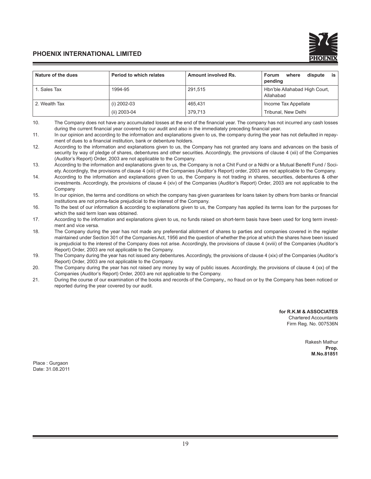| Nature of the dues | Period to which relates | Amount involved Rs. | is<br>where<br>dispute<br><b>Forum</b><br>pending |  |
|--------------------|-------------------------|---------------------|---------------------------------------------------|--|
| 1. Sales Tax       | 1994-95                 | 291,515             | Hbn'ble Allahabad High Court,<br>Allahabad        |  |
| 2. Wealth Tax      | (i) 2002-03             | 465,431             | Income Tax Appellate                              |  |
|                    | (ii) 2003-04            | 379.713             | Tribunal, New Delhi                               |  |

<sup>10.</sup> The Company does not have any accumulated losses at the end of the financial year. The company has not incurred any cash losses during the current financial year covered by our audit and also in the immediately preceding financial year.

**for R.K.M & ASSOCIATES** Chartered Accountants Firm Reg. No. 007536N

> Rakesh Mathur **Prop. M.No.81851**

Place : Gurgaon Date: 31.08.2011

<sup>11.</sup> In our opinion and according to the information and explanations given to us, the company during the year has not defaulted in repayment of dues to a financial institution, bank or debenture holders.

<sup>12.</sup> According to the information and explanations given to us, the Company has not granted any loans and advances on the basis of security by way of pledge of shares, debentures and other securities. Accordingly, the provisions of clause 4 (xii) of the Companies (Auditor's Report) Order, 2003 are not applicable to the Company.

<sup>13.</sup> According to the information and explanations given to us, the Company is not a Chit Fund or a Nidhi or a Mutual Benefit Fund / Society. Accordingly, the provisions of clause 4 (xiii) of the Companies (Auditor's Report) order, 2003 are not applicable to the Company.

<sup>14.</sup> According to the information and explanations given to us, the Company is not trading in shares, securities, debentures & other investments. Accordingly, the provisions of clause 4 (xiv) of the Companies (Auditor's Report) Order, 2003 are not applicable to the Company

<sup>15.</sup> In our opinion, the terms and conditions on which the company has given guarantees for loans taken by others from banks or financial institutions are not prima-facie prejudicial to the interest of the Company.

<sup>16.</sup> To the best of our information & according to explanations given to us, the Company has applied its terms loan for the purposes for which the said term loan was obtained.

<sup>17.</sup> According to the information and explanations given to us, no funds raised on short-term basis have been used for long term investment and vice versa.

<sup>18.</sup> The Company during the year has not made any preferential allotment of shares to parties and companies covered in the register maintained under Section 301 of the Companies Act, 1956 and the question of whether the price at which the shares have been issued is prejudicial to the interest of the Company does not arise. Accordingly, the provisions of clause 4 (xviii) of the Companies (Auditor's Report) Order, 2003 are not applicable to the Company.

<sup>19.</sup> The Company during the year has not issued any debentures. Accordingly, the provisions of clause 4 (xix) of the Companies (Auditor's Report) Order, 2003 are not applicable to the Company.

<sup>20.</sup> The Company during the year has not raised any money by way of public issues. Accordingly, the provisions of clause 4 (xx) of the Companies (Auditor's Report) Order, 2003 are not applicable to the Company.

<sup>21.</sup> During the course of our examination of the books and records of the Company,, no fraud on or by the Company has been noticed or reported during the year covered by our audit.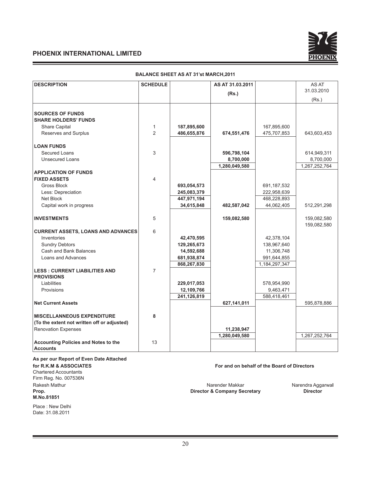

| <b>DESCRIPTION</b>                                        | <b>SCHEDULE</b>                |             | AS AT 31.03.2011 |               | AS AT<br>31.03.2010 |
|-----------------------------------------------------------|--------------------------------|-------------|------------------|---------------|---------------------|
|                                                           |                                |             | (Rs.)            |               |                     |
|                                                           |                                |             |                  |               | (Rs.)               |
|                                                           |                                |             |                  |               |                     |
| <b>SOURCES OF FUNDS</b>                                   |                                |             |                  |               |                     |
| <b>SHARE HOLDERS' FUNDS</b>                               |                                |             |                  |               |                     |
| Share Capital                                             | $\mathbf{1}$<br>$\overline{2}$ | 187,895,600 |                  | 167,895,600   |                     |
| Reserves and Surplus                                      |                                | 486,655,876 | 674,551,476      | 475,707,853   | 643,603,453         |
| <b>LOAN FUNDS</b>                                         |                                |             |                  |               |                     |
| Secured Loans                                             | 3                              |             | 596,798,104      |               | 614,949,311         |
| <b>Unsecured Loans</b>                                    |                                |             | 8,700,000        |               | 8,700,000           |
|                                                           |                                |             | 1,280,049,580    |               | 1,267,252,764       |
| <b>APPLICATION OF FUNDS</b>                               |                                |             |                  |               |                     |
| <b>FIXED ASSETS</b>                                       | 4                              |             |                  |               |                     |
| Gross Block                                               |                                | 693,054,573 |                  | 691, 187, 532 |                     |
| Less: Depreciation                                        |                                | 245,083,379 |                  | 222,958,639   |                     |
| Net Block                                                 |                                | 447,971,194 |                  | 468,228,893   |                     |
| Capital work in progress                                  |                                | 34,615,848  | 482,587,042      | 44,062,405    | 512,291,298         |
|                                                           |                                |             |                  |               |                     |
| <b>INVESTMENTS</b>                                        | 5                              |             | 159,082,580      |               | 159,082,580         |
|                                                           |                                |             |                  |               | 159,082,580         |
| <b>CURRENT ASSETS, LOANS AND ADVANCES</b>                 | 6                              |             |                  |               |                     |
| Inventories                                               |                                | 42,470,595  |                  | 42,378,104    |                     |
| <b>Sundry Debtors</b>                                     |                                | 129,265,673 |                  | 138,967,640   |                     |
| Cash and Bank Balances                                    |                                | 14,592,688  |                  | 11,306,748    |                     |
| Loans and Advances                                        |                                | 681,938,874 |                  | 991,644,855   |                     |
|                                                           |                                | 868,267,830 |                  | 1,184,297,347 |                     |
| <b>LESS: CURRENT LIABILITIES AND</b><br><b>PROVISIONS</b> | $\overline{7}$                 |             |                  |               |                     |
| Liabilities                                               |                                | 229,017,053 |                  | 578,954,990   |                     |
| Provisions                                                |                                | 12,109,766  |                  | 9,463,471     |                     |
|                                                           |                                | 241,126,819 |                  | 588,418,461   |                     |
| <b>Net Current Assets</b>                                 |                                |             | 627,141,011      |               | 595,878,886         |
|                                                           |                                |             |                  |               |                     |
| <b>MISCELLANNEOUS EXPENDITURE</b>                         | 8                              |             |                  |               |                     |
| (To the extent not written off or adjusted)               |                                |             |                  |               |                     |
| <b>Renovation Expenses</b>                                |                                |             | 11,238,947       |               |                     |
|                                                           |                                |             | 1,280,049,580    |               | 1,267,252,764       |
| Accounting Policies and Notes to the                      | 13                             |             |                  |               |                     |
| <b>Accounts</b>                                           |                                |             |                  |               |                     |

#### **BALANCE SHEET AS AT 31'st MARCH,2011**

**As per our Report of Even Date Attached**

Chartered Accountants Firm Reg. No. 007536N **M.No.81851**

Place : New Delhi Date: 31.08.2011

### **for R.K.M & ASSOCIATES For and on behalf of the Board of Directors**

Rakesh Mathur **Narender Makkar Narender Makkar** Narender Makkar Narendra Aggarwal **Prop.** Narendra Aggarwal **Prop. CONFICENT Prop. Director & Company Secretary Prop. Director Director** & Company Secretary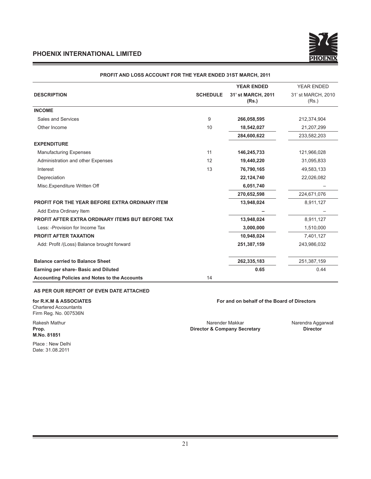

|                                                         |                 | <b>YEAR ENDED</b>           | <b>YEAR ENDED</b>           |
|---------------------------------------------------------|-----------------|-----------------------------|-----------------------------|
| <b>DESCRIPTION</b>                                      | <b>SCHEDULE</b> | 31' st MARCH, 2011<br>(Rs.) | 31' st MARCH, 2010<br>(Rs.) |
| <b>INCOME</b>                                           |                 |                             |                             |
| Sales and Services                                      | 9               | 266,058,595                 | 212,374,904                 |
| Other Income                                            | 10              | 18,542,027                  | 21,207,299                  |
|                                                         |                 | 284,600,622                 | 233,582,203                 |
| <b>EXPENDITURE</b>                                      |                 |                             |                             |
| <b>Manufacturing Expenses</b>                           | 11              | 146,245,733                 | 121,966,028                 |
| Administration and other Expenses                       | 12              | 19,440,220                  | 31,095,833                  |
| Interest                                                | 13              | 76,790,165                  | 49,583,133                  |
| Depreciation                                            |                 | 22,124,740                  | 22,026,082                  |
| Misc.Expenditure Written Off                            |                 | 6,051,740                   |                             |
|                                                         |                 | 270,652,598                 | 224,671,076                 |
| <b>PROFIT FOR THE YEAR BEFORE EXTRA ORDINARY ITEM</b>   |                 | 13,948,024                  | 8,911,127                   |
| Add Extra Ordinary Item                                 |                 |                             |                             |
| <b>PROFIT AFTER EXTRA ORDINARY ITEMS BUT BEFORE TAX</b> |                 | 13,948,024                  | 8,911,127                   |
| Less: - Provision for Income Tax                        |                 | 3,000,000                   | 1,510,000                   |
| <b>PROFIT AFTER TAXATION</b>                            |                 | 10,948,024                  | 7,401,127                   |
| Add: Profit /(Loss) Balance brought forward             |                 | 251,387,159                 | 243,986,032                 |
| <b>Balance carried to Balance Sheet</b>                 |                 | 262,335,183                 | 251,387,159                 |
| Earning per share- Basic and Diluted                    |                 | 0.65                        | 0.44                        |
| <b>Accounting Policies and Notes to the Accounts</b>    | 14              |                             |                             |

#### **PROFIT AND LOSS ACCOUNT FOR THE YEAR ENDED 31ST MARCH, 2011**

**AS PER OUR REPORT OF EVEN DATE ATTACHED**

Chartered Accountants Firm Reg. No. 007536N

**M.No. 81851**

Place : New Delhi Date: 31.08.2011

**for R.K.M & ASSOCIATES For and on behalf of the Board of Directors**

Rakesh Mathur **Narender Makkar Narender Makkar** Narender Makkar Narendra Aggarwal **Prop. Narendra Aggarwal Prop. Director & Company Secretary Director Director & Company Secretary**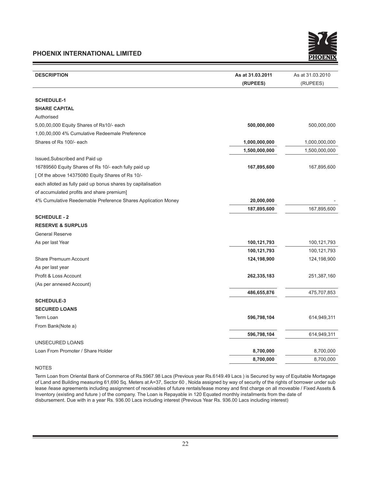

| <b>DESCRIPTION</b>                                           | As at 31.03.2011 | As at 31.03.2010 |
|--------------------------------------------------------------|------------------|------------------|
|                                                              | (RUPEES)         | (RUPEES)         |
|                                                              |                  |                  |
| <b>SCHEDULE-1</b>                                            |                  |                  |
| <b>SHARE CAPITAL</b>                                         |                  |                  |
| Authorised                                                   |                  |                  |
| 5,00,00,000 Equity Shares of Rs10/- each                     | 500,000,000      | 500,000,000      |
| 1,00,00,000 4% Cumulative Redeemale Preference               |                  |                  |
| Shares of Rs 100/- each                                      | 1,000,000,000    | 1,000,000,000    |
|                                                              | 1,500,000,000    | 1,500,000,000    |
| Issued, Subscribed and Paid up                               |                  |                  |
| 16789560 Equity Shares of Rs 10/- each fully paid up         | 167,895,600      | 167,895,600      |
| [ Of the above 14375080 Equity Shares of Rs 10/-             |                  |                  |
| each alloted as fully paid up bonus shares by capitalisation |                  |                  |
| of accumulated profits and share premium]                    |                  |                  |
| 4% Cumulative Reedemable Preference Shares Application Money | 20,000,000       |                  |
|                                                              | 187,895,600      | 167,895,600      |
| <b>SCHEDULE - 2</b>                                          |                  |                  |
| <b>RESERVE &amp; SURPLUS</b>                                 |                  |                  |
| <b>General Reserve</b>                                       |                  |                  |
| As per last Year                                             | 100,121,793      | 100,121,793      |
|                                                              | 100,121,793      | 100,121,793      |
| Share Premuum Account                                        | 124,198,900      | 124,198,900      |
| As per last year                                             |                  |                  |
| Profit & Loss Account                                        | 262,335,183      | 251,387,160      |
| (As per annexed Account)                                     |                  |                  |
|                                                              | 486,655,876      | 475,707,853      |
| <b>SCHEDULE-3</b>                                            |                  |                  |
| <b>SECURED LOANS</b>                                         |                  |                  |
| Term Loan                                                    | 596,798,104      | 614,949,311      |
| From Bank(Note a)                                            |                  |                  |
|                                                              | 596,798,104      | 614,949,311      |
| UNSECURED LOANS                                              |                  |                  |
| Loan From Promoter / Share Holder                            | 8,700,000        | 8,700,000        |
|                                                              | 8,700,000        | 8,700,000        |

# NOTES

Term Loan from Oriental Bank of Commerce of Rs.5967.98 Lacs (Previous year Rs.6149.49 Lacs ) is Secured by way of Equitable Mortagage of Land and Building measuring 61,690 Sq. Meters at A=37, Sector 60 , Noida assigned by way of security of the rights of borrower under sub lease /lease agreements including assignment of receivables of future rentals/lease money and first charge on all moveable / Fixed Assets & Inventory (existing and future ) of the company. The Loan is Repayable in 120 Equated monthly installments from the date of disbursement. Due with in a year Rs. 936.00 Lacs including interest (Previous Year Rs. 936.00 Lacs including interest)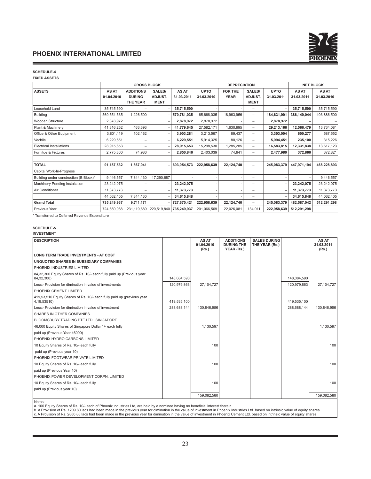

#### **SCHEDULE-4**

**FIXED ASSETS**

|                                        |              | <b>GROSS BLOCK</b> |                |             |             | <b>DEPRECIATION</b> |                          |             |             | <b>NET BLOCK</b> |
|----------------------------------------|--------------|--------------------|----------------|-------------|-------------|---------------------|--------------------------|-------------|-------------|------------------|
| <b>ASSETS</b>                          | <b>AS AT</b> | <b>ADDITIONS</b>   | SALES/         | AS AT       | <b>UPTO</b> | <b>FOR THE</b>      | SALES/                   | <b>UPTO</b> | AS AT       | AS AT            |
|                                        | 01.04.2010   | <b>DURING</b>      | <b>ADJUST-</b> | 31.03.2011  | 31.03.2010  | <b>YEAR</b>         | <b>ADJUST-</b>           | 31.03.2011  | 31.03.2011  | 31.03.2010       |
|                                        |              | <b>THE YEAR</b>    | <b>MENT</b>    |             |             |                     | <b>MENT</b>              |             |             |                  |
| Leasehold Land                         | 35,715,590   |                    |                | 35,715,590  |             |                     | $\overline{\phantom{0}}$ |             | 35,715,590  | 35,715,590       |
| Building                               | 569,554,535  | 1,226,500          |                | 570,781,035 | 165,668,035 | 18,963,956          | $\overline{\phantom{0}}$ | 184,631,991 | 386,149,044 | 403,886,500      |
| Wooden Structure                       | 2,878,972    |                    |                | 2,878,972   | 2,878,972   |                     | -                        | 2,878,972   |             |                  |
| Plant & Machinery                      | 41,316,252   | 463,393            |                | 41,779,645  | 27,582,171  | 1,630,995           | $\overline{\phantom{0}}$ | 29,213,166  | 12,566,479  | 13,734,081       |
| Office & Other Equipment               | 3,801,119    | 102,162            |                | 3,903,281   | 3,213,567   | 89,437              | $\overline{\phantom{0}}$ | 3,303,004   | 600,277     | 587,552          |
| Vechile                                | 6,229,551    |                    |                | 6,229,551   | 5,914,325   | 80,126              | -                        | 5,994,451   | 235,100     | 315,226          |
| <b>Electrical Installations</b>        | 28,915,653   |                    |                | 28,915,653  | 15,298,530  | 1,285,285           | -                        | 16,583,815  | 12,331,838  | 13,617,123       |
| Furnitue & Fixtures                    | 2,775,860    | 74,986             |                | 2,850,846   | 2,403,039   | 74,941              | $\overline{\phantom{0}}$ | 2,477,980   | 372,866     | 372,821          |
|                                        |              |                    |                |             |             |                     | -                        |             |             |                  |
| <b>TOTAL</b>                           | 91,187,532   | 1,867,041          |                | 693,054,573 | 222,958,639 | 22,124,740          | -                        | 245,083,379 | 447,971,194 | 468,228,893      |
| Capital Work-In-Progress               |              |                    |                |             |             |                     |                          |             |             |                  |
| Building under construction (B Block)* | 9,446,557    | 7,844,130          | 17,290,687     |             |             |                     | $\overline{\phantom{0}}$ |             |             | 9,446,557        |
| Machinery Pending installation         | 23,242,075   |                    |                | 23,242,075  |             |                     | -                        |             | 23,242,075  | 23,242,075       |
| Air Conditioner                        | 11,373,773   |                    |                | 11,373,773  |             |                     | -                        |             | 11,373,773  | 11,373,773       |
|                                        | 44,062,405   | 7,844,130          |                | 34,615,848  |             |                     | $\overline{\phantom{0}}$ |             | 34,615,848  | 44,062,405       |
| <b>Grand Total</b>                     | 735,249,937  | 9,711,171          |                | 727,670,421 | 222,958,639 | 22,124,740          | $\overline{\phantom{0}}$ | 245,083,379 | 482,587,042 | 512,291,298      |
| Previous Year                          | 724.650.088  | 231,119,689        | 220,519,840    | 735,249,937 | 201.066.569 | 22,026,081          | 134.011                  | 222,958,639 | 512,291,298 |                  |

\* Transferred to Deferred Revenue Expenditure

#### **SCHEDULE-5**

**INVESTMENT**

| <b>DESCRIPTION</b>                                                                    |             | AS AT<br>01.04.2010<br>(Rs.) | <b>ADDITIONS</b><br><b>DURING THE</b><br>YEAR (Rs.) | <b>SALES DURING</b><br>THE YEAR (Rs.) |             | AS AT<br>31.03.2011<br>(Rs.) |
|---------------------------------------------------------------------------------------|-------------|------------------------------|-----------------------------------------------------|---------------------------------------|-------------|------------------------------|
| <b>LONG TERM TRADE INVESTMENTS - AT COST</b>                                          |             |                              |                                                     |                                       |             |                              |
| UNQUOTED SHARES IN SUBSIDIARY COMPANIES                                               |             |                              |                                                     |                                       |             |                              |
| PHOENIX INDUSTRIES LIMITED                                                            |             |                              |                                                     |                                       |             |                              |
| 84,32,300 Equity Shares of Rs. 10/- each fully paid up (Previous year<br>84,32,300)   | 148,084,590 |                              |                                                     |                                       | 148.084.590 |                              |
| Less:- Provision for diminution in value of investments                               | 120.979.863 | 27.104.727                   |                                                     |                                       | 120.979.863 | 27,104,727                   |
| PHOENIX CEMENT LIMITED                                                                |             |                              |                                                     |                                       |             |                              |
| 419,53,510 Equity Shares of Rs. 10/- each fully paid up (previous year<br>4,19,53510) | 419,535,100 |                              |                                                     |                                       | 419,535,100 |                              |
| Less:- Provision for diminution in value of investment                                | 288,688,144 | 130,846,956                  |                                                     |                                       | 288,688,144 | 130,846,956                  |
| <b>SHARES IN OTHER COMPANIES</b>                                                      |             |                              |                                                     |                                       |             |                              |
| BLOOMSBURY TRADING PTE.LTD., SINGAPORE                                                |             |                              |                                                     |                                       |             |                              |
| 46,000 Equity Shares of Singapore Dollar 1/- each fully                               |             | 1.130.597                    |                                                     |                                       |             | 1.130.597                    |
| paid up (Previous Year 46000)                                                         |             |                              |                                                     |                                       |             |                              |
| PHOENIX HYDRO CARBONS LIMITED                                                         |             |                              |                                                     |                                       |             |                              |
| 10 Equity Shares of Rs. 10/- each fully                                               |             | 100                          |                                                     |                                       |             | 100                          |
| paid up (Previous year 10)                                                            |             |                              |                                                     |                                       |             |                              |
| PHOENIX FOOTWEAR PRIVATE LIMITED                                                      |             |                              |                                                     |                                       |             |                              |
| 10 Equity Shares of Rs. 10/- each fully                                               |             | 100                          |                                                     |                                       |             | 100                          |
| paid up (Previous Year 10)                                                            |             |                              |                                                     |                                       |             |                              |
| PHOENIX POWER DEVELOPMENT CORPN. LIMITED                                              |             |                              |                                                     |                                       |             |                              |
| 10 Equity Shares of Rs. 10/- each fully                                               |             | 100                          |                                                     |                                       |             | 100                          |
| paid up (Previous year 10)                                                            |             |                              |                                                     |                                       |             |                              |
|                                                                                       |             | 159,082,580                  |                                                     |                                       |             | 159,082,580                  |

Notes:<br>a. 100 Equity Shares of Rs. 10/- each of Phoenix industries Ltd, are held by a nominee having no beneficial interest therein.<br>b. A Provision of Rs. 1209.80 lacs had been made in the previous year for diminution in t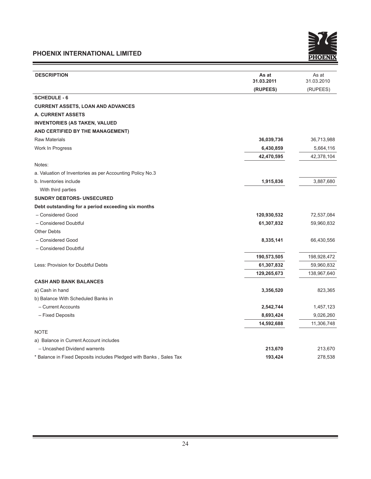and the control of the control of the control of



| <b>DESCRIPTION</b>                                                 | As at       | As at       |
|--------------------------------------------------------------------|-------------|-------------|
|                                                                    | 31.03.2011  | 31.03.2010  |
|                                                                    | (RUPEES)    | (RUPEES)    |
| <b>SCHEDULE - 6</b>                                                |             |             |
| <b>CURRENT ASSETS, LOAN AND ADVANCES</b>                           |             |             |
| <b>A. CURRENT ASSETS</b>                                           |             |             |
| <b>INVENTORIES (AS TAKEN, VALUED</b>                               |             |             |
| AND CERTIFIED BY THE MANAGEMENT)                                   |             |             |
| <b>Raw Materials</b>                                               | 36,039,736  | 36,713,988  |
| Work In Progress                                                   | 6,430,859   | 5,664,116   |
|                                                                    | 42,470,595  | 42,378,104  |
| Notes:                                                             |             |             |
| a. Valuation of Inventories as per Accounting Policy No.3          |             |             |
| b. Inventories include                                             | 1,915,836   | 3,887,680   |
| With third parties                                                 |             |             |
| <b>SUNDRY DEBTORS- UNSECURED</b>                                   |             |             |
| Debt outstanding for a period exceeding six months                 |             |             |
| - Considered Good                                                  | 120,930,532 | 72,537,084  |
| - Considered Doubtful                                              | 61,307,832  | 59,960,832  |
| <b>Other Debts</b>                                                 |             |             |
| - Considered Good                                                  | 8,335,141   | 66,430,556  |
| - Considered Doubtful                                              |             |             |
|                                                                    | 190,573,505 | 198,928,472 |
| Less: Provision for Doubtful Debts                                 | 61,307,832  | 59,960,832  |
|                                                                    | 129,265,673 | 138,967,640 |
| <b>CASH AND BANK BALANCES</b>                                      |             |             |
| a) Cash in hand                                                    | 3,356,520   | 823,365     |
| b) Balance With Scheduled Banks in                                 |             |             |
| - Current Accounts                                                 | 2,542,744   | 1,457,123   |
| - Fixed Deposits                                                   | 8,693,424   | 9,026,260   |
|                                                                    | 14,592,688  | 11,306,748  |
| <b>NOTE</b>                                                        |             |             |
| a) Balance in Current Account includes                             |             |             |
| - Uncashed Dividend warrents                                       | 213,670     | 213,670     |
| * Balance in Fixed Deposits includes Pledged with Banks, Sales Tax | 193,424     | 278,538     |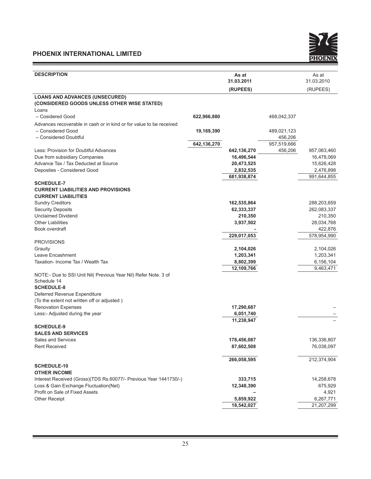Ξ



| 31.03.2011<br>31.03.2010<br>(RUPEES)<br>(RUPEES)<br><b>LOANS AND ADVANCES (UNSECURED)</b><br>(CONSIDERED GOODS UNLESS OTHER WISE STATED)<br>Loans<br>- Cosidered Good<br>622,966,880<br>468,042,337<br>Advances recoverable in cash or in kind or for value to be received<br>- Considered Good<br>19,169,390<br>489,021,123<br>- Considered Doubtful<br>456,206<br>642,136,270<br>957,519,666<br>Less: Provision for Doubtful Advances<br>456,206<br>957,063,460<br>642,136,270<br>16,496,544<br>16,478,069<br>Due from subsidiary Companies<br>Advance Tax / Tax Deducted at Source<br>20,473,525<br>15,626,428<br>Deposties - Considered Good<br>2,476,898<br>2,832,535<br>681,938,874<br>991,644,855<br><b>SCHEDULE-7</b><br><b>CURRENT LIABILITIES AND PROVISIONS</b><br><b>CURRENT LIABILITIES</b><br><b>Sundry Creditors</b><br>162,535,864<br>288,203,659<br><b>Security Deposits</b><br>262,083,337<br>62,333,337<br><b>Unclaimed Dividend</b><br>210,350<br>210,350<br><b>Other Liabilities</b><br>28,034,768<br>3,937,502<br>Book overdraft<br>422,876<br>229,017,053<br>578,954,990<br><b>PROVISIONS</b><br>Grauity<br>2,104,026<br>2,104,026<br>Leave Encashment<br>1,203,341<br>1,203,341<br>Taxation- Income Tax / Wealth Tax<br>6,156,104<br>8,802,399<br>12,109,766<br>9,463,471<br>NOTE:- Due to SSI Unit Nil( Previous Year Nil) Refer Note. 3 of<br>Schedule 14<br><b>SCHEDULE-8</b><br>Deferred Revenue Expenditure<br>(To the extent not written off or adjusted)<br><b>Renovation Expenses</b><br>17,290,687<br>Less:- Adjusted during the year<br>6,051,740<br>11,238,947<br><b>SCHEDULE-9</b><br><b>SALES AND SERVICES</b><br>Sales and Services<br>178,456,087<br>136,336,807<br><b>Rent Received</b><br>76,038,097<br>87,602,508<br>266,058,595<br>212,374,904<br><b>SCHEDULE-10</b><br><b>OTHER INCOME</b><br>Interest Received (Gross)(TDS Rs.60077/- Previous Year 1441730/-)<br>14,258,678<br>333,715<br>Loss & Gain Exchange Fluctuation(Net)<br>675,929<br>12,348,390<br>Profit on Sale of Fixed Assets<br>4,921 | <b>DESCRIPTION</b>   | As at     | As at     |
|---------------------------------------------------------------------------------------------------------------------------------------------------------------------------------------------------------------------------------------------------------------------------------------------------------------------------------------------------------------------------------------------------------------------------------------------------------------------------------------------------------------------------------------------------------------------------------------------------------------------------------------------------------------------------------------------------------------------------------------------------------------------------------------------------------------------------------------------------------------------------------------------------------------------------------------------------------------------------------------------------------------------------------------------------------------------------------------------------------------------------------------------------------------------------------------------------------------------------------------------------------------------------------------------------------------------------------------------------------------------------------------------------------------------------------------------------------------------------------------------------------------------------------------------------------------------------------------------------------------------------------------------------------------------------------------------------------------------------------------------------------------------------------------------------------------------------------------------------------------------------------------------------------------------------------------------------------------------------------------------------------------------------------------------------|----------------------|-----------|-----------|
|                                                                                                                                                                                                                                                                                                                                                                                                                                                                                                                                                                                                                                                                                                                                                                                                                                                                                                                                                                                                                                                                                                                                                                                                                                                                                                                                                                                                                                                                                                                                                                                                                                                                                                                                                                                                                                                                                                                                                                                                                                                   |                      |           |           |
|                                                                                                                                                                                                                                                                                                                                                                                                                                                                                                                                                                                                                                                                                                                                                                                                                                                                                                                                                                                                                                                                                                                                                                                                                                                                                                                                                                                                                                                                                                                                                                                                                                                                                                                                                                                                                                                                                                                                                                                                                                                   |                      |           |           |
|                                                                                                                                                                                                                                                                                                                                                                                                                                                                                                                                                                                                                                                                                                                                                                                                                                                                                                                                                                                                                                                                                                                                                                                                                                                                                                                                                                                                                                                                                                                                                                                                                                                                                                                                                                                                                                                                                                                                                                                                                                                   |                      |           |           |
|                                                                                                                                                                                                                                                                                                                                                                                                                                                                                                                                                                                                                                                                                                                                                                                                                                                                                                                                                                                                                                                                                                                                                                                                                                                                                                                                                                                                                                                                                                                                                                                                                                                                                                                                                                                                                                                                                                                                                                                                                                                   |                      |           |           |
|                                                                                                                                                                                                                                                                                                                                                                                                                                                                                                                                                                                                                                                                                                                                                                                                                                                                                                                                                                                                                                                                                                                                                                                                                                                                                                                                                                                                                                                                                                                                                                                                                                                                                                                                                                                                                                                                                                                                                                                                                                                   |                      |           |           |
|                                                                                                                                                                                                                                                                                                                                                                                                                                                                                                                                                                                                                                                                                                                                                                                                                                                                                                                                                                                                                                                                                                                                                                                                                                                                                                                                                                                                                                                                                                                                                                                                                                                                                                                                                                                                                                                                                                                                                                                                                                                   |                      |           |           |
|                                                                                                                                                                                                                                                                                                                                                                                                                                                                                                                                                                                                                                                                                                                                                                                                                                                                                                                                                                                                                                                                                                                                                                                                                                                                                                                                                                                                                                                                                                                                                                                                                                                                                                                                                                                                                                                                                                                                                                                                                                                   |                      |           |           |
|                                                                                                                                                                                                                                                                                                                                                                                                                                                                                                                                                                                                                                                                                                                                                                                                                                                                                                                                                                                                                                                                                                                                                                                                                                                                                                                                                                                                                                                                                                                                                                                                                                                                                                                                                                                                                                                                                                                                                                                                                                                   |                      |           |           |
|                                                                                                                                                                                                                                                                                                                                                                                                                                                                                                                                                                                                                                                                                                                                                                                                                                                                                                                                                                                                                                                                                                                                                                                                                                                                                                                                                                                                                                                                                                                                                                                                                                                                                                                                                                                                                                                                                                                                                                                                                                                   |                      |           |           |
|                                                                                                                                                                                                                                                                                                                                                                                                                                                                                                                                                                                                                                                                                                                                                                                                                                                                                                                                                                                                                                                                                                                                                                                                                                                                                                                                                                                                                                                                                                                                                                                                                                                                                                                                                                                                                                                                                                                                                                                                                                                   |                      |           |           |
|                                                                                                                                                                                                                                                                                                                                                                                                                                                                                                                                                                                                                                                                                                                                                                                                                                                                                                                                                                                                                                                                                                                                                                                                                                                                                                                                                                                                                                                                                                                                                                                                                                                                                                                                                                                                                                                                                                                                                                                                                                                   |                      |           |           |
|                                                                                                                                                                                                                                                                                                                                                                                                                                                                                                                                                                                                                                                                                                                                                                                                                                                                                                                                                                                                                                                                                                                                                                                                                                                                                                                                                                                                                                                                                                                                                                                                                                                                                                                                                                                                                                                                                                                                                                                                                                                   |                      |           |           |
|                                                                                                                                                                                                                                                                                                                                                                                                                                                                                                                                                                                                                                                                                                                                                                                                                                                                                                                                                                                                                                                                                                                                                                                                                                                                                                                                                                                                                                                                                                                                                                                                                                                                                                                                                                                                                                                                                                                                                                                                                                                   |                      |           |           |
|                                                                                                                                                                                                                                                                                                                                                                                                                                                                                                                                                                                                                                                                                                                                                                                                                                                                                                                                                                                                                                                                                                                                                                                                                                                                                                                                                                                                                                                                                                                                                                                                                                                                                                                                                                                                                                                                                                                                                                                                                                                   |                      |           |           |
|                                                                                                                                                                                                                                                                                                                                                                                                                                                                                                                                                                                                                                                                                                                                                                                                                                                                                                                                                                                                                                                                                                                                                                                                                                                                                                                                                                                                                                                                                                                                                                                                                                                                                                                                                                                                                                                                                                                                                                                                                                                   |                      |           |           |
|                                                                                                                                                                                                                                                                                                                                                                                                                                                                                                                                                                                                                                                                                                                                                                                                                                                                                                                                                                                                                                                                                                                                                                                                                                                                                                                                                                                                                                                                                                                                                                                                                                                                                                                                                                                                                                                                                                                                                                                                                                                   |                      |           |           |
|                                                                                                                                                                                                                                                                                                                                                                                                                                                                                                                                                                                                                                                                                                                                                                                                                                                                                                                                                                                                                                                                                                                                                                                                                                                                                                                                                                                                                                                                                                                                                                                                                                                                                                                                                                                                                                                                                                                                                                                                                                                   |                      |           |           |
|                                                                                                                                                                                                                                                                                                                                                                                                                                                                                                                                                                                                                                                                                                                                                                                                                                                                                                                                                                                                                                                                                                                                                                                                                                                                                                                                                                                                                                                                                                                                                                                                                                                                                                                                                                                                                                                                                                                                                                                                                                                   |                      |           |           |
|                                                                                                                                                                                                                                                                                                                                                                                                                                                                                                                                                                                                                                                                                                                                                                                                                                                                                                                                                                                                                                                                                                                                                                                                                                                                                                                                                                                                                                                                                                                                                                                                                                                                                                                                                                                                                                                                                                                                                                                                                                                   |                      |           |           |
|                                                                                                                                                                                                                                                                                                                                                                                                                                                                                                                                                                                                                                                                                                                                                                                                                                                                                                                                                                                                                                                                                                                                                                                                                                                                                                                                                                                                                                                                                                                                                                                                                                                                                                                                                                                                                                                                                                                                                                                                                                                   |                      |           |           |
|                                                                                                                                                                                                                                                                                                                                                                                                                                                                                                                                                                                                                                                                                                                                                                                                                                                                                                                                                                                                                                                                                                                                                                                                                                                                                                                                                                                                                                                                                                                                                                                                                                                                                                                                                                                                                                                                                                                                                                                                                                                   |                      |           |           |
|                                                                                                                                                                                                                                                                                                                                                                                                                                                                                                                                                                                                                                                                                                                                                                                                                                                                                                                                                                                                                                                                                                                                                                                                                                                                                                                                                                                                                                                                                                                                                                                                                                                                                                                                                                                                                                                                                                                                                                                                                                                   |                      |           |           |
|                                                                                                                                                                                                                                                                                                                                                                                                                                                                                                                                                                                                                                                                                                                                                                                                                                                                                                                                                                                                                                                                                                                                                                                                                                                                                                                                                                                                                                                                                                                                                                                                                                                                                                                                                                                                                                                                                                                                                                                                                                                   |                      |           |           |
|                                                                                                                                                                                                                                                                                                                                                                                                                                                                                                                                                                                                                                                                                                                                                                                                                                                                                                                                                                                                                                                                                                                                                                                                                                                                                                                                                                                                                                                                                                                                                                                                                                                                                                                                                                                                                                                                                                                                                                                                                                                   |                      |           |           |
|                                                                                                                                                                                                                                                                                                                                                                                                                                                                                                                                                                                                                                                                                                                                                                                                                                                                                                                                                                                                                                                                                                                                                                                                                                                                                                                                                                                                                                                                                                                                                                                                                                                                                                                                                                                                                                                                                                                                                                                                                                                   |                      |           |           |
|                                                                                                                                                                                                                                                                                                                                                                                                                                                                                                                                                                                                                                                                                                                                                                                                                                                                                                                                                                                                                                                                                                                                                                                                                                                                                                                                                                                                                                                                                                                                                                                                                                                                                                                                                                                                                                                                                                                                                                                                                                                   |                      |           |           |
|                                                                                                                                                                                                                                                                                                                                                                                                                                                                                                                                                                                                                                                                                                                                                                                                                                                                                                                                                                                                                                                                                                                                                                                                                                                                                                                                                                                                                                                                                                                                                                                                                                                                                                                                                                                                                                                                                                                                                                                                                                                   |                      |           |           |
|                                                                                                                                                                                                                                                                                                                                                                                                                                                                                                                                                                                                                                                                                                                                                                                                                                                                                                                                                                                                                                                                                                                                                                                                                                                                                                                                                                                                                                                                                                                                                                                                                                                                                                                                                                                                                                                                                                                                                                                                                                                   |                      |           |           |
|                                                                                                                                                                                                                                                                                                                                                                                                                                                                                                                                                                                                                                                                                                                                                                                                                                                                                                                                                                                                                                                                                                                                                                                                                                                                                                                                                                                                                                                                                                                                                                                                                                                                                                                                                                                                                                                                                                                                                                                                                                                   |                      |           |           |
|                                                                                                                                                                                                                                                                                                                                                                                                                                                                                                                                                                                                                                                                                                                                                                                                                                                                                                                                                                                                                                                                                                                                                                                                                                                                                                                                                                                                                                                                                                                                                                                                                                                                                                                                                                                                                                                                                                                                                                                                                                                   |                      |           |           |
|                                                                                                                                                                                                                                                                                                                                                                                                                                                                                                                                                                                                                                                                                                                                                                                                                                                                                                                                                                                                                                                                                                                                                                                                                                                                                                                                                                                                                                                                                                                                                                                                                                                                                                                                                                                                                                                                                                                                                                                                                                                   |                      |           |           |
|                                                                                                                                                                                                                                                                                                                                                                                                                                                                                                                                                                                                                                                                                                                                                                                                                                                                                                                                                                                                                                                                                                                                                                                                                                                                                                                                                                                                                                                                                                                                                                                                                                                                                                                                                                                                                                                                                                                                                                                                                                                   |                      |           |           |
|                                                                                                                                                                                                                                                                                                                                                                                                                                                                                                                                                                                                                                                                                                                                                                                                                                                                                                                                                                                                                                                                                                                                                                                                                                                                                                                                                                                                                                                                                                                                                                                                                                                                                                                                                                                                                                                                                                                                                                                                                                                   |                      |           |           |
|                                                                                                                                                                                                                                                                                                                                                                                                                                                                                                                                                                                                                                                                                                                                                                                                                                                                                                                                                                                                                                                                                                                                                                                                                                                                                                                                                                                                                                                                                                                                                                                                                                                                                                                                                                                                                                                                                                                                                                                                                                                   |                      |           |           |
|                                                                                                                                                                                                                                                                                                                                                                                                                                                                                                                                                                                                                                                                                                                                                                                                                                                                                                                                                                                                                                                                                                                                                                                                                                                                                                                                                                                                                                                                                                                                                                                                                                                                                                                                                                                                                                                                                                                                                                                                                                                   |                      |           |           |
|                                                                                                                                                                                                                                                                                                                                                                                                                                                                                                                                                                                                                                                                                                                                                                                                                                                                                                                                                                                                                                                                                                                                                                                                                                                                                                                                                                                                                                                                                                                                                                                                                                                                                                                                                                                                                                                                                                                                                                                                                                                   |                      |           |           |
|                                                                                                                                                                                                                                                                                                                                                                                                                                                                                                                                                                                                                                                                                                                                                                                                                                                                                                                                                                                                                                                                                                                                                                                                                                                                                                                                                                                                                                                                                                                                                                                                                                                                                                                                                                                                                                                                                                                                                                                                                                                   |                      |           |           |
|                                                                                                                                                                                                                                                                                                                                                                                                                                                                                                                                                                                                                                                                                                                                                                                                                                                                                                                                                                                                                                                                                                                                                                                                                                                                                                                                                                                                                                                                                                                                                                                                                                                                                                                                                                                                                                                                                                                                                                                                                                                   |                      |           |           |
|                                                                                                                                                                                                                                                                                                                                                                                                                                                                                                                                                                                                                                                                                                                                                                                                                                                                                                                                                                                                                                                                                                                                                                                                                                                                                                                                                                                                                                                                                                                                                                                                                                                                                                                                                                                                                                                                                                                                                                                                                                                   |                      |           |           |
|                                                                                                                                                                                                                                                                                                                                                                                                                                                                                                                                                                                                                                                                                                                                                                                                                                                                                                                                                                                                                                                                                                                                                                                                                                                                                                                                                                                                                                                                                                                                                                                                                                                                                                                                                                                                                                                                                                                                                                                                                                                   |                      |           |           |
|                                                                                                                                                                                                                                                                                                                                                                                                                                                                                                                                                                                                                                                                                                                                                                                                                                                                                                                                                                                                                                                                                                                                                                                                                                                                                                                                                                                                                                                                                                                                                                                                                                                                                                                                                                                                                                                                                                                                                                                                                                                   |                      |           |           |
|                                                                                                                                                                                                                                                                                                                                                                                                                                                                                                                                                                                                                                                                                                                                                                                                                                                                                                                                                                                                                                                                                                                                                                                                                                                                                                                                                                                                                                                                                                                                                                                                                                                                                                                                                                                                                                                                                                                                                                                                                                                   |                      |           |           |
|                                                                                                                                                                                                                                                                                                                                                                                                                                                                                                                                                                                                                                                                                                                                                                                                                                                                                                                                                                                                                                                                                                                                                                                                                                                                                                                                                                                                                                                                                                                                                                                                                                                                                                                                                                                                                                                                                                                                                                                                                                                   |                      |           |           |
|                                                                                                                                                                                                                                                                                                                                                                                                                                                                                                                                                                                                                                                                                                                                                                                                                                                                                                                                                                                                                                                                                                                                                                                                                                                                                                                                                                                                                                                                                                                                                                                                                                                                                                                                                                                                                                                                                                                                                                                                                                                   |                      |           |           |
|                                                                                                                                                                                                                                                                                                                                                                                                                                                                                                                                                                                                                                                                                                                                                                                                                                                                                                                                                                                                                                                                                                                                                                                                                                                                                                                                                                                                                                                                                                                                                                                                                                                                                                                                                                                                                                                                                                                                                                                                                                                   |                      |           |           |
|                                                                                                                                                                                                                                                                                                                                                                                                                                                                                                                                                                                                                                                                                                                                                                                                                                                                                                                                                                                                                                                                                                                                                                                                                                                                                                                                                                                                                                                                                                                                                                                                                                                                                                                                                                                                                                                                                                                                                                                                                                                   | <b>Other Receipt</b> | 5,859,922 | 6,267,771 |
| 18,542,027<br>21,207,299                                                                                                                                                                                                                                                                                                                                                                                                                                                                                                                                                                                                                                                                                                                                                                                                                                                                                                                                                                                                                                                                                                                                                                                                                                                                                                                                                                                                                                                                                                                                                                                                                                                                                                                                                                                                                                                                                                                                                                                                                          |                      |           |           |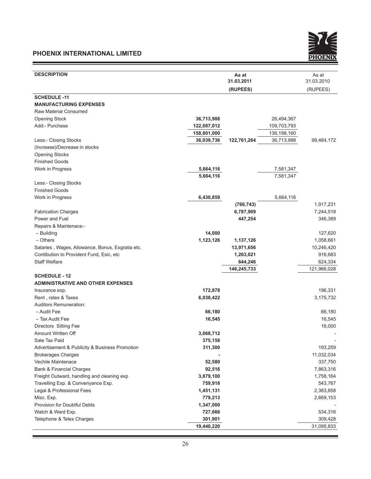and the control of the control of the control of



| <b>DESCRIPTION</b>                               |             | As at       |             | As at       |
|--------------------------------------------------|-------------|-------------|-------------|-------------|
|                                                  |             | 31.03.2011  |             | 31.03.2010  |
|                                                  |             | (RUPEES)    |             | (RUPEES)    |
| <b>SCHEDULE -11</b>                              |             |             |             |             |
| <b>MANUFACTURING EXPENSES</b>                    |             |             |             |             |
| Raw Material Consumed                            |             |             |             |             |
| <b>Opening Stock</b>                             | 36,713,988  |             | 26,494,367  |             |
| Add:- Purchase                                   | 122,087,012 |             | 109,703,793 |             |
|                                                  | 158,801,000 |             | 136,198,160 |             |
| Less:- Closing Stocks                            | 36,039,736  | 122,761,264 | 36,713,988  | 99,484,172  |
| (Increase)/Decrease in stocks                    |             |             |             |             |
| <b>Opening Stocks</b>                            |             |             |             |             |
| <b>Finished Goods</b>                            |             |             |             |             |
| Work in Progress                                 | 5,664,116   |             | 7,581,347   |             |
|                                                  | 5,664,116   |             | 7,581,347   |             |
| Less:- Closing Stocks                            |             |             |             |             |
| <b>Finished Goods</b>                            |             |             |             |             |
| Work in Progress                                 | 6,430,859   |             | 5,664,116   |             |
|                                                  |             | (766, 743)  |             | 1,917,231   |
| <b>Fabrication Charges</b>                       |             | 6,787,909   |             | 7,244,518   |
| Power and Fuel                                   |             | 447,254     |             | 346,389     |
| Repairs & Maintenace:-                           |             |             |             |             |
| - Building                                       | 14,000      |             |             | 127,620     |
| $-$ Others                                       | 1,123,126   | 1,137,126   |             | 1,058,661   |
| Salaries, Wages, Allowance, Bonus, Exgratia etc. |             | 13,971,656  |             | 10,246,420  |
| Contibution to Provident Fund, Esic, etc.        |             | 1,263,021   |             | 916,683     |
| <b>Staff Welfare</b>                             |             | 644,246     |             | 624,334     |
|                                                  |             | 146,245,733 |             | 121,966,028 |
| <b>SCHEDULE - 12</b>                             |             |             |             |             |
| <b>ADMINISTRATIVE AND OTHER EXPENSES</b>         |             |             |             |             |
| Insurance exp.                                   | 172,878     |             |             | 196,331     |
| Rent, rates & Taxes                              | 6,038,422   |             |             | 3,175,732   |
| Auditors Remuneration:                           |             |             |             |             |
| - Audit Fee                                      | 66,180      |             |             | 66,180      |
| - Tax Audit Fee                                  | 16,545      |             |             | 16,545      |
| Directors Sitting Fee                            |             |             |             | 16,000      |
| Amount Written Off                               | 3,068,712   |             |             |             |
| Sale Tax Paid                                    | 375,158     |             |             |             |
| Advertisement & Publicity & Business Promotion   | 311,300     |             |             | 193,259     |
| <b>Brokerages Charges</b>                        |             |             |             | 11,032,034  |
| Vechile Maintenace                               | 52,580      |             |             | 337,750     |
| <b>Bank &amp; Financial Charges</b>              | 92,516      |             |             | 7,863,316   |
| Freight Outward, handling and cleaning exp       | 3,879,100   |             |             | 1,758,164   |
| Travelling Exp. & Convenyance Exp.               | 759,918     |             |             | 543,767     |
| Legal & Professional Fees                        | 1,451,131   |             |             | 2,383,858   |
| Misc. Exp.                                       | 779,213     |             |             | 2,669,153   |
| Provision for Doubtful Debts                     | 1,347,000   |             |             |             |
| Watch & Ward Exp.                                | 727,666     |             |             | 534,316     |
| Telephone & Telex Charges                        | 301,901     |             |             | 309,428     |
|                                                  | 19,440,220  |             |             | 31,095,833  |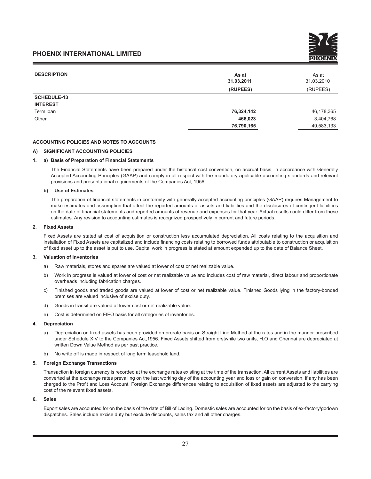| <b>DESCRIPTION</b> | As at      | As at      |
|--------------------|------------|------------|
|                    | 31.03.2011 | 31.03.2010 |
|                    | (RUPEES)   | (RUPEES)   |
| <b>SCHEDULE-13</b> |            |            |
| <b>INTEREST</b>    |            |            |
| Term loan          | 76,324,142 | 46,178,365 |
| Other              | 466,023    | 3,404,768  |
|                    | 76,790,165 | 49,583,133 |

#### **ACCOUNTING POLICIES AND NOTES TO ACCOUNTS**

#### **A) SIGNIFICANT ACCOUNTING POLICIES**

#### **1. a) Basis of Preparation of Financial Statements**

The Financial Statements have been prepared under the historical cost convention, on accrual basis, in accordance with Generally Accepted Accounting Principles (GAAP) and comply in all respect with the mandatory applicable accounting standards and relevant provisions and presentational requirements of the Companies Act, 1956.

#### **b) Use of Estimates**

The preparation of financial statements in conformity with generally accepted accounting principles (GAAP) requires Management to make estimates and assumption that affect the reported amounts of assets and liabilities and the disclosures of contingent liabilities on the date of financial statements and reported amounts of revenue and expenses for that year. Actual results could differ from these estimates. Any revision to accounting estimates is recognized prospectively in current and future periods.

#### **2. Fixed Assets**

 Fixed Assets are stated at cost of acquisition or construction less accumulated depreciation. All costs relating to the acquisition and installation of Fixed Assets are capitalized and include financing costs relating to borrowed funds attributable to construction or acquisition of fixed asset up to the asset is put to use. Capital work in progress is stated at amount expended up to the date of Balance Sheet.

#### **3. Valuation of Inventories**

- a) Raw materials, stores and spares are valued at lower of cost or net realizable value.
- b) Work in progress is valued at lower of cost or net realizable value and includes cost of raw material, direct labour and proportionate overheads including fabrication charges.
- c) Finished goods and traded goods are valued at lower of cost or net realizable value. Finished Goods lying in the factory-bonded premises are valued inclusive of excise duty.
- d) Goods in transit are valued at lower cost or net realizable value.
- e) Cost is determined on FIFO basis for all categories of inventories.

#### **4. Depreciation**

- a) Depreciation on fixed assets has been provided on prorate basis on Straight Line Method at the rates and in the manner prescribed under Schedule XIV to the Companies Act,1956. Fixed Assets shifted from erstwhile two units, H.O and Chennai are depreciated at written Down Value Method as per past practice.
- b) No write off is made in respect of long term leasehold land.

#### **5. Foreign Exchange Transactions**

 Transaction in foreign currency is recorded at the exchange rates existing at the time of the transaction. All current Assets and liabilities are converted at the exchange rates prevailing on the last working day of the accounting year and loss or gain on conversion, if any has been charged to the Profit and Loss Account. Foreign Exchange differences relating to acquisition of fixed assets are adjusted to the carrying cost of the relevant fixed assets.

#### **6. Sales**

 Export sales are accounted for on the basis of the date of Bill of Lading. Domestic sales are accounted for on the basis of ex-factory/godown dispatches. Sales include excise duty but exclude discounts, sales tax and all other charges.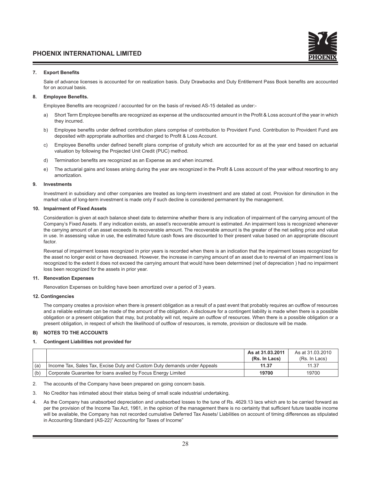#### **7. Export Benefits**

 Sale of advance licenses is accounted for on realization basis. Duty Drawbacks and Duty Entitlement Pass Book benefits are accounted for on accrual basis.

#### **8. Employee Benefits.**

Employee Benefits are recognized / accounted for on the basis of revised AS-15 detailed as under:-

- a) Short Term Employee benefits are recognized as expense at the undiscounted amount in the Profit & Loss account of the year in which they incurred.
- b) Employee benefits under defined contribution plans comprise of contribution to Provident Fund. Contribution to Provident Fund are deposited with appropriate authorities and charged to Profit & Loss Account.
- c) Employee Benefits under defined benefit plans comprise of gratuity which are accounted for as at the year end based on actuarial valuation by following the Projected Unit Credit (PUC) method.
- d) Termination benefits are recognized as an Expense as and when incurred.
- e) The actuarial gains and losses arising during the year are recognized in the Profit & Loss account of the year without resorting to any amortization.

#### **9. Investments**

 Investment in subsidiary and other companies are treated as long-term investment and are stated at cost. Provision for diminution in the market value of long-term investment is made only if such decline is considered permanent by the management.

#### **10. Impairment of Fixed Assets**

 Consideration is given at each balance sheet date to determine whether there is any indication of impairment of the carrying amount of the Company's Fixed Assets. If any indication exists, an asset's recoverable amount is estimated. An impairment loss is recognized whenever the carrying amount of an asset exceeds its recoverable amount. The recoverable amount is the greater of the net selling price and value in use. In assessing value in use, the estimated future cash flows are discounted to their present value based on an appropriate discount factor

Reversal of impairment losses recognized in prior years is recorded when there is an indication that the impairment losses recognized for the asset no longer exist or have decreased. However, the increase in carrying amount of an asset due to reversal of an impairment loss is recognized to the extent it does not exceed the carrying amount that would have been determined (net of depreciation ) had no impairment loss been recognized for the assets in prior year.

#### **11. Renovation Expenses**

Renovation Expenses on building have been amortized over a period of 3 years.

#### **12. Contingencies**

 The company creates a provision when there is present obligation as a result of a past event that probably requires an outflow of resources and a reliable estimate can be made of the amount of the obligation. A disclosure for a contingent liability is made when there is a possible obligation or a present obligation that may, but probably will not, require an outflow of resources. When there is a possible obligation or a present obligation, in respect of which the likelihood of outflow of resources, is remote, provision or disclosure will be made.

#### **B) NOTES TO THE ACCOUNTS**

#### **1. Contingent Liabilities not provided for**

|     |                                                                          | As at 31.03.2011<br>(Rs. In Lacs) | As at 31.03.2010<br>(Rs. In Lacs) |
|-----|--------------------------------------------------------------------------|-----------------------------------|-----------------------------------|
| (a) | Income Tax, Sales Tax, Excise Duty and Custom Duty demands under Appeals | 11.37                             | 11.37                             |
| (b) | Corporate Guarantee for loans availed by Focus Energy Limited            | 19700                             | 19700                             |

2. The accounts of the Company have been prepared on going concern basis.

- 3. No Creditor has intimated about their status being of small scale industrial undertaking.
- 4. As the Company has unabsorbed depreciation and unabsorbed losses to the tune of Rs. 4629.13 lacs which are to be carried forward as per the provision of the Income Tax Act, 1961, in the opinion of the management there is no certainty that sufficient future taxable income will be available, the Company has not recorded cumulative Deferred Tax Assets/ Liabilities on account of timing differences as stipulated in Accounting Standard (AS-22)" Accounting for Taxes of Income"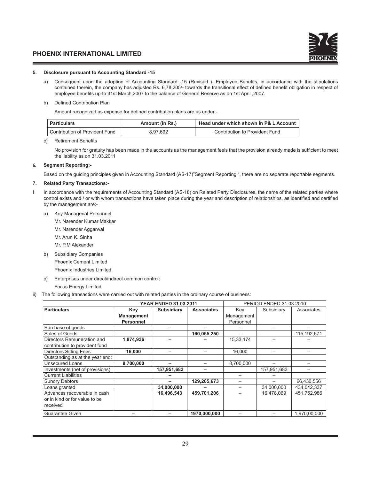#### **5. Disclosure pursuant to Accounting Standard -15**

a) Consequent upon the adoption of Accounting Standard -15 (Revised )- Employee Benefits, in accordance with the stipulations contained therein, the company has adjusted Rs. 6,78,205/- towards the transitional effect of defined benefit obligation in respect of employee benefits up-to 31st March,2007 to the balance of General Reserve as on 1st April ,2007.

#### b) Defined Contribution Plan

Amount recognized as expense for defined contribution plans are as under:-

| Particulars                      | Amount (in Rs.) | Head under which shown in P& L Account |
|----------------------------------|-----------------|----------------------------------------|
| ' Contribution of Provident Fund | 8.97.692        | Contribution to Provident Fund         |

#### c) Retirement Benefits

 No provision for gratuity has been made in the accounts as the management feels that the provision already made is sufficient to meet the liability as on 31.03.2011

#### **6. Segment Reporting:-**

Based on the guiding principles given in Accounting Standard (AS-17)"Segment Reporting ", there are no separate reportable segments.

#### **7. Related Party Transactions:-**

- In accordance with the requirements of Accounting Standard (AS-18) on Related Party Disclosures, the name of the related parties where control exists and / or with whom transactions have taken place during the year and description of relationships, as identified and certified by the management are:
	- a) Key Managerial Personnel
		- Mr. Narender Kumar Makkar
		- Mr. Narender Aggarwal
		- Mr. Arun K. Sinha
		- Mr. P.M Alexander
	- b) Subsidiary Companies
		- Phoenix Cement Limited

Phoenix Industries Limited

- c) Enterprises under direct/indirect common control:
- Focus Energy Limited
- ii) The following transactions were carried out with related parties in the ordinary course of business:

|                                 |                   | <b>YEAR ENDED 31.03.2011</b> |                   | PERIOD ENDED 31.03.2010 |             |               |  |
|---------------------------------|-------------------|------------------------------|-------------------|-------------------------|-------------|---------------|--|
| <b>Particulars</b>              | Key               | <b>Subsidiary</b>            | <b>Associates</b> | Key                     | Subsidiary  | Associates    |  |
|                                 | <b>Management</b> |                              |                   | Management              |             |               |  |
|                                 | <b>Personnel</b>  |                              |                   | Personnel               |             |               |  |
| Purchase of goods               |                   |                              |                   |                         |             |               |  |
| Sales of Goods                  |                   |                              | 160,055,250       |                         |             | 115, 192, 671 |  |
| Directors Remuneration and      | 1,874,936         |                              |                   | 15,33,174               |             |               |  |
| contribution to provident fund  |                   |                              |                   |                         |             |               |  |
| <b>Directors Sitting Fees</b>   | 16,000            |                              |                   | 16,000                  |             |               |  |
| Outstanding as at the year end: |                   |                              |                   |                         |             |               |  |
| <b>Unsecured Loans</b>          | 8,700,000         |                              |                   | 8,700,000               |             |               |  |
| Investments (net of provisions) |                   | 157,951,683                  |                   |                         | 157,951,683 |               |  |
| <b>Current Liabilities</b>      |                   |                              |                   |                         |             |               |  |
| <b>Sundry Debtors</b>           |                   |                              | 129,265,673       |                         |             | 66,430,556    |  |
| Loans granted                   |                   | 34,000,000                   |                   |                         | 34,000,000  | 434,042,337   |  |
| Advances recoverable in cash    |                   | 16,496,543                   | 459,701,206       |                         | 16,478,069  | 451,752,986   |  |
| or in kind or for value to be   |                   |                              |                   |                         |             |               |  |
| received                        |                   |                              |                   |                         |             |               |  |
| <b>Guarantee Given</b>          |                   |                              | 1970,000,000      |                         |             | 1,970,00,000  |  |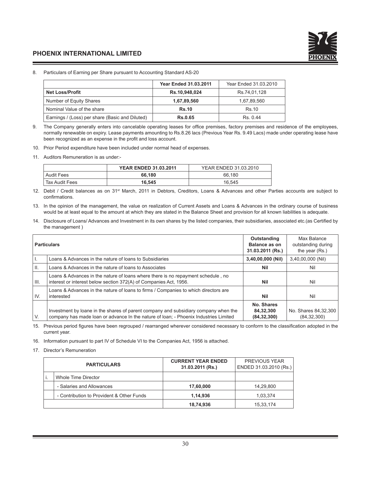

#### 8. Particulars of Earning per Share pursuant to Accounting Standard AS-20

|                                                 | <b>Year Ended 31.03.2011</b> | Year Ended 31.03.2010 |
|-------------------------------------------------|------------------------------|-----------------------|
| <b>Net Loss/Profit</b>                          | Rs.10,948,024                | Rs.74.01.128          |
| Number of Equity Shares                         | 1,67,89,560                  | 1,67,89,560           |
| Nominal Value of the share                      | <b>Rs.10</b>                 | Rs.10                 |
| Earnings / (Loss) per share (Basic and Diluted) | <b>Rs.0.65</b>               | Rs 044                |

9. The Company generally enters into cancelable operating leases for office premises, factory premises and residence of the employees, normally renewable on expiry. Lease payments amounting to Rs.8.26 lacs (Previous Year Rs. 9.49 Lacs) made under operating lease have been recognized as an expense in the profit and loss account.

10. Prior Period expenditure have been included under normal head of expenses.

11. Auditors Remuneration is as under:-

|                   | <b>YEAR ENDED 31.03.2011</b> | YEAR ENDED 31.03.2010 |
|-------------------|------------------------------|-----------------------|
| <b>Audit Fees</b> | 66.180                       | 66.180                |
| Tax Audit Fees    | 16.545                       | 16.545                |

12. Debit / Credit balances as on 31st March, 2011 in Debtors, Creditors, Loans & Advances and other Parties accounts are subject to confirmations.

- 13. In the opinion of the management, the value on realization of Current Assets and Loans & Advances in the ordinary course of business would be at least equal to the amount at which they are stated in the Balance Sheet and provision for all known liabilities is adequate.
- 14. Disclosure of Loans/ Advances and Investment in its own shares by the listed companies, their subsidiaries, associated etc.(as Certified by the management )

|        | <b>Particulars</b>                                                                                                                                                          | Outstanding<br>Balance as on<br>31.03.2011 (Rs.) | Max Balance<br>outstanding during<br>the year (Rs.) |
|--------|-----------------------------------------------------------------------------------------------------------------------------------------------------------------------------|--------------------------------------------------|-----------------------------------------------------|
|        | Loans & Advances in the nature of loans to Subsidiaries                                                                                                                     | 3,40,00,000 (Nil)                                | 3,40,00,000 (Nil)                                   |
| H.     | Loans & Advances in the nature of loans to Associates                                                                                                                       | Nil                                              | Nil                                                 |
| l III. | Loans & Advances in the nature of loans where there is no repayment schedule, no<br>interest or interest below section 372(A) of Companies Act, 1956.                       | Nil                                              | Nil                                                 |
| IV.    | Loans & Advances in the nature of loans to firms / Companies to which directors are<br>interested                                                                           | <b>Nil</b>                                       | Nil                                                 |
| IV.    | Investment by loane in the shares of parent company and subsidiary company when the<br>company has made loan or advance In the nature of loan; - Phoenix Industries Limited | No. Shares<br>84,32,300<br>(84, 32, 300)         | No. Shares 84, 32, 300<br>(84, 32, 300)             |

15. Previous period figures have been regrouped / rearranged wherever considered necessary to conform to the classification adopted in the current year.

16. Information pursuant to part IV of Schedule VI to the Companies Act, 1956 is attached.

17. Director's Remuneration

| <b>PARTICULARS</b> |                                           | <b>CURRENT YEAR ENDED</b><br>31.03.2011 (Rs.) | <b>PREVIOUS YEAR</b><br>ENDED 31.03.2010 (Rs.) |
|--------------------|-------------------------------------------|-----------------------------------------------|------------------------------------------------|
|                    | Whole Time Director                       |                                               |                                                |
|                    | - Salaries and Allowances                 | 17,60,000                                     | 14.29.800                                      |
|                    | - Contribution to Provident & Other Funds | 1.14.936                                      | 1.03.374                                       |
|                    |                                           | 18,74,936                                     | 15,33,174                                      |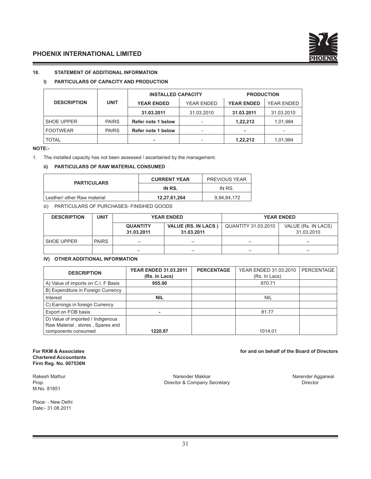

## **18. STATEMENT OF ADDITIONAL INFORMATION**

# **I) PARTICULARS OF CAPACITY AND PRODUCTION**

|                    |              | <b>INSTALLED CAPACITY</b>       |            | <b>PRODUCTION</b> |            |
|--------------------|--------------|---------------------------------|------------|-------------------|------------|
| <b>DESCRIPTION</b> | <b>UNIT</b>  | YEAR ENDED<br><b>YEAR ENDED</b> |            | <b>YEAR ENDED</b> | YEAR ENDED |
|                    |              | 31.03.2011                      | 31.03.2010 | 31.03.2011        | 31.03.2010 |
| <b>SHOE UPPER</b>  | <b>PAIRS</b> | Refer note 1 below              |            | 1.22.212          | 1,01,984   |
| <b>FOOTWEAR</b>    | <b>PAIRS</b> | Refer note 1 below              |            | ۰                 |            |
| <b>TOTAL</b>       |              |                                 |            | 1.22.212          | 1,01,984   |

#### **NOTE:-**

1. The installed capacity has not been assessed / ascertained by the management.

#### **ii) PARTICULARS OF RAW MATERIAL CONSUMED**

| <b>PARTICULARS</b>          | <b>CURRENT YEAR</b> | <b>PREVIOUS YEAR</b> |
|-----------------------------|---------------------|----------------------|
|                             | IN RS.              | IN RS.               |
| Leather/ other Raw material | 12,27,61,264        | 9,94,84,172          |

iii) PARTICULARS OF PURCHASES- FINSIHED GOODS

| <b>DESCRIPTION</b> | <b>UNIT</b>  | <b>YEAR ENDED</b>             |                                          |                     | <b>YEAR ENDED</b>                 |
|--------------------|--------------|-------------------------------|------------------------------------------|---------------------|-----------------------------------|
|                    |              | <b>QUANTITY</b><br>31.03.2011 | <b>VALUE (RS. IN LACS)</b><br>31.03.2011 | QUANTITY 31.03.2010 | VALUE (Rs. IN LACS)<br>31.03.2010 |
| SHOE UPPER         | <b>PAIRS</b> |                               |                                          |                     |                                   |
|                    |              | -                             |                                          |                     | —                                 |

#### **IV) OTHER ADDITIONAL INFORMATION**

| <b>DESCRIPTION</b>                  | <b>YEAR ENDED 31.03.2011</b><br>(Rs. In Lacs) | <b>PERCENTAGE</b> | YEAR ENDED 31.03.2010<br>(Rs. In Lacs) | <b>PERCENTAGE</b> |
|-------------------------------------|-----------------------------------------------|-------------------|----------------------------------------|-------------------|
| A) Value of imports on C.I. F Basis | 955.00                                        |                   | 870.71                                 |                   |
| B) Expenditure in Foreign Currency  |                                               |                   |                                        |                   |
| Interest                            | <b>NIL</b>                                    |                   | <b>NIL</b>                             |                   |
| C) Earnings in foreign Currency     |                                               |                   |                                        |                   |
| Export on FOB basis                 |                                               |                   | 81.77                                  |                   |
| D) Value of imported / Indigenous   |                                               |                   |                                        |                   |
| Raw Material, stores, Spares and    |                                               |                   |                                        |                   |
| components consumed                 | 1220.87                                       |                   | 1014.01                                |                   |

#### **For RKM & Associates for and on behalf of the Board of Directors Chartered Accountants Firm Reg. No. 007536N**

M.No. 81851

Place: - New Delhi Date:- 31.08.2011

Rakesh Mathur **Narender Makkar** Narender Makkar Narender Aggarwal Narender Aggarwal<br>Prop. Narender Aggarwal Director & Company Secretary Narender Aggarwal Director Prop. **Director & Company Secretary**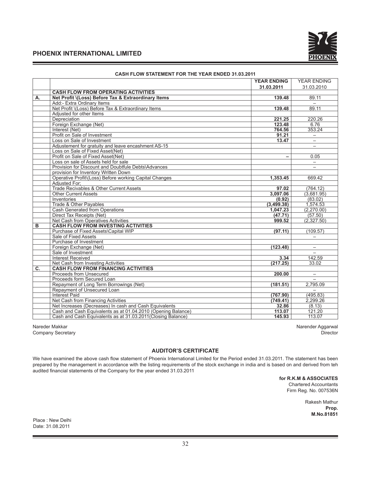

|    |                                                              | <b>YEAR ENDING</b> | <b>YEAR ENDING</b>       |
|----|--------------------------------------------------------------|--------------------|--------------------------|
|    |                                                              | 31.03.2011         | 31.03.2010               |
|    | <b>CASH FLOW FROM OPERATING ACTIVITIES</b>                   |                    |                          |
| А. | Net Profit \(Loss) Before Tax & Extraordinary Items          | 139.48             | 89.11                    |
|    | Add:- Extra Ordinary Items                                   |                    |                          |
|    | Net Profit \(Loss) Before Tax & Extraordinary Items          | 139.48             | 89.11                    |
|    | Adjusted for other Items                                     |                    |                          |
|    | Depreciation                                                 | 221.25             | 220.26                   |
|    | Foreign Exchange (Net)                                       | 123.48             | 6.76                     |
|    | Interest (Net)                                               | 764.56             | 353.24                   |
|    | Profit on Sale of Investment                                 | 91.21              |                          |
|    | Loss on Sale of Investment                                   | 13.47              | $\overline{\phantom{0}}$ |
|    | Adjustement for gratuity and leave encashment AS-15          |                    | $\qquad \qquad -$        |
|    | Loss on Sale of Fixed Asset (Net)                            |                    |                          |
|    | Profit on Sale of Fixed Asset(Net)                           | -                  | 0.05                     |
|    | Loss on sale of Assets held for sale                         |                    | $\qquad \qquad -$        |
|    | Provision for Discount and Doubtfule Debts\Advances          |                    | $=$                      |
|    | provision for Inventory Written Down                         |                    |                          |
|    | Operative Profit\(Loss) Before working Capital Changes       | 1.353.45           | 669.42                   |
|    | Adjusted For:                                                |                    |                          |
|    | Trade Recivables & Other Current Assets                      | 97.02              | (764.12)                 |
|    | <b>Other Current Assets</b>                                  | 3,097.06           | (3,681.95)               |
|    | Inventories                                                  | (0.92)             | (83.02)                  |
|    | Trade & Other Payables                                       | (3,499.38)         | 1,574.53                 |
|    | Cash Generated from Operations                               | 1,047.23           | (2,270.00)               |
|    | Direct Tax Receipts (Net)                                    | (47.71)            | (57.50)                  |
|    | Net Cash from Operatives Activities                          | 999.52             | (2,327.50)               |
| B  | <b>CASH FLOW FROM INVESTING ACTIVITIES</b>                   |                    |                          |
|    | Purchase of Fixed Assets\Capital WIP                         | (97.11)            | (109.57)                 |
|    | Sale of Fixed Assets                                         |                    |                          |
|    | Purchase of Investment                                       |                    |                          |
|    | Foreign Exchange (Net)                                       | (123.48)           | $\overline{\phantom{0}}$ |
|    | Sale of Investment                                           |                    |                          |
|    | <b>Interest Received</b>                                     | 3.34               | 142.59                   |
|    | Net Cash from Investing Activities                           | (217.25)           | 33.02                    |
| C. | <b>CASH FLOW FROM FINANCING ACTIVITIES</b>                   |                    |                          |
|    | Proceeds from Unsecured                                      | 200.00             | $\qquad \qquad -$        |
|    | Proceeds form Secured Loan                                   |                    |                          |
|    | Repayment of Long Term Borrowings (Net)                      | (181.51)           | 2,795.09                 |
|    | Repayment of Unsecured Loan                                  |                    |                          |
|    | <b>Interest Paid</b>                                         | (767.90)           | (495.83)                 |
|    | Net Cash from Financing Activities                           | (749.41)           | 2.299.26                 |
|    | Net Increases (Decreases) In cash and Cash Equivalents       | 32.86              | (8.13)                   |
|    | Cash and Cash Equivalents as at 01.04.2010 (Opening Balance) | 113.07             | 121.20                   |
|    | Cash and Cash Equivalents as at 31.03.2011 (Closing Balance) | 145.93             | 113.07                   |

# **CASH FLOW STATEMENT FOR THE YEAR ENDED 31.03.2011**

Company Secretary

Nareder Makkar Narender Aggarwal (Narender Aggarwal Narender Aggarwal Narender Aggarwal Narender Aggarwal Narender Aggarwal (Narender Aggarwal Narender Aggarwal Director Company Secretary (Narender Aggarwal Director Compan

## **AUDITOR'S CERTIFICATE**

We have examined the above cash flow statement of Phoenix International Limited for the Period ended 31.03.2011. The statement has been prepared by the management in accordance with the listing requirements of the stock exchange in india and is based on and derived from teh audited financial statements of the Company for the year ended 31.03.2011

> **for R.K.M & ASSOCIATES** Chartered Accountants Firm Reg. No. 007536N

> > Rakesh Mathur **Prop. M.No.81851**

Place : New Delhi Date: 31.08.2011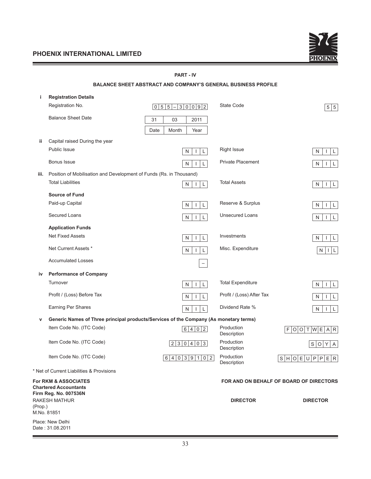Date : 31.08.2011



|         |                                                                     | <b>PART - IV</b>                                                                      |                           |                                         |
|---------|---------------------------------------------------------------------|---------------------------------------------------------------------------------------|---------------------------|-----------------------------------------|
|         |                                                                     | <b>BALANCE SHEET ABSTRACT AND COMPANY'S GENERAL BUSINESS PROFILE</b>                  |                           |                                         |
| j.      | <b>Registration Details</b>                                         |                                                                                       |                           |                                         |
|         | Registration No.                                                    | $\boxed{0}$ 5 5<br>30092<br>$\qquad \qquad -$                                         | State Code                | 5 5                                     |
|         | <b>Balance Sheet Date</b>                                           | 03<br>2011<br>31                                                                      |                           |                                         |
|         |                                                                     | Date<br>Month<br>Year                                                                 |                           |                                         |
| ii.     | Capital raised During the year                                      |                                                                                       |                           |                                         |
|         | <b>Public Issue</b>                                                 | L<br>N<br>$\mathbf{I}$                                                                | <b>Right Issue</b>        | L<br>N<br>$\mathbf{I}$                  |
|         | Bonus Issue                                                         | N<br>$\mathbf{I}$<br>L                                                                | <b>Private Placement</b>  | N<br>L<br>$\mathbf{I}$                  |
| iii.    | Position of Mobilisation and Development of Funds (Rs. in Thousand) |                                                                                       |                           |                                         |
|         | <b>Total Liabilities</b>                                            | Г<br>N<br>$\mathbf{I}$                                                                | <b>Total Assets</b>       | N<br>L<br>$\perp$                       |
|         | <b>Source of Fund</b>                                               |                                                                                       |                           |                                         |
|         | Paid-up Capital                                                     | N<br>$\mathbf{I}$<br>L                                                                | Reserve & Surplus         | N<br>L                                  |
|         | Secured Loans                                                       | N<br>$\mathbf{I}$<br>L                                                                | <b>Unsecured Loans</b>    | N<br>L                                  |
|         | <b>Application Funds</b>                                            |                                                                                       |                           |                                         |
|         | <b>Net Fixed Assets</b>                                             | L<br>N<br>$\mathbf{I}$                                                                | Investments               | N<br>L                                  |
|         | Net Current Assets *                                                | N<br>L<br>$\mathbf{I}$                                                                | Misc. Expenditure         | N<br>ΙL<br>Т.                           |
|         | <b>Accumulated Losses</b>                                           |                                                                                       |                           |                                         |
| iv      | <b>Performance of Company</b>                                       |                                                                                       |                           |                                         |
|         | Turnover                                                            | N<br>$\mathbf{I}$<br>L                                                                | <b>Total Expenditure</b>  | ${\sf N}$<br>L<br>J.                    |
|         | Profit / (Loss) Before Tax                                          | N<br>$\mathbf{I}$                                                                     | Profit / (Loss) After Tax | N<br>L                                  |
|         | Earning Per Shares                                                  | N<br>$\mathbf{I}$<br>L                                                                | Dividend Rate %           | N<br>L<br>J.                            |
| v       |                                                                     | Generic Names of Three principal products/Services of the Company (As monetary terms) |                           |                                         |
|         | Item Code No. (ITC Code)                                            | 4 0 <br>$\vert$ 2<br>6                                                                | Production<br>Description | F O O T W E A R                         |
|         | Item Code No. (ITC Code)                                            | 2 3 0 4 0 3                                                                           | Production<br>Description | S O Y A                                 |
|         | Item Code No. (ITC Code)                                            | 6 4 0 3 9 1 0 2                                                                       | Production<br>Description | S H O E U P P E R                       |
|         | * Net of Current Liabilities & Provisions                           |                                                                                       |                           |                                         |
|         | <b>For RKM &amp; ASSOCIATES</b><br><b>Chartered Accountants</b>     |                                                                                       |                           | FOR AND ON BEHALF OF BOARD OF DIRECTORS |
|         | Firm Reg. No. 007536N                                               |                                                                                       |                           |                                         |
| (Prop.) | <b>RAKESH MATHUR</b>                                                |                                                                                       | <b>DIRECTOR</b>           | <b>DIRECTOR</b>                         |
|         | M.No. 81851                                                         |                                                                                       |                           |                                         |
|         | Place: New Delhi                                                    |                                                                                       |                           |                                         |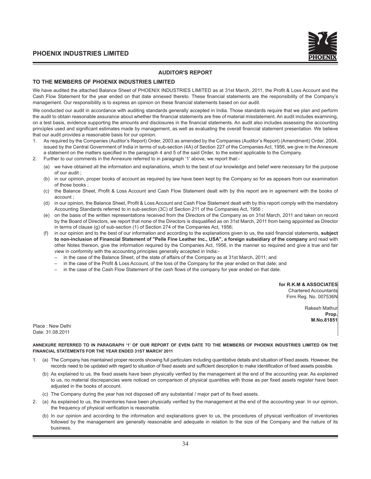

#### **AUDITOR'S REPORT**

#### **TO THE MEMBERS OF PHOENIX INDUSTRIES LIMITED**

We have audited the attached Balance Sheet of PHOENIX INDUSTRIES LIMITED as at 31st March, 2011, the Profit & Loss Account and the Cash Flow Statement for the year ended on that date annexed thereto. These financial statements are the responsibility of the Company's management. Our responsibility is to express an opinion on these financial statements based on our audit.

We conducted our audit in accordance with auditing standards generally accepted in India. Those standards require that we plan and perform the audit to obtain reasonable assurance about whether the financial statements are free of material misstatement. An audit includes examining, on a test basis, evidence supporting the amounts and disclosures in the financial statements. An audit also includes assessing the accounting principles used and significant estimates made by management, as well as evaluating the overall financial statement presentation. We believe that our audit provides a reasonable basis for our opinion.

- 1. As required by the Companies (Auditor's Report) Order, 2003 as amended by the Companies (Auditor's Report) (Amendment) Order, 2004, issued by the Central Government of India in terms of sub-section (4A) of Section 227 of the Companies Act, 1956, we give in the Annexure a statement on the matters specified in the paragraph 4 and 5 of the said Order, to the extent applicable to the Company.
- 2. Further to our comments in the Annexure referred to in paragraph '1' above, we report that:-
	- (a) we have obtained all the information and explanations, which to the best of our knowledge and belief were necessary for the purpose of our audit ;
	- (b) in our opinion, proper books of account as required by law have been kept by the Company so for as appears from our examination of those books ;
	- (c) the Balance Sheet, Profit & Loss Account and Cash Flow Statement dealt with by this report are in agreement with the books of account ;
	- (d) in our opinion, the Balance Sheet, Profit & Loss Account and Cash Flow Statement dealt with by this report comply with the mandatory Accounting Standards referred to in sub-section (3C) of Section 211 of the Companies Act, 1956 ;
	- (e) on the basis of the written representations received from the Directors of the Company as on 31st March, 2011 and taken on record by the Board of Directors, we report that none of the Directors is disqualified as on 31st March, 2011 from being appointed as Director in terms of clause (g) of sub-section (1) of Section 274 of the Companies Act, 1956;
	- (f) in our opinion and to the best of our information and according to the explanations given to us, the said financial statements, **subject to non-inclusion of Financial Statement of "Pelle Fine Leather Inc., USA", a foreign subsidiary of the company** and read with other Notes thereon, give the information required by the Companies Act, 1956, in the manner so required and give a true and fair view in conformity with the accounting principles generally accepted in India:-
		- in the case of the Balance Sheet, of the state of affairs of the Company as at 31st March, 2011; and
		- in the case of the Profit & Loss Account, of the loss of the Company for the year ended on that date; and
		- in the case of the Cash Flow Statement of the cash flows of the company for year ended on that date.

**for R.K.M & ASSOCIATES**

Chartered Accountants Firm Reg. No. 007536N

> **Rakesh Mathur Prop. M.No.81851**

Place : New Delhi Date: 31.08.2011

**ANNEXURE REFERRED TO IN PARAGRAPH '1' OF OUR REPORT OF EVEN DATE TO THE MEMBERS OF PHOENIX INDUSTRIES LIMITED ON THE FINANCIAL STATEMENTS FOR THE YEAR ENDED 31ST MARCH' 2011**

- 1. (a) The Company has maintained proper records showing full particulars including quantitative details and situation of fixed assets. However, the records need to be updated with regard to situation of fixed assets and sufficient description to make identification of fixed assets possible.
	- (b) As explained to us, the fixed assets have been physically verified by the management at the end of the accounting year. As explained to us, no material discrepancies were noticed on comparison of physical quantities with those as per fixed assets register have been adjusted in the books of account.
	- (c) The Company during the year has not disposed off any substantial / major part of its fixed assets.
- 2. (a) As explained to us, the inventories have been physically verified by the management at the end of the accounting year. In our opinion, the frequency of physical verification is reasonable.
	- (b) In our opinion and according to the information and explanations given to us, the procedures of physical verification of inventories followed by the management are generally reasonable and adequate in relation to the size of the Company and the nature of its business.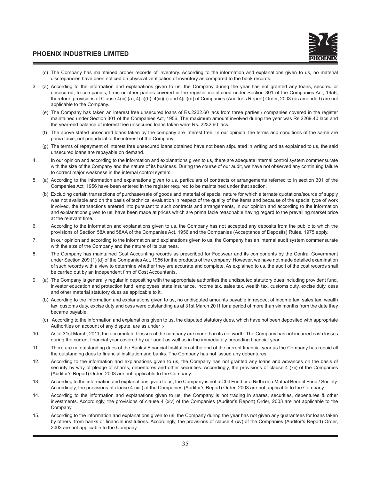- (c) The Company has maintained proper records of inventory. According to the information and explanations given to us, no material discrepancies have been noticed on physical verification of inventory as compared to the book records.
- 3. (a) According to the information and explanations given to us, the Company during the year has not granted any loans, secured or unsecured, to companies, firms or other parties covered in the register maintained under Section 301 of the Companies Act, 1956, therefore, provisions of Clause 4(iii) (a), 4(iii)(b), 4(iii)(c) and 4(iii)(d) of Companies (Auditor's Report) Order, 2003 (as amended) are not applicable to the Company.
	- (e) The Company has taken an interest free unsecured loans of Rs.2232.60 lacs from three parties / companies covered in the register maintained under Section 301 of the Companies Act, 1956. The maximum amount involved during the year was Rs.2269.40 lacs and the year-end balance of interest free unsecured loans taken were Rs. 2232.60 lacs.
	- (f) The above stated unsecured loans taken by the company are interest free. In our opinion, the terms and conditions of the same are prima facie, not prejudicial to the interest of the Company.
	- (g) The terms of repayment of interest free unsecured loans obtained have not been stipulated in writing and as explained to us, the said unsecured loans are repayable on demand.
- 4. In our opinion and according to the information and explanations given to us, there are adequate internal control system commensurate with the size of the Company and the nature of its business. During the course of our audit, we have not observed any continuing failure to correct major weakness in the internal control system.
- 5. (a) According to the information and explanations given to us, particulars of contracts or arrangements referred to in section 301 of the Companies Act, 1956 have been entered in the register required to be maintained under that section.
	- (b) Excluding certain transactions of purchase/sale of goods and material of special nature for which alternate quotations/source of supply was not available and on the basis of technical evaluation in respect of the quality of the items and because of the special type of work involved, the transactions entered into pursuant to such contracts and arrangements, in our opinion and according to the information and explanations given to us, have been made at prices which are prima facie reasonable having regard to the prevailing market price at the relevant time.
- 6. According to the information and explanations given to us, the Company has not accepted any deposits from the public to which the provisions of Section 58A and 58AA of the Companies Act, 1956 and the Companies (Acceptance of Deposits) Rules, 1975 apply.
- 7. In our opinion and according to the information and explanations given to us, the Company has an internal audit system commensurate with the size of the Company and the nature of its business.
- 8. The Company has maintained Cost Accounting records as prescribed for Footwear and its components by the Central Government under Section 209 (1) (d) of the Companies Act, 1956 for the products of the company. However, we have not made detailed examination of such records with a view to determine whether they are accurate and complete. As explained to us, the audit of the cost records shall be carried out by an independent firm of Cost Accountants.
- 9. (a) The Company is generally regular in depositing with the appropriate authorities the undisputed statutory dues including provident fund, investor education and protection fund, employees' state insurance, income tax, sales tax, wealth tax, customs duty, excise duty, cess and other material statutory dues as applicable to it.
	- (b) According to the information and explanations given to us, no undisputed amounts payable in respect of income tax, sales tax, wealth tax, customs duty, excise duty and cess were outstanding as at 31st March 2011 for a period of more than six months from the date they became payable.
	- (c) According to the information and explanations given to us, the disputed statutory dues, which have not been deposited with appropriate Authorities on account of any dispute, are as under :-
- 10 As at 31st March, 2011, the accumulated losses of the company are more than its net worth. The Company has not incurred cash losses during the current financial year covered by our audit as well as in the immediately preceding financial year.
- 11. There are no outstanding dues of the Banks/ Financial Institution at the end of the current financial year as the Company has repaid all the outstanding dues to financial institution and banks. The Company has not issued any debentures.
- 12. According to the information and explanations given to us, the Company has not granted any loans and advances on the basis of security by way of pledge of shares, debentures and other securities. Accordingly, the provisions of clause 4 (xii) of the Companies (Auditor's Report) Order, 2003 are not applicable to the Company.
- 13. According to the information and explanations given to us, the Company is not a Chit Fund or a Nidhi or a Mutual Benefit Fund / Society. Accordingly, the provisions of clause 4 (xiii) of the Companies (Auditor's Report) Order, 2003 are not applicable to the Company.
- 14. According to the information and explanations given to us, the Company is not trading in shares, securities, debentures & other investments. Accordingly, the provisions of clause 4 (xiv) of the Companies (Auditor's Report) Order, 2003 are not applicable to the Company.
- 15. According to the information and explanations given to us, the Company during the year has not given any guarantees for loans taken by others from banks or financial institutions. Accordingly, the provisions of clause 4 (xv) of the Companies (Auditor's Report) Order, 2003 are not applicable to the Company.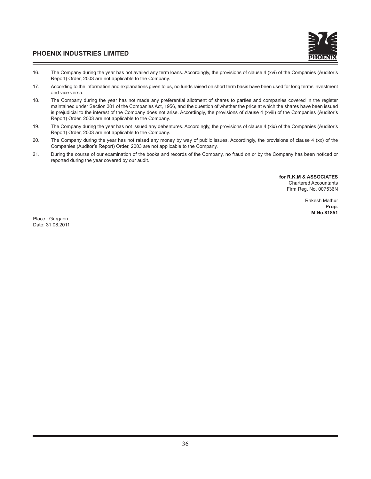

- 16. The Company during the year has not availed any term loans. Accordingly, the provisions of clause 4 (xvi) of the Companies (Auditor's Report) Order, 2003 are not applicable to the Company.
- 17. According to the information and explanations given to us, no funds raised on short term basis have been used for long terms investment and vice versa.
- 18. The Company during the year has not made any preferential allotment of shares to parties and companies covered in the register maintained under Section 301 of the Companies Act, 1956, and the question of whether the price at which the shares have been issued is prejudicial to the interest of the Company does not arise. Accordingly, the provisions of clause 4 (xviii) of the Companies (Auditor's Report) Order, 2003 are not applicable to the Company.
- 19. The Company during the year has not issued any debentures. Accordingly, the provisions of clause 4 (xix) of the Companies (Auditor's Report) Order, 2003 are not applicable to the Company.
- 20. The Company during the year has not raised any money by way of public issues. Accordingly, the provisions of clause 4 (xx) of the Companies (Auditor's Report) Order, 2003 are not applicable to the Company.
- 21. During the course of our examination of the books and records of the Company, no fraud on or by the Company has been noticed or reported during the year covered by our audit.

**for R.K.M & ASSOCIATES** Chartered Accountants Firm Reg. No. 007536N

> Rakesh Mathur **Prop. M.No.81851**

Place : Gurgaon Date: 31.08.2011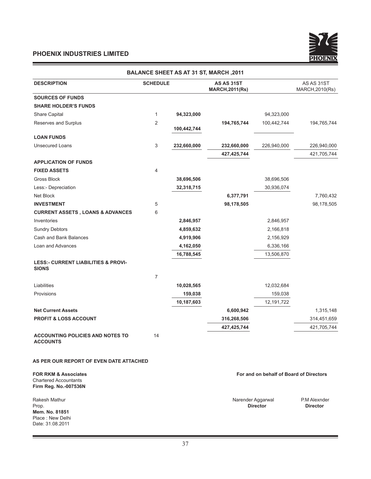Ξ



|                                                                                          |                           |             | <b>BALANCE SHEET AS AT 31 ST, MARCH, 2011</b> |                                         |                                 |
|------------------------------------------------------------------------------------------|---------------------------|-------------|-----------------------------------------------|-----------------------------------------|---------------------------------|
| <b>DESCRIPTION</b>                                                                       | <b>SCHEDULE</b>           |             | AS AS 31ST<br><b>MARCH, 2011(Rs)</b>          |                                         | AS AS 31ST<br>MARCH, 2010(Rs)   |
| <b>SOURCES OF FUNDS</b>                                                                  |                           |             |                                               |                                         |                                 |
| <b>SHARE HOLDER'S FUNDS</b>                                                              |                           |             |                                               |                                         |                                 |
| <b>Share Capital</b>                                                                     | $\mathbf{1}$              | 94,323,000  |                                               | 94,323,000                              |                                 |
| Reserves and Surplus                                                                     | $\overline{c}$            | 100,442,744 | 194,765,744                                   | 100,442,744                             | 194,765,744                     |
| <b>LOAN FUNDS</b>                                                                        |                           |             |                                               |                                         |                                 |
| <b>Unsecured Loans</b>                                                                   | $\ensuremath{\mathsf{3}}$ | 232,660,000 | 232,660,000                                   | 226,940,000                             | 226,940,000                     |
|                                                                                          |                           |             | 427,425,744                                   |                                         | 421,705,744                     |
| <b>APPLICATION OF FUNDS</b>                                                              |                           |             |                                               |                                         |                                 |
| <b>FIXED ASSETS</b>                                                                      | 4                         |             |                                               |                                         |                                 |
| Gross Block                                                                              |                           | 38,696,506  |                                               | 38,696,506                              |                                 |
| Less:- Depreciation                                                                      |                           | 32,318,715  |                                               | 30,936,074                              |                                 |
| Net Block                                                                                |                           |             | 6,377,791                                     |                                         | 7,760,432                       |
| <b>INVESTMENT</b>                                                                        | 5                         |             | 98,178,505                                    |                                         | 98,178,505                      |
| <b>CURRENT ASSETS, LOANS &amp; ADVANCES</b>                                              | 6                         |             |                                               |                                         |                                 |
| Inventories                                                                              |                           | 2,846,957   |                                               | 2,846,957                               |                                 |
| <b>Sundry Debtors</b>                                                                    |                           | 4,859,632   |                                               | 2,166,818                               |                                 |
| Cash and Bank Balances                                                                   |                           | 4,919,906   |                                               | 2,156,929                               |                                 |
| Loan and Advances                                                                        |                           | 4,162,050   |                                               | 6,336,166                               |                                 |
|                                                                                          |                           | 16,788,545  |                                               | 13,506,870                              |                                 |
| <b>LESS:- CURRENT LIABILITIES &amp; PROVI-</b><br><b>SIONS</b>                           |                           |             |                                               |                                         |                                 |
|                                                                                          | $\overline{7}$            |             |                                               |                                         |                                 |
| Liabilities                                                                              |                           | 10,028,565  |                                               | 12,032,684                              |                                 |
| Provisions                                                                               |                           | 159,038     |                                               | 159,038                                 |                                 |
|                                                                                          |                           | 10,187,603  |                                               | 12,191,722                              |                                 |
| <b>Net Current Assets</b>                                                                |                           |             | 6,600,942                                     |                                         | 1,315,148                       |
| <b>PROFIT &amp; LOSS ACCOUNT</b>                                                         |                           |             | 316,268,506                                   |                                         | 314,451,659                     |
|                                                                                          |                           |             | 427,425,744                                   |                                         | 421,705,744                     |
| <b>ACCOUNTING POLICIES AND NOTES TO</b><br><b>ACCOUNTS</b>                               | 14                        |             |                                               |                                         |                                 |
| AS PER OUR REPORT OF EVEN DATE ATTACHED                                                  |                           |             |                                               |                                         |                                 |
| <b>FOR RKM &amp; Associates</b><br><b>Chartered Accountants</b><br>Firm Reg. No.-007536N |                           |             |                                               | For and on behalf of Board of Directors |                                 |
| Rakesh Mathur<br>Prop.<br>Mem. No. 81851<br>Place: New Delhi<br>Date: 31.08.2011         |                           |             | Narender Aggarwal                             | <b>Director</b>                         | P.M Alexnder<br><b>Director</b> |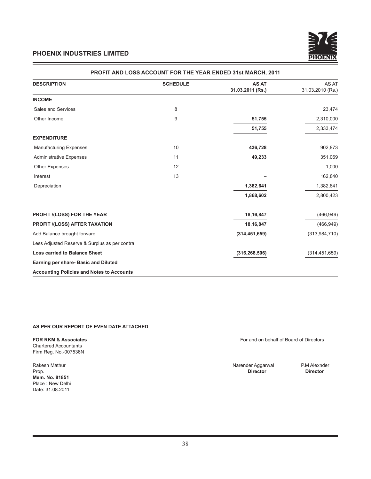

| <b>DESCRIPTION</b>                               | <b>SCHEDULE</b> | <b>AS AT</b><br>31.03.2011 (Rs.) | AS AT<br>31.03.2010 (Rs.) |
|--------------------------------------------------|-----------------|----------------------------------|---------------------------|
| <b>INCOME</b>                                    |                 |                                  |                           |
| Sales and Services                               | 8               |                                  | 23,474                    |
| Other Income                                     | 9               | 51,755                           | 2,310,000                 |
|                                                  |                 | 51,755                           | 2,333,474                 |
| <b>EXPENDITURE</b>                               |                 |                                  |                           |
| <b>Manufacturing Expenses</b>                    | 10              | 436,728                          | 902,873                   |
| <b>Administrative Expenses</b>                   | 11              | 49,233                           | 351,069                   |
| Other Expenses                                   | 12              |                                  | 1,000                     |
| Interest                                         | 13              |                                  | 162,840                   |
| Depreciation                                     |                 | 1,382,641                        | 1,382,641                 |
|                                                  |                 | 1,868,602                        | 2,800,423                 |
| <b>PROFIT /(LOSS) FOR THE YEAR</b>               |                 | 18,16,847                        | (466, 949)                |
| <b>PROFIT /(LOSS) AFTER TAXATION</b>             |                 | 18,16,847                        | (466, 949)                |
| Add Balance brought forward                      |                 | (314, 451, 659)                  | (313,984,710)             |
| Less Adjusted Reserve & Surplus as per contra    |                 |                                  |                           |
| <b>Loss carried to Balance Sheet</b>             |                 | (316, 268, 506)                  | (314, 451, 659)           |
| Earning per share- Basic and Diluted             |                 |                                  |                           |
| <b>Accounting Policies and Notes to Accounts</b> |                 |                                  |                           |

#### **PROFIT AND LOSS ACCOUNT FOR THE YEAR ENDED 31st MARCH, 2011**

# **AS PER OUR REPORT OF EVEN DATE ATTACHED**

Chartered Accountants Firm Reg. No.-007536N

Rakesh Mathur **Narender Aggarwal P.M Alexnder** P.M Alexnder Prop.<br>Prop. **Director Director Mem. No. 81851** Place : New Delhi Date: 31.08.2011

**FOR RKM & Associates FOR RKM & Associates For and on behalf of Board of Directors** 

Prop. **Director Director**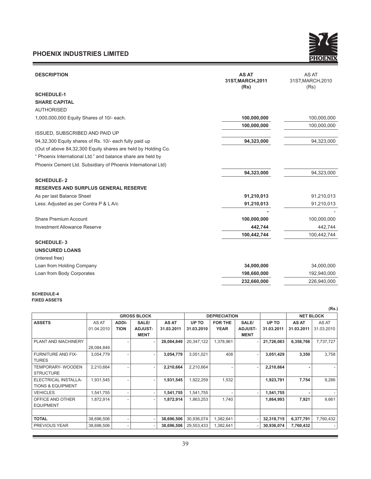<u> 1989 - Johann Barnett, mars et al. 1989 - Anna anno 1989 - Anna anno 1989 - Anna anno 1989 - Anna anno 1989 -</u>

 $\equiv$ 



| <b>DESCRIPTION</b>                                            | <b>AS AT</b><br>31ST, MARCH, 2011<br>(Rs) | AS AT<br>31ST, MARCH, 2010<br>(Rs) |
|---------------------------------------------------------------|-------------------------------------------|------------------------------------|
| <b>SCHEDULE-1</b>                                             |                                           |                                    |
| <b>SHARE CAPITAL</b>                                          |                                           |                                    |
| <b>AUTHORISED</b>                                             |                                           |                                    |
| 1,000,000,000 Equity Shares of 10/- each.                     | 100,000,000                               | 100,000,000                        |
|                                                               | 100,000,000                               | 100,000,000                        |
| <b>ISSUED, SUBSCRIBED AND PAID UP</b>                         |                                           |                                    |
| 94,32,300 Equity shares of Rs. 10/- each fully paid up        | 94,323,000                                | 94,323,000                         |
| (Out of above 84,32,300 Equity shares are held by Holding Co. |                                           |                                    |
| " Phoenix International Ltd." and balance share are held by   |                                           |                                    |
| Phoenix Cement Ltd. Subsidiary of Phoenix International Ltd)  |                                           |                                    |
|                                                               | 94,323,000                                | 94,323,000                         |
| <b>SCHEDULE-2</b>                                             |                                           |                                    |
| <b>RESERVES AND SURPLUS GENERAL RESERVE</b>                   |                                           |                                    |
| As per last Balance Sheet                                     | 91,210,013                                | 91,210,013                         |
| Less: Adjusted as per Contra P & L A/c                        | 91,210,013                                | 91,210,013                         |
|                                                               |                                           |                                    |
| <b>Share Premium Account</b>                                  | 100,000,000                               | 100,000,000                        |
| <b>Investment Allowance Reserve</b>                           | 442,744                                   | 442,744                            |
|                                                               | 100,442,744                               | 100,442,744                        |
| <b>SCHEDULE-3</b>                                             |                                           |                                    |
| <b>UNSCURED LOANS</b>                                         |                                           |                                    |
| (interest free)                                               |                                           |                                    |
| Loan from Holding Company                                     | 34,000,000                                | 34,000,000                         |
| Loan from Body Corporates                                     | 198,660,000                               | 192,940,000                        |
|                                                               | 232,660,000                               | 226,940,000                        |

#### **SCHEDULE-4 FIXED ASSETS**

|                              |                    |             |             |            |                     |             |                |            |                  | (Rs.)      |
|------------------------------|--------------------|-------------|-------------|------------|---------------------|-------------|----------------|------------|------------------|------------|
|                              | <b>GROSS BLOCK</b> |             |             |            | <b>DEPRECIATION</b> |             |                |            | <b>NET BLOCK</b> |            |
| <b>ASSETS</b>                | AS AT              | ADDI-       | SALE/       | AS AT      | UP TO               | FOR THE     | SALE/          | UP TO      | <b>AS AT</b>     | AS AT      |
|                              | 01.04.2010         | <b>TION</b> | ADJUST-     | 31.03.2011 | 31.03.2010          | <b>YEAR</b> | <b>ADJUST-</b> | 31.03.2011 | 31.03.2011       | 31.03.2010 |
|                              |                    |             | <b>MENT</b> |            |                     |             | <b>MENT</b>    |            |                  |            |
| PLANT AND MACHINERY          |                    |             |             | 28,084,849 | 20,347,122          | 1,378,961   |                | 21,726,083 | 6,358,766        | 7,737,727  |
|                              | 28,084,849         |             |             |            |                     |             |                |            |                  |            |
| <b>FURNITURE AND FIX-</b>    | 3,054,779          |             |             | 3,054,779  | 3,051,021           | 408         |                | 3,051,429  | 3,350            | 3,758      |
| <b>TURES</b>                 |                    |             |             |            |                     |             |                |            |                  |            |
| TEMPORARY- WOODEN            | 2,210,664          |             | ۰.          | 2,210,664  | 2,210,664           |             |                | 2,210,664  |                  |            |
| <b>STRUCTURE</b>             |                    |             |             |            |                     |             |                |            |                  |            |
| ELECTRICAL INSTALLA-         | 1,931,545          |             | ۰           | 1,931,545  | 1,922,259           | 1,532       |                | 1,923,791  | 7,754            | 9,286      |
| <b>TIONS &amp; EQUIPMENT</b> |                    |             |             |            |                     |             |                |            |                  |            |
| <b>VEHICLES</b>              | 1,541,755          |             |             | 1,541,755  | 1,541,755           |             |                | 1,541,755  |                  |            |
| OFFICE AND OTHER             | 1,872,914          |             |             | 1,872,914  | 1,863,253           | 1,740       |                | 1,864,993  | 7,921            | 9,661      |
| <b>EQUIPMENT</b>             |                    |             |             |            |                     |             |                |            |                  |            |
|                              |                    |             |             |            |                     |             |                |            |                  |            |
| <b>TOTAL</b>                 | 38,696,506         |             |             | 38,696,506 | 30,936,074          | 1,382,641   |                | 32,318,715 | 6,377,791        | 7,760,432  |
| PREVIOUS YEAR                | 38,696,506         |             |             | 38,696,506 | 29,553,433          | 1,382,641   |                | 30,936,074 | 7,760,432        |            |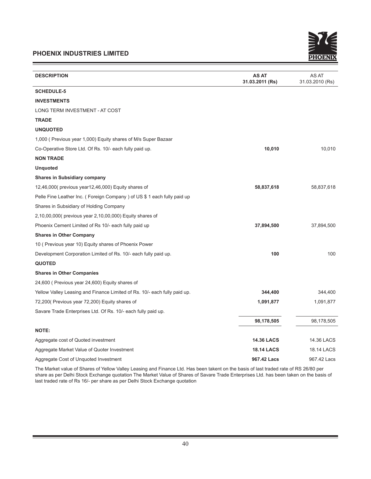

| <b>DESCRIPTION</b>                                                        | <b>AS AT</b><br>31.03.2011 (Rs) | AS AT<br>31.03.2010 (Rs) |
|---------------------------------------------------------------------------|---------------------------------|--------------------------|
| <b>SCHEDULE-5</b>                                                         |                                 |                          |
| <b>INVESTMENTS</b>                                                        |                                 |                          |
| LONG TERM INVESTMENT - AT COST                                            |                                 |                          |
| <b>TRADE</b>                                                              |                                 |                          |
| <b>UNQUOTED</b>                                                           |                                 |                          |
| 1,000 (Previous year 1,000) Equity shares of M/s Super Bazaar             |                                 |                          |
| Co-Operative Store Ltd. Of Rs. 10/- each fully paid up.                   | 10,010                          | 10,010                   |
| <b>NON TRADE</b>                                                          |                                 |                          |
| <b>Unquoted</b>                                                           |                                 |                          |
| <b>Shares in Subsidiary company</b>                                       |                                 |                          |
| 12,46,000(previous year12,46,000) Equity shares of                        | 58,837,618                      | 58,837,618               |
| Pelle Fine Leather Inc. (Foreign Company) of US \$ 1 each fully paid up   |                                 |                          |
| Shares in Subsidiary of Holding Company                                   |                                 |                          |
| 2,10,00,000 (previous year 2,10,00,000) Equity shares of                  |                                 |                          |
| Phoenix Cement Limited of Rs 10/- each fully paid up                      | 37,894,500                      | 37,894,500               |
| <b>Shares in Other Company</b>                                            |                                 |                          |
| 10 (Previous year 10) Equity shares of Phoenix Power                      |                                 |                          |
| Development Corporation Limited of Rs. 10/- each fully paid up.           | 100                             | 100                      |
| <b>QUOTED</b>                                                             |                                 |                          |
| <b>Shares in Other Companies</b>                                          |                                 |                          |
| 24,600 (Previous year 24,600) Equity shares of                            |                                 |                          |
| Yellow Valley Leasing and Finance Limited of Rs. 10/- each fully paid up. | 344,400                         | 344,400                  |
| 72,200(Previous year 72,200) Equity shares of                             | 1,091,877                       | 1,091,877                |
| Savare Trade Enterprises Ltd. Of Rs. 10/- each fully paid up.             |                                 |                          |
|                                                                           | 98,178,505                      | 98,178,505               |
| <b>NOTE:</b>                                                              |                                 |                          |
| Aggregate cost of Quoted investment                                       | <b>14.36 LACS</b>               | 14.36 LACS               |
| Aggregate Market Value of Quoter Investment                               | <b>18.14 LACS</b>               | <b>18.14 LACS</b>        |
| Aggregate Cost of Unquoted Investment                                     | 967.42 Lacs                     | 967.42 Lacs              |

The Market value of Shares of Yellow Valley Leasing and Finance Ltd. Has been takent on the basis of last traded rate of RS 26/80 per share as per Delhi Stock Exchange quotation The Market Value of Shares of Savare Trade Enterprises Ltd. has been taken on the basis of last traded rate of Rs 16/- per share as per Delhi Stock Exchange quotation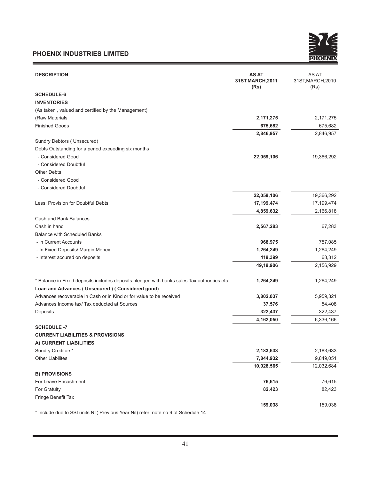

| <b>DESCRIPTION</b>                                                                                                                             | <b>AS AT</b><br>31ST, MARCH, 2011<br>(Rs) | AS AT<br>31ST, MARCH, 2010<br>(Rs) |
|------------------------------------------------------------------------------------------------------------------------------------------------|-------------------------------------------|------------------------------------|
| <b>SCHEDULE-6</b>                                                                                                                              |                                           |                                    |
| <b>INVENTORIES</b>                                                                                                                             |                                           |                                    |
| (As taken, valued and certified by the Management)                                                                                             |                                           |                                    |
| (Raw Materials                                                                                                                                 | 2,171,275                                 | 2,171,275                          |
| <b>Finished Goods</b>                                                                                                                          | 675,682                                   | 675,682                            |
|                                                                                                                                                | 2,846,957                                 | 2,846,957                          |
| Sundry Debtors (Unsecured)                                                                                                                     |                                           |                                    |
| Debts Outstanding for a period exceeding six months                                                                                            |                                           |                                    |
| - Considered Good                                                                                                                              | 22,059,106                                | 19,366,292                         |
| - Considered Doubtful                                                                                                                          |                                           |                                    |
| <b>Other Debts</b>                                                                                                                             |                                           |                                    |
| - Considered Good                                                                                                                              |                                           |                                    |
| - Considered Doubtful                                                                                                                          |                                           |                                    |
|                                                                                                                                                | 22,059,106                                | 19,366,292                         |
| Less: Provision for Doubtful Debts                                                                                                             | 17,199,474                                | 17,199,474                         |
|                                                                                                                                                | 4,859,632                                 | 2,166,818                          |
| Cash and Bank Balances                                                                                                                         |                                           |                                    |
| Cash in hand                                                                                                                                   | 2,567,283                                 | 67,283                             |
| <b>Balance with Scheduled Banks</b>                                                                                                            |                                           |                                    |
| - in Current Accounts                                                                                                                          | 968,975                                   | 757,085                            |
| - In Fixed Deposits/ Margin Money                                                                                                              | 1,264,249                                 | 1,264,249                          |
| - Interest accured on deposits                                                                                                                 | 119,399                                   | 68,312                             |
|                                                                                                                                                | 49,19,906                                 | 2,156,929                          |
| * Balance in Fixed deposits includes deposits pledged with banks sales Tax authorities etc.<br>Loan and Advances (Unsecured) (Considered good) | 1,264,249                                 | 1,264,249                          |
| Advances recoverable in Cash or in Kind or for value to be received                                                                            | 3,802,037                                 | 5,959,321                          |
| Advances Income tax/ Tax deducted at Sources                                                                                                   | 37,576                                    | 54,408                             |
| Deposits                                                                                                                                       | 322,437                                   | 322,437                            |
|                                                                                                                                                | 4,162,050                                 | 6,336,166                          |
| <b>SCHEDULE -7</b>                                                                                                                             |                                           |                                    |
| <b>CURRENT LIABILITIES &amp; PROVISIONS</b>                                                                                                    |                                           |                                    |
| A) CURRENT LIABILITIES                                                                                                                         |                                           |                                    |
| Sundry Creditors*                                                                                                                              | 2,183,633                                 | 2,183,633                          |
| <b>Other Liabilites</b>                                                                                                                        | 7,844,932                                 | 9,849,051                          |
|                                                                                                                                                | 10,028,565                                | 12,032,684                         |
| <b>B) PROVISIONS</b>                                                                                                                           |                                           |                                    |
| For Leave Encashment                                                                                                                           | 76,615                                    | 76,615                             |
| For Gratuity                                                                                                                                   | 82,423                                    | 82,423                             |
| Fringe Benefit Tax                                                                                                                             |                                           |                                    |
|                                                                                                                                                | 159,038                                   | 159,038                            |

\* Include due to SSI units Nil( Previous Year Nil) refer note no 9 of Schedule 14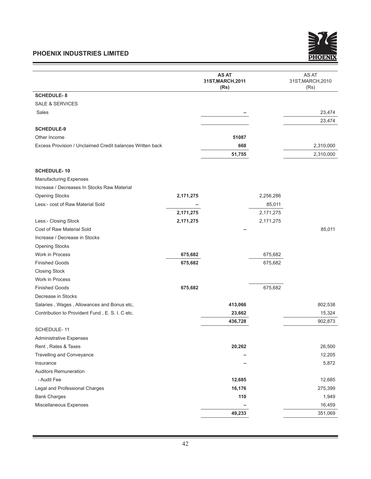<u> Andrew Maria (1989)</u>



|                                                           |           | <b>AS AT</b><br>31ST, MARCH, 2011<br>(Rs) |           | AS AT<br>31ST, MARCH, 2010<br>(Rs) |
|-----------------------------------------------------------|-----------|-------------------------------------------|-----------|------------------------------------|
| <b>SCHEDULE-8</b>                                         |           |                                           |           |                                    |
| <b>SALE &amp; SERVICES</b>                                |           |                                           |           |                                    |
| Sales                                                     |           |                                           |           | 23,474                             |
|                                                           |           |                                           |           | 23,474                             |
| <b>SCHEDULE-9</b>                                         |           |                                           |           |                                    |
| Other Income                                              |           | 51087                                     |           |                                    |
| Excess Provision / Unclaimed Credit balances Written back |           | 668                                       |           | 2,310,000                          |
|                                                           |           | 51,755                                    |           | 2,310,000                          |
| <b>SCHEDULE-10</b>                                        |           |                                           |           |                                    |
| <b>Manufacturing Expenses</b>                             |           |                                           |           |                                    |
| Increase / Decreases In Stocks Raw Material               |           |                                           |           |                                    |
| <b>Opening Stocks</b>                                     | 2,171,275 |                                           | 2,256,286 |                                    |
| Less:- cost of Raw Material Sold                          |           |                                           | 85,011    |                                    |
|                                                           | 2,171,275 |                                           | 2,171,275 |                                    |
| Less:- Closing Stock                                      | 2,171,275 |                                           | 2,171,275 |                                    |
| Cost of Raw Material Sold                                 |           |                                           |           | 85,011                             |
| Increase / Decrease in Stocks                             |           |                                           |           |                                    |
| <b>Opening Stocks</b>                                     |           |                                           |           |                                    |
| Work in Process                                           | 675,682   |                                           | 675,682   |                                    |
| <b>Finished Goods</b>                                     | 675,682   |                                           | 675,682   |                                    |
| <b>Closing Stock</b>                                      |           |                                           |           |                                    |
| Work in Process                                           |           |                                           |           |                                    |
| <b>Finished Goods</b>                                     | 675,682   |                                           | 675,682   |                                    |
| Decrease in Stocks                                        |           |                                           |           |                                    |
| Salaries, Wages, Allowances and Bonus etc,                |           | 413,066                                   |           | 802,538                            |
| Contribution to Provident Fund, E. S. I. C etc.           |           | 23,662                                    |           | 15,324                             |
|                                                           |           | 436,728                                   |           | 902,873                            |
| SCHEDULE-11                                               |           |                                           |           |                                    |
| <b>Administrative Expenses</b>                            |           |                                           |           |                                    |
| Rent, Rates & Taxes                                       |           | 20,262                                    |           | 26,500                             |
| Travelling and Conveyance                                 |           |                                           |           | 12,205                             |
| Insurance                                                 |           |                                           |           | 5,872                              |
| <b>Auditors Remuneration</b>                              |           |                                           |           |                                    |
| - Audit Fee                                               |           | 12,685                                    |           | 12,685                             |
| Legal and Professional Charges                            |           | 16,176                                    |           | 275,399                            |
| <b>Bank Charges</b>                                       |           | 110                                       |           | 1,949                              |
| Miscellaneous Expenses                                    |           |                                           |           | 16,459                             |
|                                                           |           | 49,233                                    |           | 351,069                            |

and the control of the control of the control of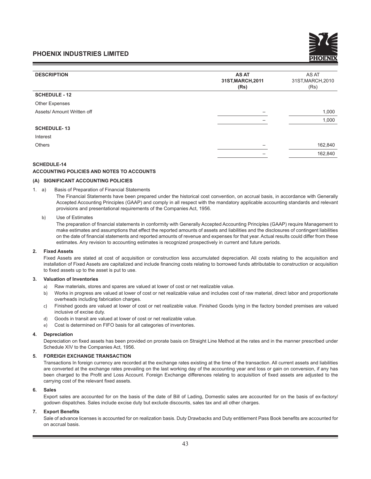| <b>DESCRIPTION</b>         | <b>AS AT</b><br>31ST, MARCH, 2011<br>(Rs) | AS AT<br>31ST, MARCH, 2010<br>(Rs) |
|----------------------------|-------------------------------------------|------------------------------------|
| <b>SCHEDULE - 12</b>       |                                           |                                    |
| <b>Other Expenses</b>      |                                           |                                    |
| Assets/ Amount Written off |                                           | 1,000                              |
|                            |                                           | 1,000                              |
| <b>SCHEDULE-13</b>         |                                           |                                    |
| Interest                   |                                           |                                    |
| <b>Others</b>              |                                           | 162,840                            |
|                            |                                           | 162,840                            |
|                            |                                           |                                    |

#### **SCHEDULE-14**

#### **ACCOUNTING POLICIES AND NOTES TO ACCOUNTS**

#### **(A) SIGNIFICANT ACCOUNTING POLICIES**

1. a) Basis of Preparation of Financial Statements

The Financial Statements have been prepared under the historical cost convention, on accrual basis, in accordance with Generally Accepted Accounting Principles (GAAP) and comply in all respect with the mandatory applicable accounting standards and relevant provisions and presentational requirements of the Companies Act, 1956.

#### b) Use of Estimates

The preparation of financial statements in conformity with Generally Accepted Accounting Principles (GAAP) require Management to make estimates and assumptions that effect the reported amounts of assets and liabilities and the disclosures of contingent liabilities on the date of financial statements and reported amounts of revenue and expenses for that year. Actual results could differ from these estimates. Any revision to accounting estimates is recognized prospectively in current and future periods.

#### **2. Fixed Assets**

 Fixed Assets are stated at cost of acquisition or construction less accumulated depreciation. All costs relating to the acquisition and installation of Fixed Assets are capitalized and include financing costs relating to borrowed funds attributable to construction or acquisition to fixed assets up to the asset is put to use.

#### **3. Valuation of Inventories**

- a) Raw materials, stores and spares are valued at lower of cost or net realizable value.
- b) Works in progress are valued at lower of cost or net realizable value and includes cost of raw material, direct labor and proportionate overheads including fabrication charges.
- c) Finished goods are valued at lower of cost or net realizable value. Finished Goods lying in the factory bonded premises are valued inclusive of excise duty.
- d) Goods in transit are valued at lower of cost or net realizable value.
- e) Cost is determined on FIFO basis for all categories of inventories.

#### **4. Depreciation**

 Depreciation on fixed assets has been provided on prorate basis on Straight Line Method at the rates and in the manner prescribed under Schedule XIV to the Companies Act, 1956.

#### **5. FOREIGH EXCHANGE TRANSACTION**

 Transactions In foreign currency are recorded at the exchange rates existing at the time of the transaction. All current assets and liabilities are converted at the exchange rates prevailing on the last working day of the accounting year and loss or gain on conversion, if any has been charged to the Profit and Loss Account. Foreign Exchange differences relating to acquisition of fixed assets are adjusted to the carrying cost of the relevant fixed assets.

#### **6. Sales**

 Export sales are accounted for on the basis of the date of Bill of Lading, Domestic sales are accounted for on the basis of ex-factory/ godown dispatches. Sales include excise duty but exclude discounts, sales tax and all other charges.

#### **7. Export Benefits**

 Sale of advance licenses is accounted for on realization basis. Duty Drawbacks and Duty entitlement Pass Book benefits are accounted for on accrual basis.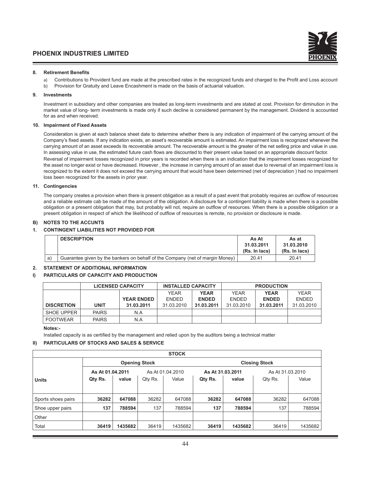#### **8. Retirement Benefits**

- a) Contributions to Provident fund are made at the prescribed rates in the recognized funds and charged to the Profit and Loss account
- b) Provision for Gratuity and Leave Encashment is made on the basis of actuarial valuation.

#### **9. Investments**

 Investment in subsidiary and other companies are treated as long-term investments and are stated at cost. Provision for diminution in the market value of long- term investments is made only if such decline is considered permanent by the management. Dividend is accounted for as and when received.

#### **10. Impairment of Fixed Assets**

 Consideration is given at each balance sheet date to determine whether there is any indication of impairment of the carrying amount of the Company's fixed assets. If any indication exists, an asset's recoverable amount is estimated. An impairment loss is recognized whenever the carrying amount of an asset exceeds its recoverable amount. The recoverable amount is the greater of the net selling price and value in use. In assessing value in use, the estimated future cash flows are discounted to their present value based on an appropriate discount factor. Reversal of impairment losses recognized in prior years is recorded when there is an indication that the impairment losses recognized for the asset no longer exist or have decreased. However , the increase in carrying amount of an asset due to reversal of an impairment loss is recognized to the extent it does not exceed the carrying amount that would have been determined (net of depreciation ) had no impairment loss been recognized for the assets in prior year.

#### **11. Contingencies**

 The company creates a provision when there is present obligation as a result of a past event that probably requires an outflow of resources and a reliable estimate cab be made of the amount of the obligation. A disclosure for a contingent liability is made when there is a possible obligation or a present obligation that may, but probably will not, require an outflow of resources. When there is a possible obligation or a present obligation in respect of which the likelihood of outflow of resources is remote, no provision or disclosure is made.

#### **B) NOTES TO THE ACCUNTS**

#### **1. CONTINGENT LIABILITIES NOT PROVIDED FOR**

|    | <b>DESCRIPTION</b>                                                            | As At<br>31.03.2011<br>(Rs. In lacs) | As at<br>31.03.2010<br>(Rs. In lacs) |
|----|-------------------------------------------------------------------------------|--------------------------------------|--------------------------------------|
| a) | Guarantee given by the bankers on behalf of the Company (net of margin Money) | 20.41                                | 20.41                                |

#### **2. STATEMENT OF ADDITIONAL INFORMATION**

#### **I) PARTICULARS OF CAPACITY AND PRODUCTION**

|                   | <b>LICENSED CAPACITY</b> |                   | <b>INSTALLED CAPACITY</b> |              | <b>PRODUCTION</b> |              |              |
|-------------------|--------------------------|-------------------|---------------------------|--------------|-------------------|--------------|--------------|
|                   |                          |                   | <b>YEAR</b>               | <b>YEAR</b>  | <b>YEAR</b>       | <b>YEAR</b>  | <b>YFAR</b>  |
|                   |                          | <b>YEAR ENDED</b> | <b>FNDFD</b>              | <b>ENDED</b> | <b>FNDFD</b>      | <b>ENDED</b> | <b>FNDFD</b> |
| <b>DISCRETION</b> | <b>UNIT</b>              | 31.03.2011        | 31.03.2010                | 31.03.2011   | 31.03.2010        | 31.03.2011   | 31.03.2010   |
| SHOE UPPER        | <b>PAIRS</b>             | N.A               |                           |              |                   |              |              |
| <b>FOOTWEAR</b>   | <b>PAIRS</b>             | N.A               |                           |              |                   |              |              |

 **Notes:-**

Installed capacity is as certified by the management and relied upon by the auditors being a technical matter

#### **II) PARTICULARS OF STOCKS AND SALES & SERVICE**

| <b>STOCK</b>       |                      |         |         |                  |                  |                      |         |                  |  |
|--------------------|----------------------|---------|---------|------------------|------------------|----------------------|---------|------------------|--|
|                    | <b>Opening Stock</b> |         |         |                  |                  | <b>Closing Stock</b> |         |                  |  |
|                    | As At 01.04.2011     |         |         | As At 01.04.2010 | As At 31.03.2011 |                      |         | As At 31.03.2010 |  |
| <b>Units</b>       | Qty Rs.              | value   | Qty Rs. | Value            | Qty Rs.          | value                | Qty Rs. | Value            |  |
|                    |                      |         |         |                  |                  |                      |         |                  |  |
| Sports shoes pairs | 36282                | 647088  | 36282   | 647088           | 36282            | 647088               | 36282   | 647088           |  |
| Shoe upper pairs   | 137                  | 788594  | 137     | 788594           | 137              | 788594               | 137     | 788594           |  |
| Other              |                      |         |         |                  |                  |                      |         |                  |  |
| Total              | 36419                | 1435682 | 36419   | 1435682          | 36419            | 1435682              | 36419   | 1435682          |  |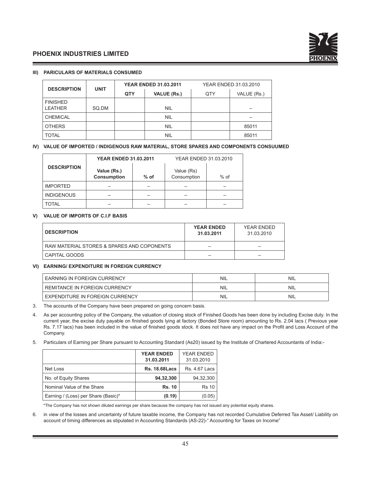

#### **III) PARICULARS OF MATERIALS CONSUMED**

| <b>DESCRIPTION</b> | <b>UNIT</b> |     | <b>YEAR ENDED 31.03.2011</b> | YEAR ENDED 31.03.2010 |             |  |
|--------------------|-------------|-----|------------------------------|-----------------------|-------------|--|
|                    |             | QTY | <b>VALUE (Rs.)</b>           | QTY                   | VALUE (Rs.) |  |
| <b>FINISHED</b>    |             |     |                              |                       |             |  |
| <b>LEATHER</b>     | SQ.DM       |     | <b>NIL</b>                   |                       |             |  |
| <b>CHEMICAL</b>    |             |     | <b>NIL</b>                   |                       |             |  |
| <b>OTHERS</b>      |             |     | <b>NIL</b>                   |                       | 85011       |  |
| <b>TOTAL</b>       |             |     | <b>NIL</b>                   |                       | 85011       |  |

#### **IV) VALUE OF IMPORTED / INDIGENOUS RAW MATERIAL, STORE SPARES AND COMPONENTS CONSUUMED**

|                    | <b>YEAR ENDED 31.03.2011</b>      |        | YEAR ENDED 31.03.2010     |        |  |
|--------------------|-----------------------------------|--------|---------------------------|--------|--|
| <b>DESCRIPTION</b> | Value (Rs.)<br><b>Consumption</b> | $%$ of | Value (Rs)<br>Consumption | $%$ of |  |
| <b>IMPORTED</b>    |                                   |        |                           |        |  |
| <b>INDIGENOUS</b>  |                                   |        |                           |        |  |
| <b>TOTAL</b>       |                                   |        |                           |        |  |

#### **V) VALUE OF IMPORTS OF C.I.F BASIS**

| <b>DESCRIPTION</b>                         | <b>YEAR ENDED</b><br>31.03.2011 | YEAR ENDED<br>31.03.2010 |
|--------------------------------------------|---------------------------------|--------------------------|
| RAW MATERIAL STORES & SPARES AND COPONENTS |                                 |                          |
| CAPITAL GOODS                              | _                               |                          |

#### **VI) EARNING/ EXPENDITURE IN FOREIGN CURRENCY**

| <b>EARNING IN FOREIGN CURRENCY</b>   | <b>NIL</b> | <b>NIL</b> |
|--------------------------------------|------------|------------|
| <b>REMITANCE IN FOREIGN CURRENCY</b> | <b>NIL</b> | <b>NIL</b> |
| EXPENDITURE IN FOREIGN CURRENCY      | <b>NIL</b> | <b>NIL</b> |

3. The accounts of the Company have been prepared on going concern basis.

- 4. As per accounting policy of the Company, the valuation of closing stock of Finished Goods has been done by including Excise duty. In the current year, the excise duty payable on finished goods lying at factory (Bonded Store room) amounting to Rs. 2.04 lacs ( Previous year Rs. 7.17 lacs) has been included in the value of finished goods stock. It does not have any impact on the Profit and Loss Account of the Company.
- 5. Particulars of Earning per Share pursuant to Accounting Standard (As20) issued by the Institute of Chartered Accountants of India:-

|                                     | <b>YEAR ENDED</b><br>31.03.2011 | <b>YEAR ENDED</b><br>31.03.2010 |
|-------------------------------------|---------------------------------|---------------------------------|
| Net Loss                            | <b>Rs. 18.68 Lacs</b>           | <b>Rs. 4.67 Lacs</b>            |
| No. of Equity Shares                | 94,32,300                       | 94,32,300                       |
| Nominal Value of the Share          | <b>Rs. 10</b>                   | <b>Rs 10</b>                    |
| Earning / (Loss) per Share (Basic)* | (0.19)                          | (0.05)                          |

\*The Company has not shown diluted earnings per share because the company has not issued any potential equity shares.

6. in view of the losses and uncertainty of future taxable income, the Company has not recorded Cumulative Deferred Tax Asset/ Liability on account of timing differences as stipulated in Accounting Standards (AS-22)-" Accounting for Taxes on Income"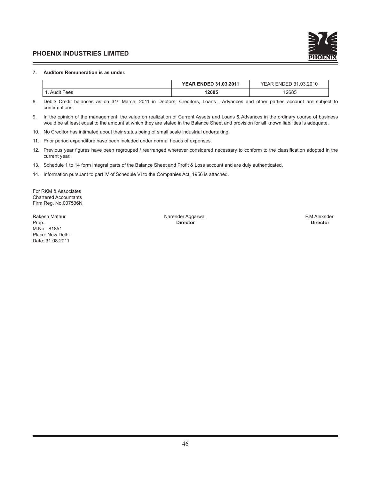

#### **7. Auditors Remuneration is as under.**

|     | <b>YEAR ENDED 31.03.2011</b> | $\sim$<br>2010<br>$\cap$<br>ENDED 31<br>YEAR .<br>.u.o.zu iu |
|-----|------------------------------|--------------------------------------------------------------|
| ees | 12685                        | 12685<br>.                                                   |

8. Debit/ Credit balances as on 31<sup>st</sup> March, 2011 in Debtors, Creditors, Loans, Advances and other parties account are subject to confirmations.

- 9. In the opinion of the management, the value on realization of Current Assets and Loans & Advances in the ordinary course of business would be at least equal to the amount at which they are stated in the Balance Sheet and provision for all known liabilities is adequate.
- 10. No Creditor has intimated about their status being of small scale industrial undertaking.
- 11. Prior period expenditure have been included under normal heads of expenses.
- 12. Previous year figures have been regrouped / rearranged wherever considered necessary to conform to the classification adopted in the current year.
- 13. Schedule 1 to 14 form integral parts of the Balance Sheet and Profit & Loss account and are duly authenticated.
- 14. Information pursuant to part IV of Schedule VI to the Companies Act, 1956 is attached.

For RKM & Associates Chartered Accountants Firm Reg. No.007536N

M.No.- 81851 Place: New Delhi Date: 31.08.2011

Rakesh Mathur Narender Aggarwal Narender Aggarwal Narender Aggarwal Narender Aggarwal P.M Alexnder Prop. **Director Director**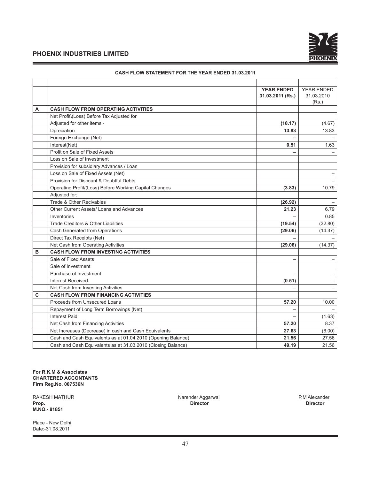

|   |                                                              | <b>YEAR ENDED</b> | <b>YEAR ENDED</b>        |
|---|--------------------------------------------------------------|-------------------|--------------------------|
|   |                                                              | 31.03.2011 (Rs.)  | 31.03.2010               |
|   |                                                              |                   | (Rs.)                    |
| A | <b>CASH FLOW FROM OPERATING ACTIVITIES</b>                   |                   |                          |
|   | Net Profit\(Loss) Before Tax Adjusted for                    |                   |                          |
|   | Adjusted for other items:-                                   | (18.17)           | (4.67)                   |
|   | Dpreciation                                                  | 13.83             | 13.83                    |
|   | Foreign Exchange (Net)                                       |                   |                          |
|   | Interest(Net)                                                | 0.51              | 1.63                     |
|   | Profit on Sale of Fixed Assets                               |                   |                          |
|   | Loss on Sale of Investment                                   |                   |                          |
|   | Provision for subsidiary Advances / Loan                     |                   |                          |
|   | Loss on Sale of Fixed Assets (Net)                           |                   |                          |
|   | Provision for Discount & Doubtful Debts                      |                   |                          |
|   | Operating Profit/(Loss) Before Working Capital Changes       | (3.83)            | 10.79                    |
|   | Adjusted for;                                                |                   |                          |
|   | Trade & Other Recivables                                     | (26.92)           | $\overline{\phantom{0}}$ |
|   | Other Current Assets/ Loans and Advances                     | 21.23             | 6.79                     |
|   | Inventories                                                  |                   | 0.85                     |
|   | Trade Creditors & Other Liabilities                          | (19.54)           | (32.80)                  |
|   | Cash Generated from Operations                               | (29.06)           | (14.37)                  |
|   | Direct Tax Receipts (Net)                                    |                   |                          |
|   | Net Cash from Operating Activities                           | (29.06)           | (14.37)                  |
| в | <b>CASH FLOW FROM INVESTING ACTIVITIES</b>                   |                   |                          |
|   | Sale of Fixed Assets                                         |                   |                          |
|   | Sale of Investment                                           |                   |                          |
|   | Purchase of Investment                                       |                   |                          |
|   | <b>Interest Received</b>                                     | (0.51)            |                          |
|   | Net Cash from Investing Activities                           |                   |                          |
| C | <b>CASH FLOW FROM FINANCING ACTIVITIES</b>                   |                   |                          |
|   | Proceeds from Unsecured Loans                                | 57.20             | 10.00                    |
|   | Repayment of Long Term Borrowings (Net)                      | ۰                 |                          |
|   | <b>Interest Paid</b>                                         |                   | (1.63)                   |
|   | Net Cash from Financing Activities                           | 57.20             | 8.37                     |
|   | Net Increases (Decrease) in cash and Cash Equivalents        | 27.63             | (6.00)                   |
|   | Cash and Cash Equivalents as at 01.04.2010 (Opening Balance) | 21.56             | 27.56                    |
|   | Cash and Cash Equivalents as at 31.03.2010 (Closing Balance) | 49.19             | 21.56                    |

#### **CASH FLOW STATEMENT FOR THE YEAR ENDED 31.03.2011**

**For R.K.M & Associates CHARTERED ACCONTANTS Firm Reg.No. 007536N**

RAKESH MATHUR **Narender Aggarwal** Narender Aggarwal **Properties Aggarwal Properties Aggarwal** Properties and the Director Chronic Chronic Chronic Director Director Director Director Director Director Director Director Dire **Prop. Director Director M.NO.- 81851**

Place - New Delhi Date:-31.08.2011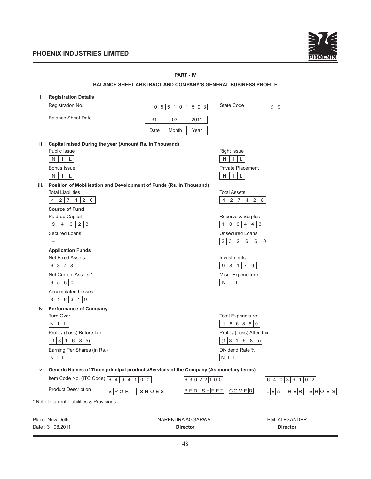

|      |                                                                                       | <b>PART - IV</b>                                                     |                                                          |                           |
|------|---------------------------------------------------------------------------------------|----------------------------------------------------------------------|----------------------------------------------------------|---------------------------|
|      |                                                                                       | <b>BALANCE SHEET ABSTRACT AND COMPANY'S GENERAL BUSINESS PROFILE</b> |                                                          |                           |
| j.   | <b>Registration Details</b>                                                           |                                                                      |                                                          |                           |
|      | Registration No.                                                                      | 0 5 5 1 0 1 5 9 3                                                    | State Code                                               | 5 5                       |
|      |                                                                                       |                                                                      |                                                          |                           |
|      | <b>Balance Sheet Date</b>                                                             | 03<br>2011<br>31                                                     |                                                          |                           |
|      |                                                                                       | Date<br>Month<br>Year                                                |                                                          |                           |
| ii.  | Capital raised During the year (Amount Rs. in Thousand)                               |                                                                      |                                                          |                           |
|      | Public Issue                                                                          |                                                                      | <b>Right Issue</b>                                       |                           |
|      | $\vert \vert \vert$ $\vert$ $\vert$ $\vert$<br>N                                      |                                                                      | N<br>$\mathsf{L}$<br>$\mathbf{I}$                        |                           |
|      | Bonus Issue                                                                           |                                                                      | <b>Private Placement</b>                                 |                           |
|      | $\mathsf{L}$<br>N<br>$\vert \ \ \vert$                                                |                                                                      | L<br>N<br>$\perp$                                        |                           |
| iii. | Position of Mobilisation and Development of Funds (Rs. in Thousand)                   |                                                                      |                                                          |                           |
|      | <b>Total Liabilities</b>                                                              |                                                                      | <b>Total Assets</b>                                      |                           |
|      | 2 7 <br>4 <br>2 6<br>4                                                                |                                                                      | 2 <br>$\overline{4}$<br>$2 \mid 7$<br>4                  | 6                         |
|      | <b>Source of Fund</b>                                                                 |                                                                      |                                                          |                           |
|      | Paid-up Capital                                                                       |                                                                      | Reserve & Surplus                                        |                           |
|      | $4 \mid 3 \mid 2 \mid 3$<br>9 <sup>1</sup>                                            |                                                                      | 0 0 4 4 3<br>$\mathbf{1}$                                |                           |
|      | Secured Loans                                                                         |                                                                      | <b>Unsecured Loans</b>                                   |                           |
|      | $\overline{\phantom{a}}$                                                              |                                                                      | 2 <br>$3 \mid 2 \mid 6$<br>6                             | $\mathsf{O}$              |
|      | <b>Application Funds</b>                                                              |                                                                      |                                                          |                           |
|      | <b>Net Fixed Assets</b>                                                               |                                                                      | Investments                                              |                           |
|      | 6 3 7 8                                                                               |                                                                      | 9<br>$8 \mid 1 \mid 7$<br>9                              |                           |
|      | Net Current Assets *                                                                  |                                                                      | Misc. Expenditure                                        |                           |
|      | 6 5 5 0                                                                               |                                                                      | $N$ $ $ $ $ $ $ $ $                                      |                           |
|      | <b>Accumulated Losses</b>                                                             |                                                                      |                                                          |                           |
|      | 3 1 6 3 1 9                                                                           |                                                                      |                                                          |                           |
| iv   | <b>Performance of Company</b><br>Turn Over                                            |                                                                      |                                                          |                           |
|      | N<br>L<br>Ι.                                                                          |                                                                      | <b>Total Expenditure</b><br>8 6 8 6<br>$\mathbf{1}$<br>0 |                           |
|      | Profit / (Loss) Before Tax                                                            |                                                                      |                                                          |                           |
|      | (1 8 1 6 8 5)                                                                         |                                                                      | Profit / (Loss) After Tax<br>(1 8 1)<br>6<br> 8 5        |                           |
|      | Earning Per Shares (in Rs.)                                                           |                                                                      | Dividend Rate %                                          |                           |
|      | $N$   L                                                                               |                                                                      | $N$   L                                                  |                           |
|      |                                                                                       |                                                                      |                                                          |                           |
| v    | Generic Names of Three principal products/Services of the Company (As monetary terms) |                                                                      |                                                          |                           |
|      | Item Code No. (ITC Code) $\boxed{6 4 0 4 1 0}$ 0                                      | 63022100                                                             |                                                          | 6 4 0 3 9 1 0 2           |
|      | <b>Product Description</b><br>S P O R T  S H O E S                                    | <b>BED SHEET</b>                                                     | C[O]V E R                                                | L E A T H E R   S H O E S |
|      | * Net of Current Liabilities & Provisions                                             |                                                                      |                                                          |                           |
|      |                                                                                       |                                                                      |                                                          |                           |
|      | Place: New Delhi                                                                      | NARENDRA AGGARWAL                                                    |                                                          | P.M. ALEXANDER            |
|      | Date: 31.08.2011                                                                      | <b>Director</b>                                                      |                                                          | <b>Director</b>           |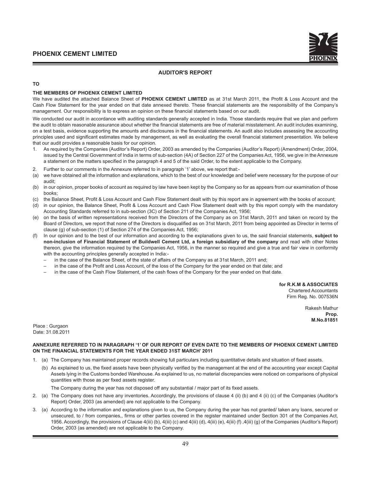

#### **AUDITOR'S REPORT**

#### **TO**

#### **THE MEMBERS OF PHOENIX CEMENT LIMITED**

We have audited the attached Balance Sheet of **PHOENIX CEMENT LIMITED** as at 31st March 2011, the Profit & Loss Account and the Cash Flow Statement for the year ended on that date annexed thereto. These financial statements are the responsibility of the Company's management. Our responsibility is to express an opinion on these financial statements based on our audit.

We conducted our audit in accordance with auditing standards generally accepted in India. Those standards require that we plan and perform the audit to obtain reasonable assurance about whether the financial statements are free of material misstatement. An audit includes examining, on a test basis, evidence supporting the amounts and disclosures in the financial statements. An audit also includes assessing the accounting principles used and significant estimates made by management, as well as evaluating the overall financial statement presentation. We believe that our audit provides a reasonable basis for our opinion.

- 1. As required by the Companies (Auditor's Report) Order, 2003 as amended by the Companies (Auditor's Report) (Amendment) Order, 2004, issued by the Central Government of India in terms of sub-section (4A) of Section 227 of the Companies Act, 1956, we give in the Annexure a statement on the matters specified in the paragraph 4 and 5 of the said Order, to the extent applicable to the Company.
- Further to our comments in the Annexure referred to in paragraph '1' above, we report that:-
- (a) we have obtained all the information and explanations, which to the best of our knowledge and belief were necessary for the purpose of our audit;
- (b) in our opinion, proper books of account as required by law have been kept by the Company so for as appears from our examination of those books;
- (c) the Balance Sheet, Profit & Loss Account and Cash Flow Statement dealt with by this report are in agreement with the books of account;
- (d) in our opinion, the Balance Sheet, Profit & Loss Account and Cash Flow Statement dealt with by this report comply with the mandatory Accounting Standards referred to in sub-section (3C) of Section 211 of the Companies Act, 1956;
- (e) on the basis of written representations received from the Directors of the Company as on 31st March, 2011 and taken on record by the Board of Directors, we report that none of the Directors is disqualified as on 31st March, 2011 from being appointed as Director in terms of clause (g) of sub-section (1) of Section 274 of the Companies Act, 1956;
- (f) In our opinion and to the best of our information and according to the explanations given to us, the said financial statements, **subject to non-inclusion of Financial Statement of Buildwell Cement Ltd, a foreign subsidiary of the company** and read with other Notes thereon, give the information required by the Companies Act, 1956, in the manner so required and give a true and fair view in conformity with the accounting principles generally accepted in India:-
	- in the case of the Balance Sheet, of the state of affairs of the Company as at 31st March, 2011 and;
	- in the case of the Profit and Loss Account, of the loss of the Company for the year ended on that date; and
	- in the case of the Cash Flow Statement, of the cash flows of the Company for the year ended on that date.

**for R.K.M & ASSOCIATES** Chartered Accountants Firm Reg. No. 007536N

> Rakesh Mathur **Prop. M.No.81851**

Place : Gurgaon Date: 31.08.2011

#### **ANNEXURE REFERRED TO IN PARAGRAPH '1' OF OUR REPORT OF EVEN DATE TO THE MEMBERS OF PHOENIX CEMENT LIMITED ON THE FINANCIAL STATEMENTS FOR THE YEAR ENDED 31ST MARCH' 2011**

- 1. (a) The Company has maintained proper records showing full particulars including quantitative details and situation of fixed assets.
	- (b) As explained to us, the fixed assets have been physically verified by the management at the end of the accounting year except Capital Assets lying in the Customs bonded Warehouse. As explained to us, no material discrepancies were noticed on comparisons of physical quantities with those as per fixed assets register.

The Company during the year has not disposed off any substantial / major part of its fixed assets.

- 2. (a) The Company does not have any inventories. Accordingly, the provisions of clause 4 (ii) (b) and 4 (ii) (c) of the Companies (Auditor's Report) Order, 2003 (as amended) are not applicable to the Company.
- 3. (a) According to the information and explanations given to us, the Company during the year has not granted/ taken any loans, secured or unsecured, to / from companies,, firms or other parties covered in the register maintained under Section 301 of the Companies Act, 1956. Accordingly, the provisions of Clause 4(iii) (b), 4(iii) (c) and 4(iii) (d), 4(iii) (e), 4(iii) (f) ,4(iii) (g) of the Companies (Auditor's Report) Order, 2003 (as amended) are not applicable to the Company.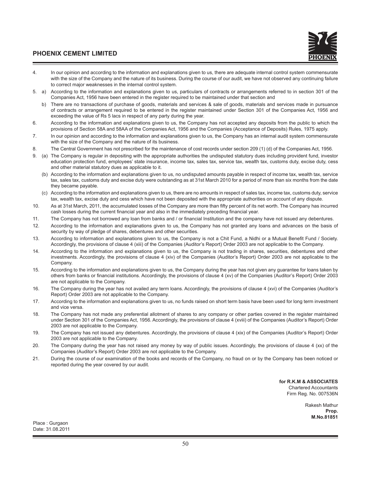- 4. In our opinion and according to the information and explanations given to us, there are adequate internal control system commensurate with the size of the Company and the nature of its business. During the course of our audit, we have not observed any continuing failure to correct major weaknesses in the internal control system.
- 5. a) According to the information and explanations given to us, particulars of contracts or arrangements referred to in section 301 of the Companies Act, 1956 have been entered in the register required to be maintained under that section and
	- b) There are no transactions of purchase of goods, materials and services & sale of goods, materials and services made in pursuance of contracts or arrangement required to be entered in the register maintained under Section 301 of the Companies Act, 1956 and exceeding the value of Rs 5 lacs in respect of any party during the year.
- 6. According to the information and explanations given to us, the Company has not accepted any deposits from the public to which the provisions of Section 58A and 58AA of the Companies Act, 1956 and the Companies (Acceptance of Deposits) Rules, 1975 apply.
- 7. In our opinion and according to the information and explanations given to us, the Company has an internal audit system commensurate with the size of the Company and the nature of its business.
- 8. The Central Government has not prescribed for the maintenance of cost records under section 209 (1) (d) of the Companies Act, 1956.
- 9. (a) The Company is regular in depositing with the appropriate authorities the undisputed statutory dues including provident fund, investor education protection fund, employees' state insurance, income tax, sales tax, service tax, wealth tax, customs duty, excise duty, cess and other material statutory dues as applicable to it.
	- (b) According to the information and explanations given to us, no undisputed amounts payable in respect of income tax, wealth tax, service tax, sales tax, customs duty and excise duty were outstanding as at 31st March 2010 for a period of more than six months from the date they became payable.
	- (c) According to the information and explanations given to us, there are no amounts in respect of sales tax, income tax, customs duty, service tax, wealth tax, excise duty and cess which have not been deposited with the appropriate authorities on account of any dispute.
- 10. As at 31st March, 2011, the accumulated losses of the Company are more than fifty percent of its net worth. The Company has incurred cash losses during the current financial year and also in the immediately preceding financial year.
- 11. The Company has not borrowed any loan from banks and / or financial Institution and the company have not issued any debentures.
- 12. According to the information and explanations given to us, the Company has not granted any loans and advances on the basis of security by way of pledge of shares, debentures and other securities.
- 13. According to information and explanations given to us, the Company is not a Chit Fund, a Nidhi or a Mutual Benefit Fund / Society. Accordingly, the provisions of clause 4 (xiii) of the Companies (Auditor's Report) Order 2003 are not applicable to the Company.
- 14. According to the information and explanations given to us, the Company is not trading in shares, securities, debentures and other investments. Accordingly, the provisions of clause 4 (xiv) of the Companies (Auditor's Report) Order 2003 are not applicable to the Company.
- 15. According to the information and explanations given to us, the Company during the year has not given any guarantee for loans taken by others from banks or financial institutions. Accordingly, the provisions of clause 4 (xv) of the Companies (Auditor's Report) Order 2003 are not applicable to the Company.
- 16. The Company during the year has not availed any term loans. Accordingly, the provisions of clause 4 (xvi) of the Companies (Auditor's Report) Order 2003 are not applicable to the Company.
- 17. According to the information and explanations given to us, no funds raised on short term basis have been used for long term investment and vice versa.
- 18. The Company has not made any preferential allotment of shares to any company or other parties covered in the register maintained under Section 301 of the Companies Act, 1956. Accordingly, the provisions of clause 4 (xviii) of the Companies (Auditor's Report) Order 2003 are not applicable to the Company.
- 19. The Company has not issued any debentures. Accordingly, the provisions of clause 4 (xix) of the Companies (Auditor's Report) Order 2003 are not applicable to the Company.
- 20. The Company during the year has not raised any money by way of public issues. Accordingly, the provisions of clause 4 (xx) of the Companies (Auditor's Report) Order 2003 are not applicable to the Company.
- 21. During the course of our examination of the books and records of the Company, no fraud on or by the Company has been noticed or reported during the year covered by our audit.

**for R.K.M & ASSOCIATES** Chartered Accountants Firm Reg. No. 007536N

> Rakesh Mathur **Prop. M.No.81851**

Place : Gurgaon Date: 31.08.2011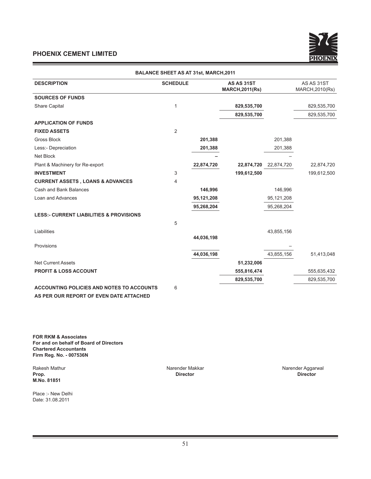

| <b>BALANCE SHEET AS AT 31st, MARCH, 2011</b>       |                 |            |                                      |            |                               |  |
|----------------------------------------------------|-----------------|------------|--------------------------------------|------------|-------------------------------|--|
| <b>DESCRIPTION</b>                                 | <b>SCHEDULE</b> |            | AS AS 31ST<br><b>MARCH, 2011(Rs)</b> |            | AS AS 31ST<br>MARCH, 2010(Rs) |  |
| <b>SOURCES OF FUNDS</b>                            |                 |            |                                      |            |                               |  |
| <b>Share Capital</b>                               | 1               |            | 829,535,700                          |            | 829,535,700                   |  |
|                                                    |                 |            | 829,535,700                          |            | 829,535,700                   |  |
| <b>APPLICATION OF FUNDS</b>                        |                 |            |                                      |            |                               |  |
| <b>FIXED ASSETS</b>                                | $\overline{2}$  |            |                                      |            |                               |  |
| <b>Gross Block</b>                                 |                 | 201,388    |                                      | 201,388    |                               |  |
| Less:- Depreciation                                |                 | 201,388    |                                      | 201,388    |                               |  |
| Net Block                                          |                 |            |                                      |            |                               |  |
| Plant & Machinery for Re-export                    |                 | 22,874,720 | 22,874,720                           | 22,874,720 | 22,874,720                    |  |
| <b>INVESTMENT</b>                                  | 3               |            | 199,612,500                          |            | 199,612,500                   |  |
| <b>CURRENT ASSETS, LOANS &amp; ADVANCES</b>        | 4               |            |                                      |            |                               |  |
| Cash and Bank Balances                             |                 | 146,996    |                                      | 146,996    |                               |  |
| Loan and Advances                                  |                 | 95,121,208 |                                      | 95,121,208 |                               |  |
|                                                    |                 | 95,268,204 |                                      | 95,268,204 |                               |  |
| <b>LESS:- CURRENT LIABILITIES &amp; PROVISIONS</b> |                 |            |                                      |            |                               |  |
|                                                    | 5               |            |                                      |            |                               |  |
| Liabilities                                        |                 |            |                                      | 43,855,156 |                               |  |
|                                                    |                 | 44,036,198 |                                      |            |                               |  |
| Provisions                                         |                 |            |                                      |            |                               |  |
|                                                    |                 | 44,036,198 |                                      | 43,855,156 | 51,413,048                    |  |
| <b>Net Current Assets</b>                          |                 |            | 51,232,006                           |            |                               |  |
| <b>PROFIT &amp; LOSS ACCOUNT</b>                   |                 |            | 555,816,474                          |            | 555,635,432                   |  |
|                                                    |                 |            | 829,535,700                          |            | 829,535,700                   |  |
| <b>ACCOUNTING POLICIES AND NOTES TO ACCOUNTS</b>   | 6               |            |                                      |            |                               |  |
| AS PER OUR REPORT OF EVEN DATE ATTACHED            |                 |            |                                      |            |                               |  |

**FOR RKM & Associates For and on behalf of Board of Directors Chartered Accountants Firm Reg. No. - 007536N**

**M.No. 81851**

Rakesh Mathur Narender Makkar Narender Aggarwal **Prop. Director Director**

Place :- New Delhi Date: 31.08.2011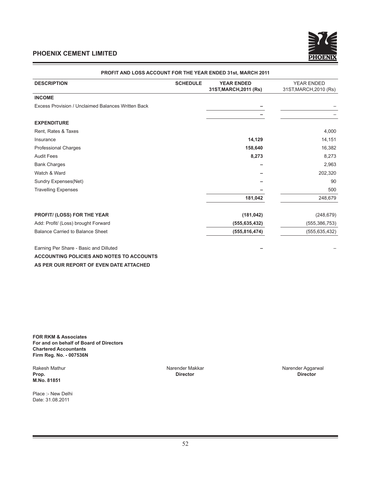

|                                                    |                 | <u>FINDI II AND LOOO AGGOONTI UR TIIL TEAR LINDLD 9131, MAROITZUTI</u> |                        |
|----------------------------------------------------|-----------------|------------------------------------------------------------------------|------------------------|
| <b>DESCRIPTION</b>                                 | <b>SCHEDULE</b> | <b>YEAR ENDED</b>                                                      | <b>YEAR ENDED</b>      |
|                                                    |                 | 31ST, MARCH, 2011 (Rs)                                                 | 31ST, MARCH, 2010 (Rs) |
| <b>INCOME</b>                                      |                 |                                                                        |                        |
| Excess Provision / Unclaimed Balances Written Back |                 |                                                                        |                        |
|                                                    |                 |                                                                        |                        |
| <b>EXPENDITURE</b>                                 |                 |                                                                        |                        |
| Rent, Rates & Taxes                                |                 |                                                                        | 4,000                  |
| Insurance                                          |                 | 14,129                                                                 | 14,151                 |
| <b>Professional Charges</b>                        |                 | 158,640                                                                | 16,382                 |
| <b>Audit Fees</b>                                  |                 | 8,273                                                                  | 8,273                  |
| <b>Bank Charges</b>                                |                 |                                                                        | 2,963                  |
| Watch & Ward                                       |                 |                                                                        | 202,320                |
| Sundry Expenses(Net)                               |                 |                                                                        | 90                     |
| <b>Travelling Expenses</b>                         |                 |                                                                        | 500                    |
|                                                    |                 | 181,042                                                                | 248,679                |
| PROFIT/ (LOSS) FOR THE YEAR                        |                 | (181, 042)                                                             | (248, 679)             |
| Add: Profit/ (Loss) brought Forward                |                 | (555, 635, 432)                                                        | (555, 386, 753)        |
| Balance Carried to Balance Sheet                   |                 | (555, 816, 474)                                                        | (555, 635, 432)        |
| Earning Per Share - Basic and Dilluted             |                 |                                                                        |                        |

#### **PROFIT AND LOSS ACCOUNT FOR THE YEAR ENDED 31st, MARCH 2011**

**ACCOUNTING POLICIES AND NOTES TO ACCOUNTS AS PER OUR REPORT OF EVEN DATE ATTACHED**

**FOR RKM & Associates For and on behalf of Board of Directors Chartered Accountants Firm Reg. No. - 007536N**

**M.No. 81851**

Place :- New Delhi Date: 31.08.2011

**Prop. Director Director**

Rakesh Mathur **Narender Makkar Narender Aggarwal** Narender Aggarwal Narender Aggarwal Narender Aggarwal Director Channel Channel Channel Director Director Director Director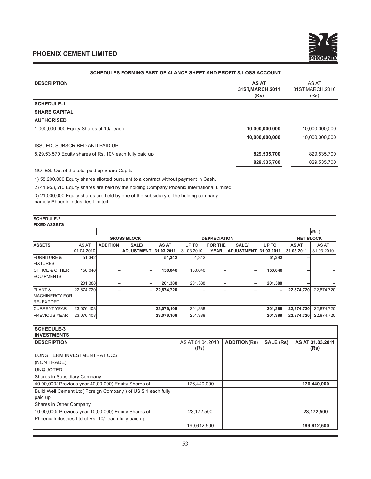

## **SCHEDULES FORMING PART OF ALANCE SHEET AND PROFIT & LOSS ACCOUNT**

| <b>DESCRIPTION</b>                                       | <b>AS AT</b><br>31ST, MARCH, 2011<br>(Rs) | AS AT<br>31ST, MARCH, 2010<br>(Rs) |
|----------------------------------------------------------|-------------------------------------------|------------------------------------|
| <b>SCHEDULE-1</b>                                        |                                           |                                    |
| <b>SHARE CAPITAL</b>                                     |                                           |                                    |
| <b>AUTHORISED</b>                                        |                                           |                                    |
| 1,000,000,000 Equity Shares of 10/- each.                | 10,000,000,000                            | 10,000,000,000                     |
|                                                          | 10,000,000,000                            | 10,000,000,000                     |
| <b>ISSUED, SUBSCRIBED AND PAID UP</b>                    |                                           |                                    |
| 8,29,53,570 Equity shares of Rs. 10/- each fully paid up | 829,535,700                               | 829,535,700                        |
|                                                          | 829,535,700                               | 829,535,700                        |
|                                                          |                                           |                                    |

NOTES: Out of the total paid up Share Capital

1) 58,200,000 Equity shares allotted pursuant to a contract without payment in Cash.

2) 41,953,510 Equity shares are held by the holding Company Phoenix International Limited

3) 21,000,000 Equity shares are held by one of the subsidiary of the holding company

namely Phoenix Industries Limited.

| <b>SCHEDULE-2</b><br><b>FIXED ASSETS</b> |            |                 |                    |            |            |                     |                   |            |                  |            |
|------------------------------------------|------------|-----------------|--------------------|------------|------------|---------------------|-------------------|------------|------------------|------------|
|                                          |            |                 |                    |            |            |                     |                   |            |                  | (Rs.)      |
|                                          |            |                 | <b>GROSS BLOCK</b> |            |            | <b>DEPRECIATION</b> |                   |            | <b>NET BLOCK</b> |            |
| <b>ASSETS</b>                            | AS AT      | <b>ADDITION</b> | SALE/              | AS AT      | UP TO      | <b>FOR THE</b>      | SALE/             | UP TO      | AS AT            | AS AT      |
|                                          | 01.04.2010 |                 | <b>ADJUSTMENT</b>  | 31.03.2011 | 31.03.2010 | <b>YEAR</b>         | <b>ADJUSTMENT</b> | 31.03.2011 | 31.03.2011       | 31.03.2010 |
| <b>FURNITURE &amp;</b>                   | 51,342     |                 |                    | 51,342     | 51,342     |                     |                   | 51,342     |                  |            |
| <b>FIXTURES</b>                          |            |                 |                    |            |            |                     |                   |            |                  |            |
| <b>OFFICE &amp; OTHER</b>                | 150,046    |                 |                    | 150,046    | 150,046    |                     |                   | 150,046    |                  |            |
| <b>EQUIPMENTS</b>                        |            |                 |                    |            |            |                     |                   |            |                  |            |
|                                          | 201,388    |                 |                    | 201,388    | 201,388    |                     |                   | 201,388    |                  |            |
| <b>PLANT &amp;</b>                       | 22,874,720 |                 |                    | 22,874,720 |            |                     |                   |            | 22,874,720       | 22,874,720 |
| <b>MACHINERGY FOR</b>                    |            |                 |                    |            |            |                     |                   |            |                  |            |
| <b>RE-EXPORT</b>                         |            |                 |                    |            |            |                     |                   |            |                  |            |
| <b>CURRENT YEAR</b>                      | 23,076,108 |                 |                    | 23,076,108 | 201,388    |                     |                   | 201,388    | 22,874,720       | 22,874,720 |
| <b>PREVIOUS YEAR</b>                     | 23,076,108 |                 |                    | 23,076,108 | 201,388    |                     |                   | 201,388    | 22,874,720       | 22,874,720 |

| <b>SCHEDULE-3</b>                                                         |                          |                     |                  |                          |
|---------------------------------------------------------------------------|--------------------------|---------------------|------------------|--------------------------|
| <b>INVESTMENTS</b>                                                        |                          |                     |                  |                          |
| <b>DESCRIPTION</b>                                                        | AS AT 01.04.2010<br>(Rs) | <b>ADDITION(Rs)</b> | <b>SALE (Rs)</b> | AS AT 31.03.2011<br>(Rs) |
| LONG TERM INVESTMENT - AT COST                                            |                          |                     |                  |                          |
| (NON TRADE)                                                               |                          |                     |                  |                          |
| <b>UNQUOTED</b>                                                           |                          |                     |                  |                          |
| Shares in Subsidiary Company                                              |                          |                     |                  |                          |
| 40,00,000 Previous year 40,00,000) Equity Shares of                       | 176,440,000              |                     |                  | 176,440,000              |
| Build Well Cement Ltd( Foreign Company ) of US \$ 1 each fully<br>paid up |                          |                     |                  |                          |
| Shares in Other Company                                                   |                          |                     |                  |                          |
| 10,00,000 (Previous year 10,00,000) Equity Shares of                      | 23,172,500               |                     |                  | 23,172,500               |
| Phoenix Industries Ltd of Rs. 10/- each fully paid up                     |                          |                     |                  |                          |
|                                                                           | 199,612,500              |                     |                  | 199,612,500              |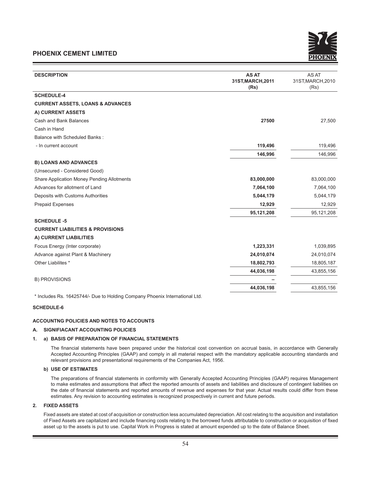

| <b>DESCRIPTION</b>                                                          | <b>AS AT</b><br>31ST, MARCH, 2011<br>(Rs) | AS AT<br>31ST, MARCH, 2010<br>(Rs) |
|-----------------------------------------------------------------------------|-------------------------------------------|------------------------------------|
| <b>SCHEDULE-4</b>                                                           |                                           |                                    |
| <b>CURRENT ASSETS, LOANS &amp; ADVANCES</b>                                 |                                           |                                    |
| A) CURRENT ASSETS                                                           |                                           |                                    |
| Cash and Bank Balances                                                      | 27500                                     | 27,500                             |
| Cash in Hand                                                                |                                           |                                    |
| <b>Balance with Scheduled Banks:</b>                                        |                                           |                                    |
| - In current account                                                        | 119,496                                   | 119,496                            |
|                                                                             | 146,996                                   | 146,996                            |
| <b>B) LOANS AND ADVANCES</b>                                                |                                           |                                    |
| (Unsecured - Considered Good)                                               |                                           |                                    |
| <b>Share Application Money Pending Allotments</b>                           | 83,000,000                                | 83,000,000                         |
| Advances for allotment of Land                                              | 7,064,100                                 | 7,064,100                          |
| Deposits with Customs Authorities                                           | 5,044,179                                 | 5,044,179                          |
| <b>Prepaid Expenses</b>                                                     | 12,929                                    | 12,929                             |
|                                                                             | 95,121,208                                | 95,121,208                         |
| <b>SCHEDULE -5</b>                                                          |                                           |                                    |
| <b>CURRENT LIABILITIES &amp; PROVISIONS</b>                                 |                                           |                                    |
| A) CURRENT LIABILITIES                                                      |                                           |                                    |
| Focus Energy (Inter corporate)                                              | 1,223,331                                 | 1,039,895                          |
| Advance against Plant & Machinery                                           | 24,010,074                                | 24,010,074                         |
| Other Liabilites *                                                          | 18,802,793                                | 18,805,187                         |
|                                                                             | 44,036,198                                | 43,855,156                         |
| <b>B) PROVISIONS</b>                                                        |                                           |                                    |
|                                                                             | 44,036,198                                | 43,855,156                         |
| * Includes Rs. 16425744/- Due to Holding Company Phoenix International Ltd. |                                           |                                    |

# **SCHEDULE-6**

#### **ACCOUNTNG POLICIES AND NOTES TO ACCOUNTS**

#### **A. SIGNIFIACANT ACCOUNTING POLICIES**

#### **1. a) BASIS OF PREPARATION OF FINANCIAL STATEMENTS**

The financial statements have been prepared under the historical cost convention on accrual basis, in accordance with Generally Accepted Accounting Principles (GAAP) and comply in all material respect with the mandatory applicable accounting standards and relevant provisions and presentational requirements of the Companies Act, 1956.

#### **b) USE OF ESTIMATES**

The preparations of financial statements in conformity with Generally Accepted Accounting Principles (GAAP) requires Management to make estimates and assumptions that affect the reported amounts of assets and liabilities and disclosure of contingent liabilities on the date of financial statements and reported amounts of revenue and expenses for that year. Actual results could differ from these estimates. Any revision to accounting estimates is recognized prospectively in current and future periods.

#### **2. FIXED ASSETS**

 Fixed assets are stated at cost of acquisition or construction less accumulated depreciation. All cost relating to the acquisition and installation of Fixed Assets are capitalized and include financing costs relating to the borrowed funds attributable to construction or acquisition of fixed asset up to the assets is put to use. Capital Work in Progress is stated at amount expended up to the date of Balance Sheet.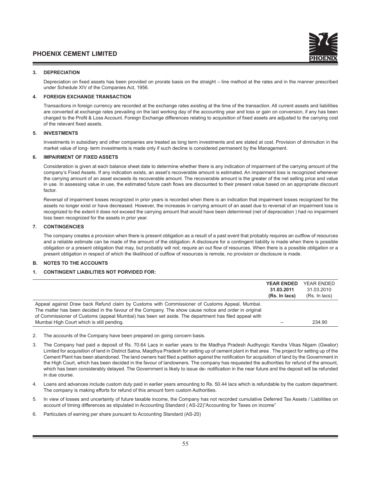#### **3. DEPRECIATION**

 Depreciation on fixed assets has been provided on prorate basis on the straight – line method at the rates and in the manner prescribed under Schedule XIV of the Companies Act, 1956.

#### **4. FOREIGN EXCHANGE TRANSACTION**

 Transactions in foreign currency are recorded at the exchange rates existing at the time of the transaction. All current assets and liabilities are converted at exchange rates prevailing on the last working day of the accounting year and loss or gain on conversion, if any has been charged to the Profit & Loss Account. Foreign Exchange differences relating to acquisition of fixed assets are adjusted to the carrying cost of the relevant fixed assets.

#### **5. INVESTMENTS**

 Investments in subsidiary and other companies are treated as long term investments and are stated at cost. Provision of diminution in the market value of long- term investments is made only if such decline is considered permanent by the Management.

#### **6. IMPAIRMENT OF FIXED ASSETS**

 Consideration is given at each balance sheet date to determine whether there is any indication of impairment of the carrying amount of the company's Fixed Assets. If any indication exists, an asset's recoverable amount is estimated. An impairment loss is recognized whenever the carrying amount of an asset exceeds its recoverable amount. The recoverable amount is the greater of the net selling price and value in use. In assessing value in use, the estimated future cash flows are discounted to their present value based on an appropriate discount factor.

 Reversal of impairment losses recognized in prior years is recorded when there is an indication that impairment losses recognized for the assets no longer exist or have decreased. However, the increases in carrying amount of an asset due to reversal of an impairment loss is recognized to the extent it does not exceed the carrying amount that would have been determined (net of depreciation ) had no impairment loss been recognized for the assets in prior year.

#### **7. CONTINGENCIES**

 The company creates a provision when there is present obligation as a result of a past event that probably requires an outflow of resources and a reliable estimate can be made of the amount of the obligation. A disclosure for a contingent liability is made when there is possible obligation or a present obligation that may, but probably will not; require an out flow of resources. When there is a possible obligation or a present obligation in respect of which the likelihood of outflow of resources is remote, no provision or disclosure is made.

#### **B. NOTES TO THE ACCOUNTS**

#### **1. CONTINGENT LIABILITIES NOT PORVIDED FOR:**

|                                                                                                                                                                                                                                                                                                                                                            | <b>YEAR ENDED</b><br>31.03.2011<br>(Rs. In lacs) | YEAR ENDED<br>31.03.2010<br>(Rs. In lacs) |
|------------------------------------------------------------------------------------------------------------------------------------------------------------------------------------------------------------------------------------------------------------------------------------------------------------------------------------------------------------|--------------------------------------------------|-------------------------------------------|
| Appeal against Draw back Refund claim by Customs with Commissioner of Customs Appeal, Mumbai.<br>The matter has been decided in the favour of the Company. The show cause notice and order in original<br>of Commissioner of Customs (appeal Mumbai) has been set aside. The department has filed appeal with<br>Mumbai High Court which is still pending. |                                                  | 234.90                                    |

- 2. The accounts of the Company have been prepared on going concern basis.
- 3. The Company had paid a deposit of Rs. 70.64 Lacs in earlier years to the Madhya Pradesh Audhyogic Kendra Vikas Nigam (Gwalior) Limited for acquisition of land in District Satna, Maqdhya Pradesh for setting up of cement plant in that area . The project for setting up of the Cement Plant has been abandoned. The land owners had filed a petition against the notification for acquisition of land by the Government in the High Court, which has been decided in the favour of landowners. The company has requested the authorities for refund of the amount, which has been considerably delayed. The Government is likely to issue de- notification in the near future and the deposit will be refunded in due course.
- 4. Loans and advances include custom duty paid in earlier years amounting to Rs. 50.44 lacs which is refundable by the custom department. The company is making efforts for refund of this amount form custom Authorities.
- 5. In view of losses and uncertainty of future taxable income, the Company has not recorded cumulative Deferred Tax Assets / Liabilities on account of timing differences as stipulated in Accounting Standard ( AS-22)"Accounting for Taxes on income"
- 6. Particulars of earning per share pursuant to Accounting Standard (AS-20)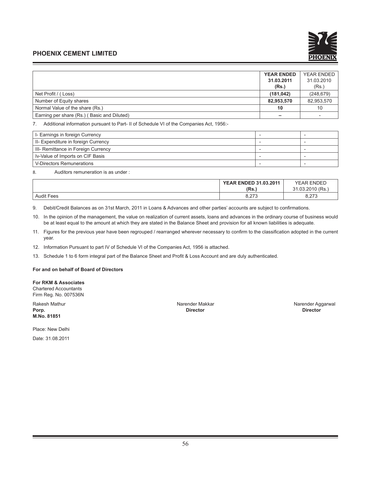

|                                             | <b>YEAR ENDED</b> | YEAR ENDED               |
|---------------------------------------------|-------------------|--------------------------|
|                                             | 31.03.2011        | 31.03.2010               |
|                                             | (Rs.)             | (Rs.)                    |
| Net Profit / (Loss)                         | (181, 042)        | (248, 679)               |
| Number of Equity shares                     | 82,953,570        | 82,953,570               |
| Normal Value of the share (Rs.)             | 10                | 10                       |
| Earning per share (Rs.) (Basic and Diluted) | -                 | $\overline{\phantom{0}}$ |

7. Additional information pursuant to Part- II of Schedule VI of the Companies Act, 1956:-

| I- Earnings in foreign Currency     |  |
|-------------------------------------|--|
| II- Expenditure in foreign Currency |  |
| III- Remittance in Foreign Currency |  |
| Iv-Value of Imports on CIF Basis    |  |
| V-Directors Remunerations           |  |

8. Auditors remuneration is as under :

|                   | <b>YEAR ENDED 31.03.2011</b> |                                                |
|-------------------|------------------------------|------------------------------------------------|
|                   | (Rs.,                        | 2010/Bc<br>$\mathcal{L}$<br>റദ<br>.u. zu<br>10 |
| <b>Audit Fees</b> | 272<br>0.ZI J                | 0.27c<br>0.ZIJ                                 |

9. Debit/Credit Balances as on 31st March, 2011 in Loans & Advances and other parties' accounts are subject to confirmations.

10. In the opinion of the management, the value on realization of current assets, loans and advances in the ordinary course of business would be at least equal to the amount at which they are stated in the Balance Sheet and provision for all known liabilities is adequate.

- 11. Figures for the previous year have been regrouped / rearranged wherever necessary to confirm to the classification adopted in the current year.
- 12. Information Pursuant to part IV of Schedule VI of the Companies Act, 1956 is attached.
- 13. Schedule 1 to 6 form integral part of the Balance Sheet and Profit & Loss Account and are duly authenticated.

**For and on behalf of Board of Directors**

**For RKM & Associates** Chartered Accountants Firm Reg. No. 007536N

**M.No. 81851**

Place: New Delhi Date: 31.08.2011

**Porp. Director Director**

Rakesh Mathur **Narender Makkar Narender Makkar Narender Aggarwal** Narender Aggarwal<br> **Porp.** Director Director Director Director Director Director Director Director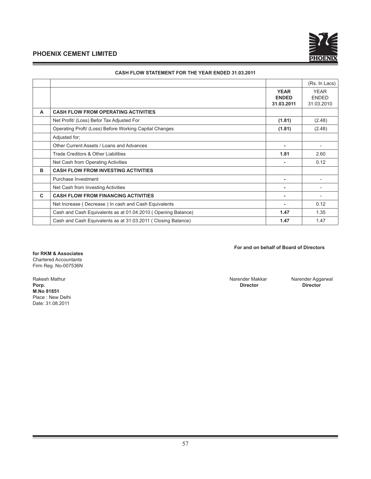

|   |                                                              |                                           | (Rs. In Lacs)                             |
|---|--------------------------------------------------------------|-------------------------------------------|-------------------------------------------|
|   |                                                              | <b>YEAR</b><br><b>ENDED</b><br>31.03.2011 | <b>YEAR</b><br><b>ENDED</b><br>31.03.2010 |
| A | <b>CASH FLOW FROM OPERATING ACTIVITIES</b>                   |                                           |                                           |
|   | Net Profit/ (Loss) Befor Tax Adjusted For                    | (1.81)                                    | (2.48)                                    |
|   | Operating Proft/ (Loss) Before Working Capital Changes       | (1.81)                                    | (2.48)                                    |
|   | Adjusted for;                                                |                                           |                                           |
|   | Other Current Assets / Loans and Advances                    | ٠                                         | $\overline{\phantom{a}}$                  |
|   | Trade Creditors & Other Liabilities                          | 1.81                                      | 2.60                                      |
|   | Net Cash from Operating Activities                           |                                           | 0.12                                      |
| в | <b>CASH FLOW FROM INVESTING ACTIVITIES</b>                   |                                           |                                           |
|   | Purchase Investment                                          | ۰                                         |                                           |
|   | Net Cash from Investing Activities                           |                                           |                                           |
| C | <b>CASH FLOW FROM FINANCING ACTIVITIES</b>                   |                                           |                                           |
|   | Net Increase (Decrease) In cash and Cash Equivalents         |                                           | 0.12                                      |
|   | Cash and Cash Equivalents as at 01.04.2010 (Opening Balance) | 1.47                                      | 1.35                                      |
|   | Cash and Cash Equivalents as at 31.03.2011 (Closing Balance) | 1.47                                      | 1.47                                      |
|   |                                                              |                                           |                                           |

#### **CASH FLOW STATEMENT FOR THE YEAR ENDED 31.03.2011**

#### **For and on behalf of Board of Directors**

**for RKM & Associates** Chartered Accountants Firm Reg. No-007536N

Rakesh Mathur Narender Aggarwal Narender Makkar Narender Aggarwal Narender Aggarwal Narender Aggarwal Narender Aggarwal Narender Aggarwal Narender Aggarwal Narender Aggarwal Narender Aggarwal Narender Aggarwal Narender Agg **Porp. Director Director M.No 81851** Place : New Delhi Date: 31.08.2011